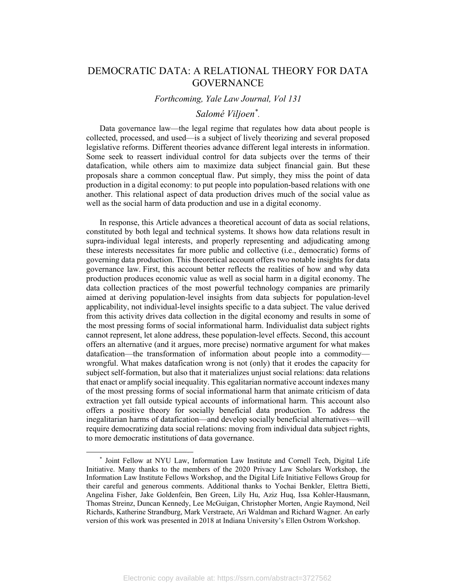# DEMOCRATIC DATA: A RELATIONAL THEORY FOR DATA **GOVERNANCE**

# *Forthcoming, Yale Law Journal, Vol 131*

# *Salomé Viljoen\* .*

Data governance law—the legal regime that regulates how data about people is collected, processed, and used—is a subject of lively theorizing and several proposed legislative reforms. Different theories advance different legal interests in information. Some seek to reassert individual control for data subjects over the terms of their datafication, while others aim to maximize data subject financial gain. But these proposals share a common conceptual flaw. Put simply, they miss the point of data production in a digital economy: to put people into population-based relations with one another. This relational aspect of data production drives much of the social value as well as the social harm of data production and use in a digital economy.

In response, this Article advances a theoretical account of data as social relations, constituted by both legal and technical systems. It shows how data relations result in supra-individual legal interests, and properly representing and adjudicating among these interests necessitates far more public and collective (i.e., democratic) forms of governing data production. This theoretical account offers two notable insights for data governance law. First, this account better reflects the realities of how and why data production produces economic value as well as social harm in a digital economy. The data collection practices of the most powerful technology companies are primarily aimed at deriving population-level insights from data subjects for population-level applicability, not individual-level insights specific to a data subject. The value derived from this activity drives data collection in the digital economy and results in some of the most pressing forms of social informational harm. Individualist data subject rights cannot represent, let alone address, these population-level effects. Second, this account offers an alternative (and it argues, more precise) normative argument for what makes datafication—the transformation of information about people into a commodity wrongful. What makes datafication wrong is not (only) that it erodes the capacity for subject self-formation, but also that it materializes unjust social relations: data relations that enact or amplify social inequality. This egalitarian normative account indexes many of the most pressing forms of social informational harm that animate criticism of data extraction yet fall outside typical accounts of informational harm. This account also offers a positive theory for socially beneficial data production. To address the inegalitarian harms of datafication—and develop socially beneficial alternatives—will require democratizing data social relations: moving from individual data subject rights, to more democratic institutions of data governance.

<sup>\*</sup> Joint Fellow at NYU Law, Information Law Institute and Cornell Tech, Digital Life Initiative. Many thanks to the members of the 2020 Privacy Law Scholars Workshop, the Information Law Institute Fellows Workshop, and the Digital Life Initiative Fellows Group for their careful and generous comments. Additional thanks to Yochai Benkler, Elettra Bietti, Angelina Fisher, Jake Goldenfein, Ben Green, Lily Hu, Aziz Huq, Issa Kohler-Hausmann, Thomas Streinz, Duncan Kennedy, Lee McGuigan, Christopher Morten, Angie Raymond, Neil Richards, Katherine Strandburg, Mark Verstraete, Ari Waldman and Richard Wagner. An early version of this work was presented in 2018 at Indiana University's Ellen Ostrom Workshop.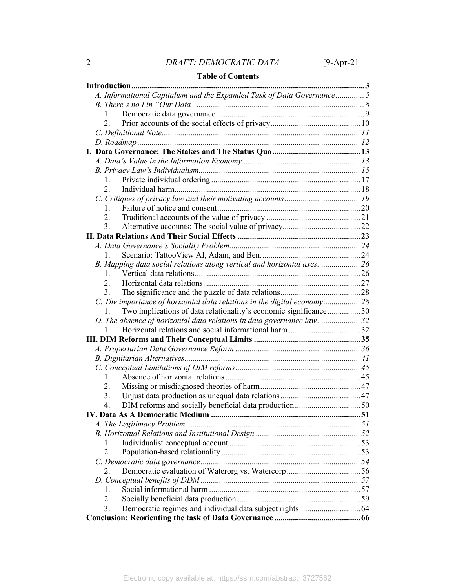# **Table of Contents**

| A. Informational Capitalism and the Expanded Task of Data Governance 5   |  |
|--------------------------------------------------------------------------|--|
|                                                                          |  |
| 1.                                                                       |  |
| 2.                                                                       |  |
|                                                                          |  |
|                                                                          |  |
|                                                                          |  |
|                                                                          |  |
|                                                                          |  |
| 1.                                                                       |  |
| 2.                                                                       |  |
|                                                                          |  |
| 1.                                                                       |  |
| 2.                                                                       |  |
| 3.                                                                       |  |
|                                                                          |  |
|                                                                          |  |
| $1_{-}$                                                                  |  |
| B. Mapping data social relations along vertical and horizontal axes 26   |  |
| 1.                                                                       |  |
| 2.                                                                       |  |
| $3_{-}$                                                                  |  |
| C. The importance of horizontal data relations in the digital economy 28 |  |
| Two implications of data relationality's economic significance 30<br>1.  |  |
| D. The absence of horizontal data relations in data governance law32     |  |
| 1.                                                                       |  |
|                                                                          |  |
|                                                                          |  |
|                                                                          |  |
|                                                                          |  |
| 1.                                                                       |  |
| 2.                                                                       |  |
| 3.                                                                       |  |
| 4.                                                                       |  |
|                                                                          |  |
|                                                                          |  |
|                                                                          |  |
| 1.                                                                       |  |
| 2.                                                                       |  |
|                                                                          |  |
| 2.                                                                       |  |
|                                                                          |  |
| 1.                                                                       |  |
| 2.<br>3.                                                                 |  |
|                                                                          |  |
|                                                                          |  |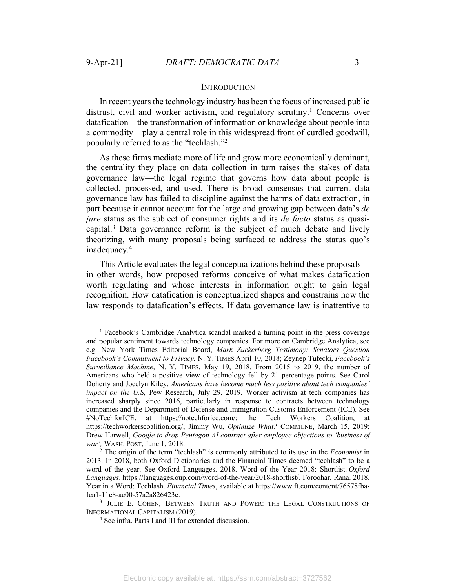#### **INTRODUCTION**

In recent years the technology industry has been the focus of increased public distrust, civil and worker activism, and regulatory scrutiny.<sup>1</sup> Concerns over datafication—the transformation of information or knowledge about people into a commodity—play a central role in this widespread front of curdled goodwill, popularly referred to as the "techlash."2

As these firms mediate more of life and grow more economically dominant, the centrality they place on data collection in turn raises the stakes of data governance law—the legal regime that governs how data about people is collected, processed, and used. There is broad consensus that current data governance law has failed to discipline against the harms of data extraction, in part because it cannot account for the large and growing gap between data's *de jure* status as the subject of consumer rights and its *de facto* status as quasicapital.3 Data governance reform is the subject of much debate and lively theorizing, with many proposals being surfaced to address the status quo's inadequacy.4

This Article evaluates the legal conceptualizations behind these proposals in other words, how proposed reforms conceive of what makes datafication worth regulating and whose interests in information ought to gain legal recognition. How datafication is conceptualized shapes and constrains how the law responds to datafication's effects. If data governance law is inattentive to

<sup>1</sup> Facebook's Cambridge Analytica scandal marked a turning point in the press coverage and popular sentiment towards technology companies. For more on Cambridge Analytica, see e.g. New York Times Editorial Board, *Mark Zuckerberg Testimony: Senators Question Facebook's Commitment to Privacy,* N. Y. TIMES April 10, 2018; Zeynep Tufecki, *Facebook's Surveillance Machine*, N. Y. TIMES, May 19, 2018. From 2015 to 2019, the number of Americans who held a positive view of technology fell by 21 percentage points. See Carol Doherty and Jocelyn Kiley, *Americans have become much less positive about tech companies' impact on the U.S, Pew Research, July 29, 2019. Worker activism at tech companies has* increased sharply since 2016, particularly in response to contracts between technology companies and the Department of Defense and Immigration Customs Enforcement (ICE). See #NoTechforICE, at https://notechforice.com/; the Tech Workers Coalition, at https://techworkerscoalition.org/; Jimmy Wu, *Optimize What?* COMMUNE, March 15, 2019; Drew Harwell, *Google to drop Pentagon AI contract after employee objections to 'business of war'*, WASH. POST, June 1, 2018.<br><sup>2</sup> The origin of the term "techlash" is commonly attributed to its use in the *Economist* in

<sup>2013.</sup> In 2018, both Oxford Dictionaries and the Financial Times deemed "techlash" to be a word of the year. See Oxford Languages. 2018. Word of the Year 2018: Shortlist. *Oxford Languages*. https://languages.oup.com/word-of-the-year/2018-shortlist/. Foroohar, Rana. 2018. Year in a Word: Techlash. *Financial Times*, available at https://www.ft.com/content/76578fbafca1-11e8-ac00-57a2a826423e.

<sup>&</sup>lt;sup>3</sup> JULIE E. COHEN, BETWEEN TRUTH AND POWER: THE LEGAL CONSTRUCTIONS OF INFORMATIONAL CAPITALISM (2019).

<sup>4</sup> See infra. Parts I and III for extended discussion.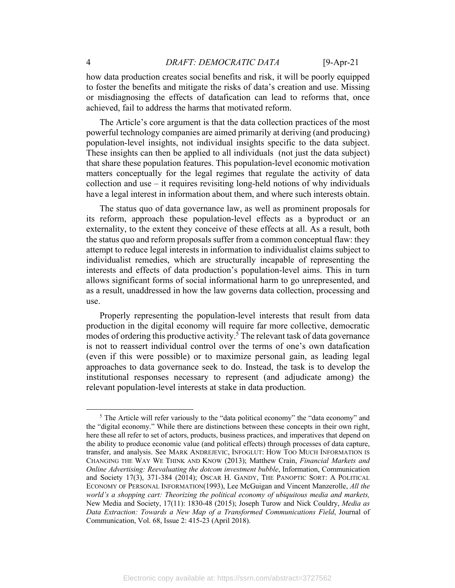how data production creates social benefits and risk, it will be poorly equipped to foster the benefits and mitigate the risks of data's creation and use. Missing or misdiagnosing the effects of datafication can lead to reforms that, once achieved, fail to address the harms that motivated reform.

The Article's core argument is that the data collection practices of the most powerful technology companies are aimed primarily at deriving (and producing) population-level insights, not individual insights specific to the data subject. These insights can then be applied to all individuals (not just the data subject) that share these population features. This population-level economic motivation matters conceptually for the legal regimes that regulate the activity of data collection and use – it requires revisiting long-held notions of why individuals have a legal interest in information about them, and where such interests obtain.

The status quo of data governance law, as well as prominent proposals for its reform, approach these population-level effects as a byproduct or an externality, to the extent they conceive of these effects at all. As a result, both the status quo and reform proposals suffer from a common conceptual flaw: they attempt to reduce legal interests in information to individualist claims subject to individualist remedies, which are structurally incapable of representing the interests and effects of data production's population-level aims. This in turn allows significant forms of social informational harm to go unrepresented, and as a result, unaddressed in how the law governs data collection, processing and use.

Properly representing the population-level interests that result from data production in the digital economy will require far more collective, democratic modes of ordering this productive activity.<sup>5</sup> The relevant task of data governance is not to reassert individual control over the terms of one's own datafication (even if this were possible) or to maximize personal gain, as leading legal approaches to data governance seek to do. Instead, the task is to develop the institutional responses necessary to represent (and adjudicate among) the relevant population-level interests at stake in data production.

<sup>5</sup> The Article will refer variously to the "data political economy" the "data economy" and the "digital economy." While there are distinctions between these concepts in their own right, here these all refer to set of actors, products, business practices, and imperatives that depend on the ability to produce economic value (and political effects) through processes of data capture, transfer, and analysis. See MARK ANDREJEVIC, INFOGLUT: HOW TOO MUCH INFORMATION IS CHANGING THE WAY WE THINK AND KNOW (2013); Matthew Crain, *Financial Markets and Online Advertising: Reevaluating the dotcom investment bubble*, Information, Communication and Society 17(3), 371-384 (2014); OSCAR H. GANDY, THE PANOPTIC SORT: A POLITICAL ECONOMY OF PERSONAL INFORMATION(1993), Lee McGuigan and Vincent Manzerolle, *All the world's a shopping cart: Theorizing the political economy of ubiquitous media and markets,* New Media and Society, 17(11): 1830-48 (2015); Joseph Turow and Nick Couldry, *Media as Data Extraction: Towards a New Map of a Transformed Communications Field*, Journal of Communication, Vol. 68, Issue 2: 415-23 (April 2018).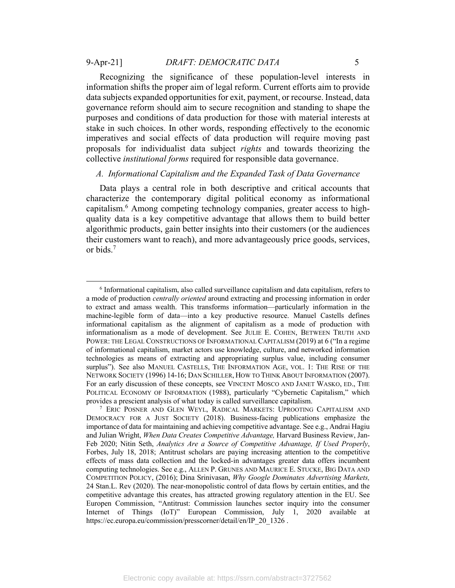Recognizing the significance of these population-level interests in information shifts the proper aim of legal reform. Current efforts aim to provide data subjects expanded opportunities for exit, payment, or recourse. Instead, data governance reform should aim to secure recognition and standing to shape the purposes and conditions of data production for those with material interests at stake in such choices. In other words, responding effectively to the economic imperatives and social effects of data production will require moving past proposals for individualist data subject *rights* and towards theorizing the collective *institutional forms* required for responsible data governance.

# *A. Informational Capitalism and the Expanded Task of Data Governance*

Data plays a central role in both descriptive and critical accounts that characterize the contemporary digital political economy as informational capitalism.6 Among competing technology companies, greater access to highquality data is a key competitive advantage that allows them to build better algorithmic products, gain better insights into their customers (or the audiences their customers want to reach), and more advantageously price goods, services, or bids.7

<sup>6</sup> Informational capitalism, also called surveillance capitalism and data capitalism, refers to a mode of production *centrally oriented* around extracting and processing information in order to extract and amass wealth. This transforms information—particularly information in the machine-legible form of data—into a key productive resource. Manuel Castells defines informational capitalism as the alignment of capitalism as a mode of production with informationalism as a mode of development. See JULIE E. COHEN, BETWEEN TRUTH AND POWER: THE LEGAL CONSTRUCTIONS OF INFORMATIONAL CAPITALISM (2019) at 6 ("In a regime of informational capitalism, market actors use knowledge, culture, and networked information technologies as means of extracting and appropriating surplus value, including consumer surplus"). See also MANUEL CASTELLS, THE INFORMATION AGE, VOL. 1: THE RISE OF THE NETWORK SOCIETY (1996) 14-16; DAN SCHILLER, HOW TO THINK ABOUT INFORMATION (2007). For an early discussion of these concepts, see VINCENT MOSCO AND JANET WASKO, ED., THE POLITICAL ECONOMY OF INFORMATION (1988), particularly "Cybernetic Capitalism," which provides a prescient analysis of what today is called surveillance capitalism.

<sup>7</sup> ERIC POSNER AND GLEN WEYL, RADICAL MARKETS: UPROOTING CAPITALISM AND DEMOCRACY FOR A JUST SOCIETY (2018). Business-facing publications emphasize the importance of data for maintaining and achieving competitive advantage. See e.g., Andrai Hagiu and Julian Wright, *When Data Creates Competitive Advantage,* Harvard Business Review, Jan-Feb 2020; Nitin Seth, *Analytics Are a Source of Competitive Advantage, If Used Properly*, Forbes, July 18, 2018; Antitrust scholars are paying increasing attention to the competitive effects of mass data collection and the locked-in advantages greater data offers incumbent computing technologies. See e.g., ALLEN P. GRUNES AND MAURICE E. STUCKE, BIG DATA AND COMPETITION POLICY, (2016); Dina Srinivasan, *Why Google Dominates Advertising Markets,* 24 Stan.L. Rev (2020). The near-monopolistic control of data flows by certain entities, and the competitive advantage this creates, has attracted growing regulatory attention in the EU. See Europen Commission, "Antitrust: Commission launches sector inquiry into the consumer Internet of Things (IoT)" European Commission, July 1, 2020 available at https://ec.europa.eu/commission/presscorner/detail/en/IP\_20\_1326.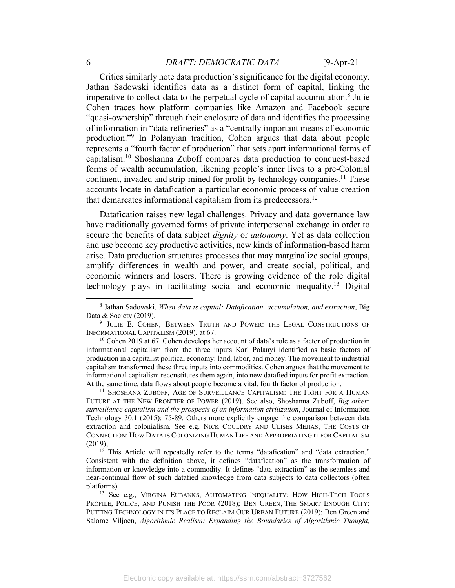# 6 *DRAFT: DEMOCRATIC DATA* [9-Apr-21

Critics similarly note data production's significance for the digital economy. Jathan Sadowski identifies data as a distinct form of capital, linking the imperative to collect data to the perpetual cycle of capital accumulation.8 Julie Cohen traces how platform companies like Amazon and Facebook secure "quasi-ownership" through their enclosure of data and identifies the processing of information in "data refineries" as a "centrally important means of economic production."9 In Polanyian tradition, Cohen argues that data about people represents a "fourth factor of production" that sets apart informational forms of capitalism.10 Shoshanna Zuboff compares data production to conquest-based forms of wealth accumulation, likening people's inner lives to a pre-Colonial continent, invaded and strip-mined for profit by technology companies.<sup>11</sup> These accounts locate in datafication a particular economic process of value creation that demarcates informational capitalism from its predecessors.<sup>12</sup>

Datafication raises new legal challenges. Privacy and data governance law have traditionally governed forms of private interpersonal exchange in order to secure the benefits of data subject *dignity* or *autonomy*. Yet as data collection and use become key productive activities, new kinds of information-based harm arise. Data production structures processes that may marginalize social groups, amplify differences in wealth and power, and create social, political, and economic winners and losers. There is growing evidence of the role digital technology plays in facilitating social and economic inequality.13 Digital

FUTURE AT THE NEW FRONTIER OF POWER (2019). See also, Shoshanna Zuboff, *Big other: surveillance capitalism and the prospects of an information civilization*, Journal of Information Technology 30.1 (2015): 75-89. Others more explicitly engage the comparison between data extraction and colonialism. See e.g. NICK COULDRY AND ULISES MEJIAS, THE COSTS OF CONNECTION: HOW DATA IS COLONIZING HUMAN LIFE AND APPROPRIATING IT FOR CAPITALISM (2019);

 $12$  This Article will repeatedly refer to the terms "datafication" and "data extraction." Consistent with the definition above, it defines "datafication" as the transformation of information or knowledge into a commodity. It defines "data extraction" as the seamless and near-continual flow of such datafied knowledge from data subjects to data collectors (often platforms).<br><sup>13</sup> See e.g., VIRGINA EUBANKS, AUTOMATING INEQUALITY: HOW HIGH-TECH TOOLS

PROFILE, POLICE, AND PUNISH THE POOR (2018); BEN GREEN, THE SMART ENOUGH CITY: PUTTING TECHNOLOGY IN ITS PLACE TO RECLAIM OUR URBAN FUTURE (2019); Ben Green and Salomé Viljoen, *Algorithmic Realism: Expanding the Boundaries of Algorithmic Thought,* 

<sup>8</sup> Jathan Sadowski, *When data is capital: Datafication, accumulation, and extraction*, Big Data & Society (2019).

<sup>&</sup>lt;sup>9</sup> JULIE E. COHEN, BETWEEN TRUTH AND POWER: THE LEGAL CONSTRUCTIONS OF INFORMATIONAL CAPITALISM (2019), at 67.<br><sup>10</sup> Cohen 2019 at 67. Cohen develops her account of data's role as a factor of production in

informational capitalism from the three inputs Karl Polanyi identified as basic factors of production in a capitalist political economy: land, labor, and money. The movement to industrial capitalism transformed these three inputs into commodities. Cohen argues that the movement to informational capitalism reconstitutes them again, into new datafied inputs for profit extraction. At the same time, data flows about people become a vital, fourth factor of production.<br><sup>11</sup> SHOSHANA ZUBOFF, AGE OF SURVEILLANCE CAPITALISM: THE FIGHT FOR A HUMAN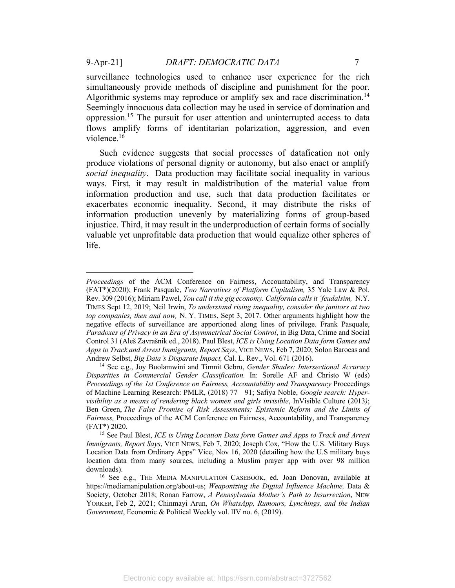surveillance technologies used to enhance user experience for the rich simultaneously provide methods of discipline and punishment for the poor. Algorithmic systems may reproduce or amplify sex and race discrimination.<sup>14</sup> Seemingly innocuous data collection may be used in service of domination and oppression.15 The pursuit for user attention and uninterrupted access to data flows amplify forms of identitarian polarization, aggression, and even violence.16

Such evidence suggests that social processes of datafication not only produce violations of personal dignity or autonomy, but also enact or amplify *social inequality*. Data production may facilitate social inequality in various ways. First, it may result in maldistribution of the material value from information production and use, such that data production facilitates or exacerbates economic inequality. Second, it may distribute the risks of information production unevenly by materializing forms of group-based injustice. Third, it may result in the underproduction of certain forms of socially valuable yet unprofitable data production that would equalize other spheres of life.

*Proceedings* of the ACM Conference on Fairness, Accountability, and Transparency (FAT\*)(2020); Frank Pasquale, *Two Narratives of Platform Capitalism,* 35 Yale Law & Pol. Rev. 309 (2016); Miriam Pawel, *You call it the gig economy. California calls it 'feudalsim,* N.Y. TIMES Sept 12, 2019; Neil Irwin, *To understand rising inequality, consider the janitors at two top companies, then and now,* N. Y. TIMES, Sept 3, 2017. Other arguments highlight how the negative effects of surveillance are apportioned along lines of privilege. Frank Pasquale, *Paradoxes of Privacy in an Era of Asymmetrical Social Control*, in Big Data, Crime and Social Control 31 (Aleš Zavrašnik ed., 2018). Paul Blest, *ICE is Using Location Data form Games and Apps to Track and Arrest Immigrants, Report Says*, VICE NEWS, Feb 7, 2020; Solon Barocas and Andrew Selbst, *Big Data's Disparate Impact,* Cal. L. Rev., Vol. 671 (2016). 14 See e.g., Joy Buolamwini and Timnit Gebru, *Gender Shades: Intersectional Accuracy* 

*Disparities in Commercial Gender Classification.* In: Sorelle AF and Christo W (eds) *Proceedings of the 1st Conference on Fairness, Accountability and Transparency* Proceedings of Machine Learning Research: PMLR, (2018) 77—91; Safiya Noble, *Google search: Hypervisibility as a means of rendering black women and girls invisible*, InVisible Culture (2013*)*; Ben Green, *The False Promise of Risk Assessments: Epistemic Reform and the Limits of Fairness,* Proceedings of the ACM Conference on Fairness, Accountability, and Transparency (FAT\*) 2020.

<sup>15</sup> See Paul Blest, *ICE is Using Location Data form Games and Apps to Track and Arrest Immigrants, Report Says*, VICE NEWS, Feb 7, 2020; Joseph Cox, "How the U.S. Military Buys Location Data from Ordinary Apps" Vice, Nov 16, 2020 (detailing how the U.S military buys location data from many sources, including a Muslim prayer app with over 98 million

<sup>&</sup>lt;sup>16</sup> See e.g., THE MEDIA MANIPULATION CASEBOOK, ed. Joan Donovan, available at https://mediamanipulation.org/about-us; *Weaponizing the Digital Influence Machine,* Data & Society, October 2018; Ronan Farrow, *A Pennsylvania Mother's Path to Insurrection*, NEW YORKER, Feb 2, 2021; Chinmayi Arun, *On WhatsApp, Rumours, Lynchings, and the Indian Government*, Economic & Political Weekly vol. lIV no. 6, (2019).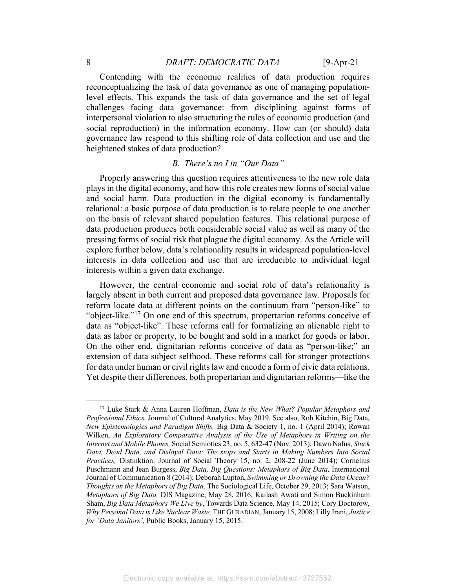# 8 *DRAFT: DEMOCRATIC DATA* [9-Apr-21]

Contending with the economic realities of data production requires reconceptualizing the task of data governance as one of managing populationlevel effects. This expands the task of data governance and the set of legal challenges facing data governance: from disciplining against forms of interpersonal violation to also structuring the rules of economic production (and social reproduction) in the information economy. How can (or should) data governance law respond to this shifting role of data collection and use and the heightened stakes of data production?

# *B. There's no I in "Our Data"*

Properly answering this question requires attentiveness to the new role data plays in the digital economy, and how this role creates new forms of social value and social harm. Data production in the digital economy is fundamentally relational: a basic purpose of data production is to relate people to one another on the basis of relevant shared population features. This relational purpose of data production produces both considerable social value as well as many of the pressing forms of social risk that plague the digital economy. As the Article will explore further below, data's relationality results in widespread population-level interests in data collection and use that are irreducible to individual legal interests within a given data exchange.

However, the central economic and social role of data's relationality is largely absent in both current and proposed data governance law. Proposals for reform locate data at different points on the continuum from "person-like" to "object-like."17 On one end of this spectrum, propertarian reforms conceive of data as "object-like". These reforms call for formalizing an alienable right to data as labor or property, to be bought and sold in a market for goods or labor. On the other end, dignitarian reforms conceive of data as "person-like;" an extension of data subject selfhood. These reforms call for stronger protections for data under human or civil rights law and encode a form of civic data relations. Yet despite their differences, both propertarian and dignitarian reforms—like the

<sup>17</sup> Luke Stark & Anna Lauren Hoffman, *Data is the New What? Popular Metaphors and Professional Ethics,* Journal of Cultural Analytics, May 2019. See also, Rob Kitchin, Big Data, *New Epistemologies and Paradigm Shifts,* Big Data & Society 1, no. 1 (April 2014); Rowan Wilken, *An Exploratory Comparative Analysis of the Use of Metaphors in Writing on the Internet and Mobile Phones,* Social Semiotics 23, no. 5, 632-47 (Nov. 2013); Dawn Nafus, *Stuck Data, Dead Data, and Disloyal Data: The stops and Starts in Making Numbers Into Social Practices,* Distinktion: Journal of Social Theory 15, no. 2, 208-22 (June 2014); Cornelius Puschmann and Jean Burgess, *Big Data, Big Questions: Metaphors of Big Data,* International Journal of Communication 8 (2014); Deborah Lupton, *Swimming or Drowning the Data Ocean? Thoughts on the Metaphors of Big Data,* The Sociological Life*,* October 29, 2013; Sara Watson, *Metaphors of Big Data,* DIS Magazine, May 28, 2016; Kailash Awati and Simon Buckinham Sham, *Big Data Metaphors We Live by*, Towards Data Science, May 14, 2015; Cory Doctorow, *Why Personal Data is Like Nuclear Waste,* THE GURADIAN,January 15, 2008; Lilly Irani, *Justice for 'Data Janitors',* Public Books, January 15, 2015.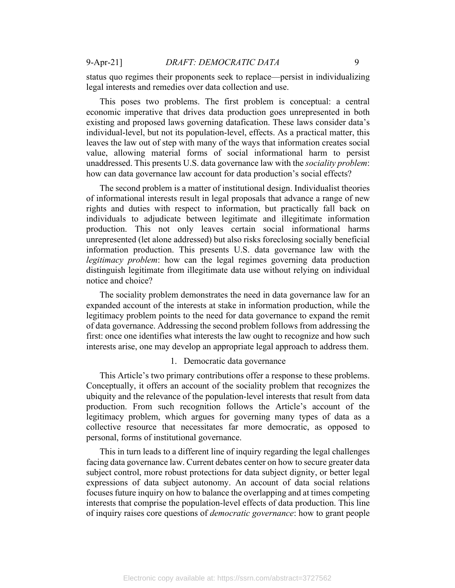status quo regimes their proponents seek to replace—persist in individualizing legal interests and remedies over data collection and use.

This poses two problems. The first problem is conceptual: a central economic imperative that drives data production goes unrepresented in both existing and proposed laws governing datafication. These laws consider data's individual-level, but not its population-level, effects. As a practical matter, this leaves the law out of step with many of the ways that information creates social value, allowing material forms of social informational harm to persist unaddressed. This presents U.S. data governance law with the *sociality problem*: how can data governance law account for data production's social effects?

The second problem is a matter of institutional design. Individualist theories of informational interests result in legal proposals that advance a range of new rights and duties with respect to information, but practically fall back on individuals to adjudicate between legitimate and illegitimate information production. This not only leaves certain social informational harms unrepresented (let alone addressed) but also risks foreclosing socially beneficial information production. This presents U.S. data governance law with the *legitimacy problem*: how can the legal regimes governing data production distinguish legitimate from illegitimate data use without relying on individual notice and choice?

The sociality problem demonstrates the need in data governance law for an expanded account of the interests at stake in information production, while the legitimacy problem points to the need for data governance to expand the remit of data governance. Addressing the second problem follows from addressing the first: once one identifies what interests the law ought to recognize and how such interests arise, one may develop an appropriate legal approach to address them.

#### 1. Democratic data governance

This Article's two primary contributions offer a response to these problems. Conceptually, it offers an account of the sociality problem that recognizes the ubiquity and the relevance of the population-level interests that result from data production. From such recognition follows the Article's account of the legitimacy problem, which argues for governing many types of data as a collective resource that necessitates far more democratic, as opposed to personal, forms of institutional governance.

This in turn leads to a different line of inquiry regarding the legal challenges facing data governance law. Current debates center on how to secure greater data subject control, more robust protections for data subject dignity, or better legal expressions of data subject autonomy. An account of data social relations focuses future inquiry on how to balance the overlapping and at times competing interests that comprise the population-level effects of data production. This line of inquiry raises core questions of *democratic governance*: how to grant people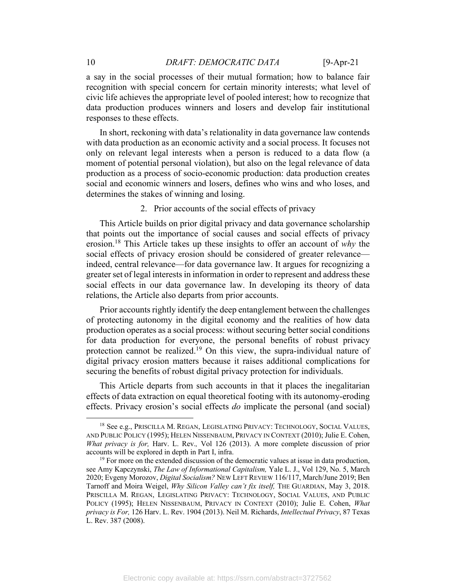a say in the social processes of their mutual formation; how to balance fair recognition with special concern for certain minority interests; what level of civic life achieves the appropriate level of pooled interest; how to recognize that data production produces winners and losers and develop fair institutional responses to these effects.

In short, reckoning with data's relationality in data governance law contends with data production as an economic activity and a social process. It focuses not only on relevant legal interests when a person is reduced to a data flow (a moment of potential personal violation), but also on the legal relevance of data production as a process of socio-economic production: data production creates social and economic winners and losers, defines who wins and who loses, and determines the stakes of winning and losing.

2. Prior accounts of the social effects of privacy

This Article builds on prior digital privacy and data governance scholarship that points out the importance of social causes and social effects of privacy erosion. <sup>18</sup> This Article takes up these insights to offer an account of *why* the social effects of privacy erosion should be considered of greater relevance indeed, central relevance—for data governance law. It argues for recognizing a greater set of legal interests in information in order to represent and address these social effects in our data governance law. In developing its theory of data relations, the Article also departs from prior accounts.

Prior accounts rightly identify the deep entanglement between the challenges of protecting autonomy in the digital economy and the realities of how data production operates as a social process: without securing better social conditions for data production for everyone, the personal benefits of robust privacy protection cannot be realized.<sup>19</sup> On this view, the supra-individual nature of digital privacy erosion matters because it raises additional complications for securing the benefits of robust digital privacy protection for individuals.

This Article departs from such accounts in that it places the inegalitarian effects of data extraction on equal theoretical footing with its autonomy-eroding effects. Privacy erosion's social effects *do* implicate the personal (and social)

<sup>&</sup>lt;sup>18</sup> See e.g., PRISCILLA M. REGAN, LEGISLATING PRIVACY: TECHNOLOGY, SOCIAL VALUES, AND PUBLIC POLICY (1995); HELEN NISSENBAUM, PRIVACY IN CONTEXT (2010); Julie E. Cohen, *What privacy is for,* Harv. L. Rev.*,* Vol 126 (2013). A more complete discussion of prior accounts will be explored in depth in Part I, infra.<br><sup>19</sup> For more on the extended discussion of the democratic values at issue in data production,

see Amy Kapczynski, *The Law of Informational Capitalism,* Yale L. J., Vol 129, No. 5, March 2020; Evgeny Morozov, *Digital Socialism?* NEW LEFT REVIEW 116/117, March/June 2019; Ben Tarnoff and Moira Weigel, *Why Silicon Valley can't fix itself,* THE GUARDIAN, May 3, 2018. PRISCILLA M. REGAN, LEGISLATING PRIVACY: TECHNOLOGY, SOCIAL VALUES, AND PUBLIC POLICY (1995); HELEN NISSENBAUM, PRIVACY IN CONTEXT (2010); Julie E. Cohen, *What privacy is For,* 126 Harv. L. Rev. 1904 (2013). Neil M. Richards, *Intellectual Privacy*, 87 Texas L. Rev. 387 (2008).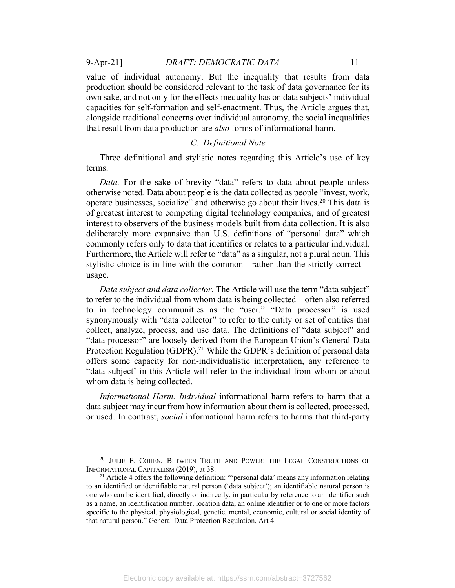9-Apr-21] *DRAFT: DEMOCRATIC DATA* 11

value of individual autonomy. But the inequality that results from data production should be considered relevant to the task of data governance for its own sake, and not only for the effects inequality has on data subjects' individual capacities for self-formation and self-enactment. Thus, the Article argues that, alongside traditional concerns over individual autonomy, the social inequalities that result from data production are *also* forms of informational harm.

# *C. Definitional Note*

Three definitional and stylistic notes regarding this Article's use of key terms.

*Data.* For the sake of brevity "data" refers to data about people unless otherwise noted. Data about people is the data collected as people "invest, work, operate businesses, socialize" and otherwise go about their lives.<sup>20</sup> This data is of greatest interest to competing digital technology companies, and of greatest interest to observers of the business models built from data collection. It is also deliberately more expansive than U.S. definitions of "personal data" which commonly refers only to data that identifies or relates to a particular individual. Furthermore, the Article will refer to "data" as a singular, not a plural noun. This stylistic choice is in line with the common—rather than the strictly correct usage.

*Data subject and data collector.* The Article will use the term "data subject" to refer to the individual from whom data is being collected—often also referred to in technology communities as the "user." "Data processor" is used synonymously with "data collector" to refer to the entity or set of entities that collect, analyze, process, and use data. The definitions of "data subject" and "data processor" are loosely derived from the European Union's General Data Protection Regulation (GDPR).<sup>21</sup> While the GDPR's definition of personal data offers some capacity for non-individualistic interpretation, any reference to "data subject' in this Article will refer to the individual from whom or about whom data is being collected.

*Informational Harm. Individual* informational harm refers to harm that a data subject may incur from how information about them is collected, processed, or used. In contrast, *social* informational harm refers to harms that third-party

<sup>&</sup>lt;sup>20</sup> JULIE E. COHEN, BETWEEN TRUTH AND POWER: THE LEGAL CONSTRUCTIONS OF INFORMATIONAL CAPITALISM (2019), at 38. 21 Article 4 offers the following definition: "'personal data' means any information relating

to an identified or identifiable natural person ('data subject'); an identifiable natural person is one who can be identified, directly or indirectly, in particular by reference to an identifier such as a name, an identification number, location data, an online identifier or to one or more factors specific to the physical, physiological, genetic, mental, economic, cultural or social identity of that natural person." General Data Protection Regulation, Art 4.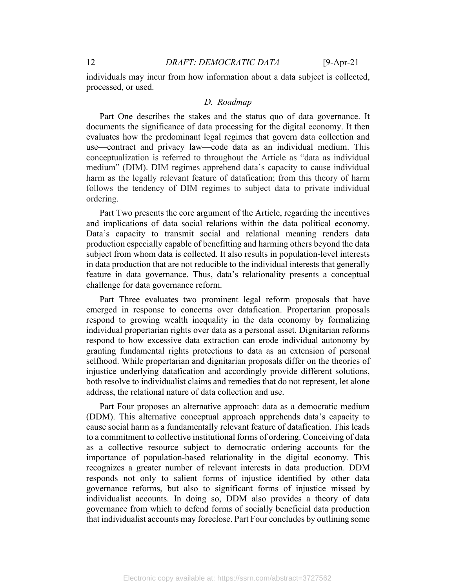individuals may incur from how information about a data subject is collected, processed, or used.

#### *D. Roadmap*

Part One describes the stakes and the status quo of data governance. It documents the significance of data processing for the digital economy. It then evaluates how the predominant legal regimes that govern data collection and use—contract and privacy law—code data as an individual medium. This conceptualization is referred to throughout the Article as "data as individual medium" (DIM). DIM regimes apprehend data's capacity to cause individual harm as the legally relevant feature of datafication; from this theory of harm follows the tendency of DIM regimes to subject data to private individual ordering.

Part Two presents the core argument of the Article, regarding the incentives and implications of data social relations within the data political economy. Data's capacity to transmit social and relational meaning renders data production especially capable of benefitting and harming others beyond the data subject from whom data is collected. It also results in population-level interests in data production that are not reducible to the individual interests that generally feature in data governance. Thus, data's relationality presents a conceptual challenge for data governance reform.

Part Three evaluates two prominent legal reform proposals that have emerged in response to concerns over datafication. Propertarian proposals respond to growing wealth inequality in the data economy by formalizing individual propertarian rights over data as a personal asset. Dignitarian reforms respond to how excessive data extraction can erode individual autonomy by granting fundamental rights protections to data as an extension of personal selfhood. While propertarian and dignitarian proposals differ on the theories of injustice underlying datafication and accordingly provide different solutions, both resolve to individualist claims and remedies that do not represent, let alone address, the relational nature of data collection and use.

Part Four proposes an alternative approach: data as a democratic medium (DDM). This alternative conceptual approach apprehends data's capacity to cause social harm as a fundamentally relevant feature of datafication. This leads to a commitment to collective institutional forms of ordering. Conceiving of data as a collective resource subject to democratic ordering accounts for the importance of population-based relationality in the digital economy. This recognizes a greater number of relevant interests in data production. DDM responds not only to salient forms of injustice identified by other data governance reforms, but also to significant forms of injustice missed by individualist accounts. In doing so, DDM also provides a theory of data governance from which to defend forms of socially beneficial data production that individualist accounts may foreclose. Part Four concludes by outlining some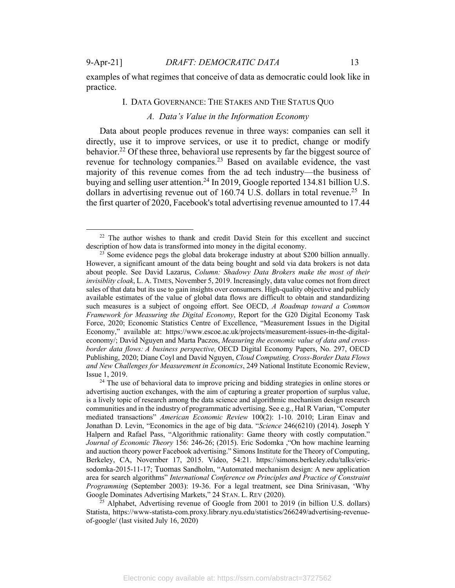examples of what regimes that conceive of data as democratic could look like in practice.

### I. DATA GOVERNANCE: THE STAKES AND THE STATUS QUO

# *A. Data's Value in the Information Economy*

Data about people produces revenue in three ways: companies can sell it directly, use it to improve services, or use it to predict, change or modify behavior.22 Of these three, behavioral use represents by far the biggest source of revenue for technology companies.<sup>23</sup> Based on available evidence, the vast majority of this revenue comes from the ad tech industry—the business of buying and selling user attention.<sup>24</sup> In 2019, Google reported 134.81 billion U.S. dollars in advertising revenue out of  $160.74$  U.S. dollars in total revenue.<sup>25</sup> In the first quarter of 2020, Facebook's total advertising revenue amounted to 17.44

<sup>25</sup> Alphabet, Advertising revenue of Google from 2001 to 2019 (in billion U.S. dollars) Statista, https://www-statista-com.proxy.library.nyu.edu/statistics/266249/advertising-revenueof-google/ (last visited July 16, 2020)

<sup>&</sup>lt;sup>22</sup> The author wishes to thank and credit David Stein for this excellent and succinct description of how data is transformed into money in the digital economy.

<sup>&</sup>lt;sup>23</sup> Some evidence pegs the global data brokerage industry at about \$200 billion annually. However, a significant amount of the data being bought and sold via data brokers is not data about people. See David Lazarus, *Column: Shadowy Data Brokers make the most of their invisiblity cloak*, L. A. TIMES, November 5, 2019. Increasingly, data value comes not from direct sales of that data but its use to gain insights over consumers. High-quality objective and publicly available estimates of the value of global data flows are difficult to obtain and standardizing such measures is a subject of ongoing effort. See OECD, *A Roadmap toward a Common Framework for Measuring the Digital Economy*, Report for the G20 Digital Economy Task Force, 2020; Economic Statistics Centre of Excellence, "Measurement Issues in the Digital Economy," available at: https://www.escoe.ac.uk/projects/measurement-issues-in-the-digitaleconomy/; David Nguyen and Marta Paczos, *Measuring the economic value of data and crossborder data flows: A business perspective,* OECD Digital Economy Papers, No. 297, OECD Publishing, 2020; Diane Coyl and David Nguyen, *Cloud Computing, Cross-Border Data Flows and New Challenges for Measurement in Economics*, 249 National Institute Economic Review, Issue 1, 2019.

<sup>&</sup>lt;sup>24</sup> The use of behavioral data to improve pricing and bidding strategies in online stores or advertising auction exchanges, with the aim of capturing a greater proportion of surplus value, is a lively topic of research among the data science and algorithmic mechanism design research communities and in the industry of programmatic advertising. See e.g., Hal R Varian, "Computer mediated transactions" *American Economic Review* 100(2): 1-10. 2010; Liran Einav and Jonathan D. Levin, "Economics in the age of big data. "*Science* 246(6210) (2014). Joseph Y Halpern and Rafael Pass, "Algorithmic rationality: Game theory with costly computation." *Journal of Economic Theory* 156: 246-26; (2015). Eric Sodomka ,"On how machine learning and auction theory power Facebook advertising." Simons Institute for the Theory of Computing, Berkeley, CA, November 17, 2015. Video, 54:21. https://simons.berkeley.edu/talks/ericsodomka-2015-11-17; Tuomas Sandholm, "Automated mechanism design: A new application area for search algorithms" *International Conference on Principles and Practice of Constraint Programming* (September 2003): 19-36. For a legal treatment, see Dina Srinivasan, 'Why Google Dominates Advertising Markets," 24 STAN. L. REV (2020).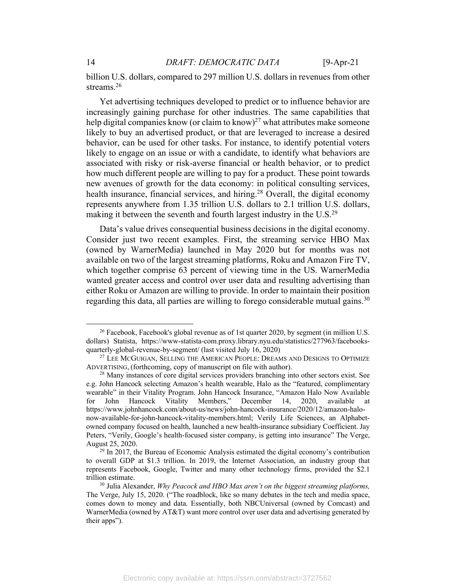billion U.S. dollars, compared to 297 million U.S. dollars in revenues from other streams.<sup>26</sup>

Yet advertising techniques developed to predict or to influence behavior are increasingly gaining purchase for other industries. The same capabilities that help digital companies know (or claim to know)<sup>27</sup> what attributes make someone likely to buy an advertised product, or that are leveraged to increase a desired behavior, can be used for other tasks. For instance, to identify potential voters likely to engage on an issue or with a candidate, to identify what behaviors are associated with risky or risk-averse financial or health behavior, or to predict how much different people are willing to pay for a product. These point towards new avenues of growth for the data economy: in political consulting services, health insurance, financial services, and hiring.<sup>28</sup> Overall, the digital economy represents anywhere from 1.35 trillion U.S. dollars to 2.1 trillion U.S. dollars, making it between the seventh and fourth largest industry in the U.S.<sup>29</sup>

Data's value drives consequential business decisions in the digital economy. Consider just two recent examples. First, the streaming service HBO Max (owned by WarnerMedia) launched in May 2020 but for months was not available on two of the largest streaming platforms, Roku and Amazon Fire TV, which together comprise 63 percent of viewing time in the US. WarnerMedia wanted greater access and control over user data and resulting advertising than either Roku or Amazon are willing to provide. In order to maintain their position regarding this data, all parties are willing to forego considerable mutual gains.<sup>30</sup>

<sup>&</sup>lt;sup>26</sup> Facebook, Facebook's global revenue as of 1st quarter 2020, by segment (in million U.S. dollars) Statista, https://www-statista-com.proxy.library.nyu.edu/statistics/277963/facebooksquarterly-global-revenue-by-segment/ (last visited July 16, 2020)

<sup>&</sup>lt;sup>27</sup> LEE MCGUIGAN, SELLING THE AMERICAN PEOPLE: DREAMS AND DESIGNS TO OPTIMIZE ADVERTISING, (forthcoming, copy of manuscript on file with author). 28 Many instances of core digital services providers branching into other sectors exist. See

e.g. John Hancock selecting Amazon's health wearable, Halo as the "featured, complimentary wearable" in their Vitality Program. John Hancock Insurance, "Amazon Halo Now Available for John Hancock Vitality Members," December 14, 2020, available https://www.johnhancock.com/about-us/news/john-hancock-insurance/2020/12/amazon-halonow-available-for-john-hancock-vitality-members.html; Verily Life Sciences, an Alphabetowned company focused on health, launched a new health-insurance subsidiary Coefficient. Jay Peters, "Verily, Google's health-focused sister company, is getting into insurance" The Verge, August 25, 2020.<br><sup>29</sup> In 2017, the Bureau of Economic Analysis estimated the digital economy's contribution

to overall GDP at \$1.3 trillion. In 2019, the Internet Association, an industry group that represents Facebook, Google, Twitter and many other technology firms, provided the \$2.1 trillion estimate.

<sup>30</sup> Julia Alexander, *Why Peacock and HBO Max aren't on the biggest streaming platforms,* The Verge, July 15, 2020. ("The roadblock, like so many debates in the tech and media space, comes down to money and data. Essentially, both NBCUniversal (owned by Comcast) and WarnerMedia (owned by AT&T) want more control over user data and advertising generated by their apps").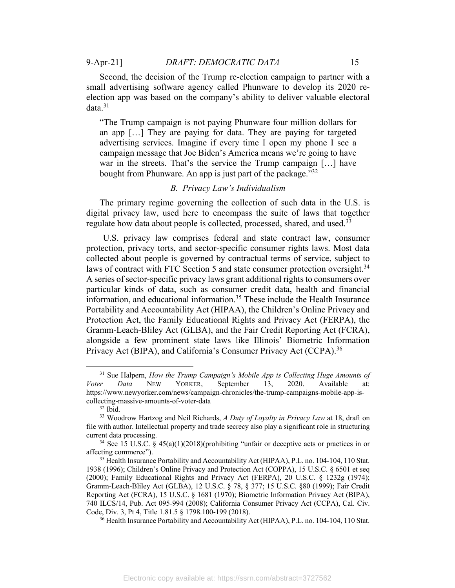Second, the decision of the Trump re-election campaign to partner with a small advertising software agency called Phunware to develop its 2020 reelection app was based on the company's ability to deliver valuable electoral data.31

"The Trump campaign is not paying Phunware four million dollars for an app […] They are paying for data. They are paying for targeted advertising services. Imagine if every time I open my phone I see a campaign message that Joe Biden's America means we're going to have war in the streets. That's the service the Trump campaign […] have bought from Phunware. An app is just part of the package."<sup>32</sup>

# *B. Privacy Law's Individualism*

The primary regime governing the collection of such data in the U.S. is digital privacy law, used here to encompass the suite of laws that together regulate how data about people is collected, processed, shared, and used.<sup>33</sup>

U.S. privacy law comprises federal and state contract law, consumer protection, privacy torts, and sector-specific consumer rights laws. Most data collected about people is governed by contractual terms of service, subject to laws of contract with FTC Section 5 and state consumer protection oversight.<sup>34</sup> A series of sector-specific privacy laws grant additional rights to consumers over particular kinds of data, such as consumer credit data, health and financial information, and educational information.<sup>35</sup> These include the Health Insurance Portability and Accountability Act (HIPAA), the Children's Online Privacy and Protection Act, the Family Educational Rights and Privacy Act (FERPA), the Gramm-Leach-Bliley Act (GLBA), and the Fair Credit Reporting Act (FCRA), alongside a few prominent state laws like Illinois' Biometric Information Privacy Act (BIPA), and California's Consumer Privacy Act (CCPA).<sup>36</sup>

<sup>&</sup>lt;sup>31</sup> Sue Halpern, *How the Trump Campaign's Mobile App is Collecting Huge Amounts of Voter Data* NEW YORKER, September 13, 2020. Available at: https://www.newyorker.com/news/campaign-chronicles/the-trump-campaigns-mobile-app-iscollecting-massive-amounts-of-voter-data

<sup>32</sup> Ibid.

<sup>33</sup> Woodrow Hartzog and Neil Richards, *A Duty of Loyalty in Privacy Law* at 18, draft on file with author. Intellectual property and trade secrecy also play a significant role in structuring current data processing.

<sup>&</sup>lt;sup>34</sup> See 15 U.S.C. § 45(a)(1)(2018)(prohibiting "unfair or deceptive acts or practices in or affecting commerce").<br><sup>35</sup> Health Insurance Portability and Accountability Act (HIPAA), P.L. no. 104-104, 110 Stat.

<sup>1938 (1996);</sup> Children's Online Privacy and Protection Act (COPPA), 15 U.S.C. § 6501 et seq (2000); Family Educational Rights and Privacy Act (FERPA), 20 U.S.C. § 1232g (1974); Gramm-Leach-Bliley Act (GLBA), 12 U.S.C. § 78, § 377; 15 U.S.C. §80 (1999); Fair Credit Reporting Act (FCRA), 15 U.S.C. § 1681 (1970); Biometric Information Privacy Act (BIPA), 740 ILCS/14, Pub. Act 095-994 (2008); California Consumer Privacy Act (CCPA), Cal. Civ. Code, Div. 3, Pt 4, Title 1.81.5 § 1798.100-199 (2018).<br><sup>36</sup> Health Insurance Portability and Accountability Act (HIPAA), P.L. no. 104-104, 110 Stat.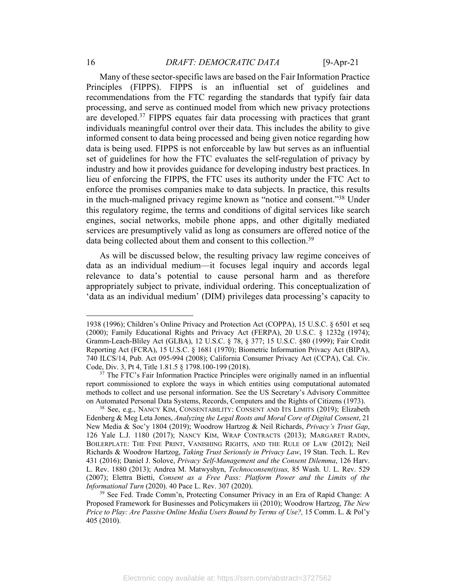Many of these sector-specific laws are based on the Fair Information Practice Principles (FIPPS). FIPPS is an influential set of guidelines and recommendations from the FTC regarding the standards that typify fair data processing, and serve as continued model from which new privacy protections are developed.37 FIPPS equates fair data processing with practices that grant individuals meaningful control over their data. This includes the ability to give informed consent to data being processed and being given notice regarding how data is being used. FIPPS is not enforceable by law but serves as an influential set of guidelines for how the FTC evaluates the self-regulation of privacy by industry and how it provides guidance for developing industry best practices. In lieu of enforcing the FIPPS, the FTC uses its authority under the FTC Act to enforce the promises companies make to data subjects. In practice, this results in the much-maligned privacy regime known as "notice and consent."38 Under this regulatory regime, the terms and conditions of digital services like search engines, social networks, mobile phone apps, and other digitally mediated services are presumptively valid as long as consumers are offered notice of the data being collected about them and consent to this collection.<sup>39</sup>

As will be discussed below, the resulting privacy law regime conceives of data as an individual medium—it focuses legal inquiry and accords legal relevance to data's potential to cause personal harm and as therefore appropriately subject to private, individual ordering. This conceptualization of 'data as an individual medium' (DIM) privileges data processing's capacity to

<sup>1938 (1996);</sup> Children's Online Privacy and Protection Act (COPPA), 15 U.S.C. § 6501 et seq (2000); Family Educational Rights and Privacy Act (FERPA), 20 U.S.C. § 1232g (1974); Gramm-Leach-Bliley Act (GLBA), 12 U.S.C. § 78, § 377; 15 U.S.C. §80 (1999); Fair Credit Reporting Act (FCRA), 15 U.S.C. § 1681 (1970); Biometric Information Privacy Act (BIPA), 740 ILCS/14, Pub. Act 095-994 (2008); California Consumer Privacy Act (CCPA), Cal. Civ. Code, Div. 3, Pt 4, Title 1.81.5 § 1798.100-199 (2018).<br><sup>37</sup> The FTC's Fair Information Practice Principles were originally named in an influential

report commissioned to explore the ways in which entities using computational automated methods to collect and use personal information. See the US Secretary's Advisory Committee on Automated Personal Data Systems, Records, Computers and the Rights of Citizens (1973).

<sup>38</sup> See, e.g., NANCY KIM, CONSENTABILITY: CONSENT AND ITS LIMITS (2019); Elizabeth Edenberg & Meg Leta Jones, *Analyzing the Legal Roots and Moral Core of Digital Consent*, 21 New Media & Soc'y 1804 (2019); Woodrow Hartzog & Neil Richards, *Privacy's Trust Gap*, 126 Yale L.J. 1180 (2017); NANCY KIM, WRAP CONTRACTS (2013); MARGARET RADIN, BOILERPLATE: THE FINE PRINT, VANISHING RIGHTS, AND THE RULE OF LAW (2012); Neil Richards & Woodrow Hartzog, *Taking Trust Seriously in Privacy Law*, 19 Stan. Tech. L. Rev 431 (2016); Daniel J. Solove, *Privacy Self-Management and the Consent Dilemma*, 126 Harv. L. Rev. 1880 (2013); Andrea M. Matwyshyn, *Technoconsen(t)sus,* 85 Wash. U. L. Rev. 529 (2007); Elettra Bietti, *Consent as a Free Pass: Platform Power and the Limits of the Informational Turn* (2020). 40 Pace L. Rev. 307 (2020).

<sup>&</sup>lt;sup>39</sup> See Fed. Trade Comm'n, Protecting Consumer Privacy in an Era of Rapid Change: A Proposed Framework for Businesses and Policymakers iii (2010); Woodrow Hartzog, *The New Price to Play: Are Passive Online Media Users Bound by Terms of Use?,* 15 Comm. L. & Pol'y 405 (2010).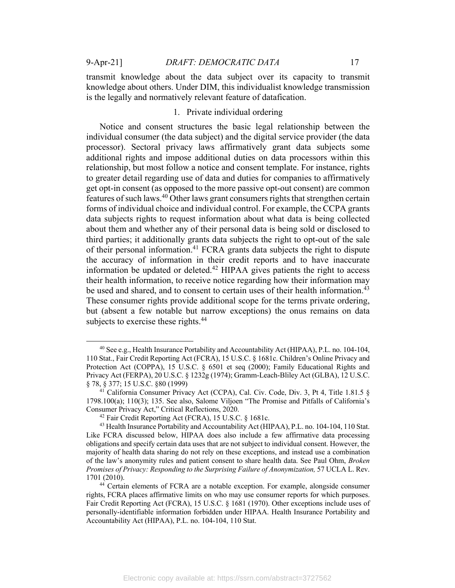transmit knowledge about the data subject over its capacity to transmit knowledge about others. Under DIM, this individualist knowledge transmission is the legally and normatively relevant feature of datafication.

# 1. Private individual ordering

Notice and consent structures the basic legal relationship between the individual consumer (the data subject) and the digital service provider (the data processor). Sectoral privacy laws affirmatively grant data subjects some additional rights and impose additional duties on data processors within this relationship, but most follow a notice and consent template. For instance, rights to greater detail regarding use of data and duties for companies to affirmatively get opt-in consent (as opposed to the more passive opt-out consent) are common features of such laws.<sup>40</sup> Other laws grant consumers rights that strengthen certain forms of individual choice and individual control. For example, the CCPA grants data subjects rights to request information about what data is being collected about them and whether any of their personal data is being sold or disclosed to third parties; it additionally grants data subjects the right to opt-out of the sale of their personal information.<sup>41</sup> FCRA grants data subjects the right to dispute the accuracy of information in their credit reports and to have inaccurate information be updated or deleted.42 HIPAA gives patients the right to access their health information, to receive notice regarding how their information may be used and shared, and to consent to certain uses of their health information.<sup>43</sup> These consumer rights provide additional scope for the terms private ordering, but (absent a few notable but narrow exceptions) the onus remains on data subjects to exercise these rights.<sup>44</sup>

<sup>40</sup> See e.g., Health Insurance Portability and Accountability Act (HIPAA), P.L. no. 104-104, 110 Stat., Fair Credit Reporting Act (FCRA), 15 U.S.C. § 1681c. Children's Online Privacy and Protection Act (COPPA), 15 U.S.C. § 6501 et seq (2000); Family Educational Rights and Privacy Act (FERPA), 20 U.S.C. § 1232g (1974); Gramm-Leach-Bliley Act (GLBA), 12 U.S.C.

California Consumer Privacy Act (CCPA), Cal. Civ. Code, Div. 3, Pt 4, Title 1.81.5 § 1798.100(a); 110(3); 135. See also, Salome Viljoen "The Promise and Pitfalls of California's Consumer Privacy Act," Critical Reflections, 2020. 42 Fair Credit Reporting Act (FCRA), 15 U.S.C. § 1681c.

<sup>&</sup>lt;sup>43</sup> Health Insurance Portability and Accountability Act (HIPAA), P.L. no. 104-104, 110 Stat. Like FCRA discussed below, HIPAA does also include a few affirmative data processing obligations and specify certain data uses that are not subject to individual consent. However, the majority of health data sharing do not rely on these exceptions, and instead use a combination of the law's anonymity rules and patient consent to share health data. See Paul Ohm, *Broken Promises of Privacy: Responding to the Surprising Failure of Anonymization,* 57 UCLA L. Rev. 1701 (2010).

<sup>&</sup>lt;sup>44</sup> Certain elements of FCRA are a notable exception. For example, alongside consumer rights, FCRA places affirmative limits on who may use consumer reports for which purposes. Fair Credit Reporting Act (FCRA), 15 U.S.C. § 1681 (1970). Other exceptions include uses of personally-identifiable information forbidden under HIPAA. Health Insurance Portability and Accountability Act (HIPAA), P.L. no. 104-104, 110 Stat.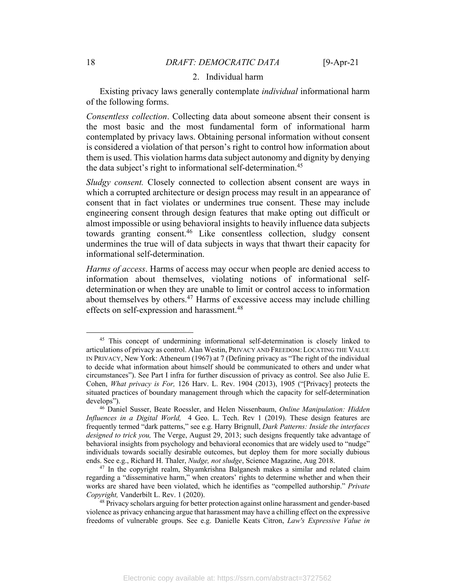### 2. Individual harm

Existing privacy laws generally contemplate *individual* informational harm of the following forms.

*Consentless collection*. Collecting data about someone absent their consent is the most basic and the most fundamental form of informational harm contemplated by privacy laws. Obtaining personal information without consent is considered a violation of that person's right to control how information about them is used. This violation harms data subject autonomy and dignity by denying the data subject's right to informational self-determination.<sup>45</sup>

*Sludgy consent.* Closely connected to collection absent consent are ways in which a corrupted architecture or design process may result in an appearance of consent that in fact violates or undermines true consent. These may include engineering consent through design features that make opting out difficult or almost impossible or using behavioral insights to heavily influence data subjects towards granting consent.46 Like consentless collection, sludgy consent undermines the true will of data subjects in ways that thwart their capacity for informational self-determination.

*Harms of access*. Harms of access may occur when people are denied access to information about themselves, violating notions of informational selfdetermination or when they are unable to limit or control access to information about themselves by others. $47$  Harms of excessive access may include chilling effects on self-expression and harassment.<sup>48</sup>

<sup>&</sup>lt;sup>45</sup> This concept of undermining informational self-determination is closely linked to articulations of privacy as control. Alan Westin, PRIVACY AND FREEDOM: LOCATING THE VALUE IN PRIVACY, New York: Atheneum (1967) at 7 (Defining privacy as "The right of the individual to decide what information about himself should be communicated to others and under what circumstances"). See Part I infra for further discussion of privacy as control. See also Julie E. Cohen, *What privacy is For,* 126 Harv. L. Rev. 1904 (2013), 1905 ("[Privacy] protects the situated practices of boundary management through which the capacity for self-determination develops").

<sup>46</sup> Daniel Susser, Beate Roessler, and Helen Nissenbaum, *Online Manipulation: Hidden Influences in a Digital World,* 4 Geo. L. Tech. Rev 1 (2019). These design features are frequently termed "dark patterns," see e.g. Harry Brignull, *Dark Patterns: Inside the interfaces designed to trick you,* The Verge, August 29, 2013; such designs frequently take advantage of behavioral insights from psychology and behavioral economics that are widely used to "nudge" individuals towards socially desirable outcomes, but deploy them for more socially dubious ends. See e.g., Richard H. Thaler, *Nudge, not sludge*, Science Magazine, Aug 2018. 47 In the copyright realm, Shyamkrishna Balganesh makes a similar and related claim

regarding a "disseminative harm," when creators' rights to determine whether and when their works are shared have been violated, which he identifies as "compelled authorship." *Private Copyright,* Vanderbilt L. Rev. 1 (2020). 48 Privacy scholars arguing for better protection against online harassment and gender-based

violence as privacy enhancing argue that harassment may have a chilling effect on the expressive freedoms of vulnerable groups. See e.g. Danielle Keats Citron, *Law's Expressive Value in*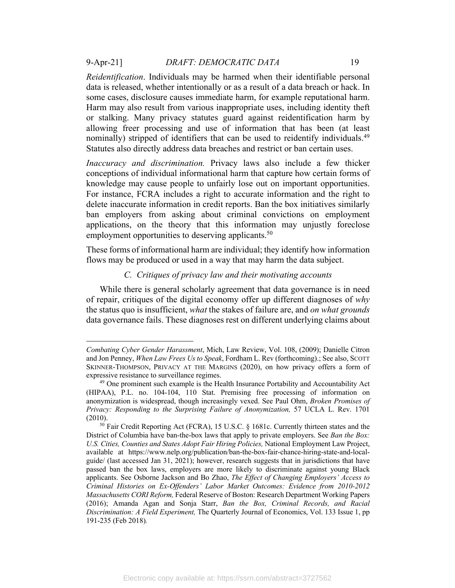*Reidentification*. Individuals may be harmed when their identifiable personal data is released, whether intentionally or as a result of a data breach or hack. In some cases, disclosure causes immediate harm, for example reputational harm. Harm may also result from various inappropriate uses, including identity theft or stalking. Many privacy statutes guard against reidentification harm by allowing freer processing and use of information that has been (at least nominally) stripped of identifiers that can be used to reidentify individuals.<sup>49</sup> Statutes also directly address data breaches and restrict or ban certain uses.

*Inaccuracy and discrimination.* Privacy laws also include a few thicker conceptions of individual informational harm that capture how certain forms of knowledge may cause people to unfairly lose out on important opportunities. For instance, FCRA includes a right to accurate information and the right to delete inaccurate information in credit reports. Ban the box initiatives similarly ban employers from asking about criminal convictions on employment applications, on the theory that this information may unjustly foreclose employment opportunities to deserving applicants.<sup>50</sup>

These forms of informational harm are individual; they identify how information flows may be produced or used in a way that may harm the data subject.

# *C. Critiques of privacy law and their motivating accounts*

While there is general scholarly agreement that data governance is in need of repair, critiques of the digital economy offer up different diagnoses of *why* the status quo is insufficient, *what* the stakes of failure are, and *on what grounds* data governance fails. These diagnoses rest on different underlying claims about

*Combating Cyber Gender Harassment*, Mich, Law Review, Vol. 108, (2009); Danielle Citron and Jon Penney, *When Law Frees Us to Speak*, Fordham L. Rev (forthcoming).; See also, SCOTT SKINNER-THOMPSON, PRIVACY AT THE MARGINS (2020), on how privacy offers a form of expressive resistance to surveillance regimes. 49 One prominent such example is the Health Insurance Portability and Accountability Act

<sup>(</sup>HIPAA), P.L. no. 104-104, 110 Stat. Premising free processing of information on anonymization is widespread, though increasingly vexed. See Paul Ohm, *Broken Promises of Privacy: Responding to the Surprising Failure of Anonymization,* 57 UCLA L. Rev. 1701 (2010). 50 Fair Credit Reporting Act (FCRA), 15 U.S.C. § 1681c. Currently thirteen states and the

District of Columbia have ban-the-box laws that apply to private employers. See *Ban the Box: U.S. Cities, Counties and States Adopt Fair Hiring Policies,* National Employment Law Project, available at https://www.nelp.org/publication/ban-the-box-fair-chance-hiring-state-and-localguide/ (last accessed Jan 31, 2021); however, research suggests that in jurisdictions that have passed ban the box laws, employers are more likely to discriminate against young Black applicants. See Osborne Jackson and Bo Zhao, *The Effect of Changing Employers' Access to Criminal Histories on Ex-Offenders' Labor Market Outcomes: Evidence from 2010-2012 Massachusetts CORI Reform,* Federal Reserve of Boston: Research Department Working Papers (2016); Amanda Agan and Sonja Starr, *Ban the Box, Criminal Records, and Racial Discrimination: A Field Experiment,* The Quarterly Journal of Economics, Vol. 133 Issue 1, pp 191-235 (Feb 2018)*.*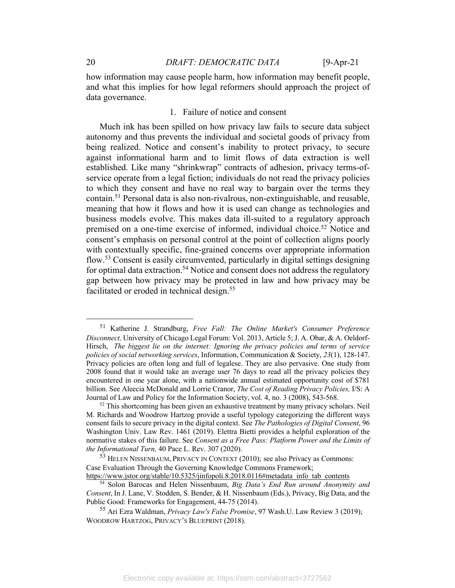how information may cause people harm, how information may benefit people, and what this implies for how legal reformers should approach the project of data governance.

# 1. Failure of notice and consent

Much ink has been spilled on how privacy law fails to secure data subject autonomy and thus prevents the individual and societal goods of privacy from being realized. Notice and consent's inability to protect privacy, to secure against informational harm and to limit flows of data extraction is well established. Like many "shrinkwrap" contracts of adhesion, privacy terms-ofservice operate from a legal fiction; individuals do not read the privacy policies to which they consent and have no real way to bargain over the terms they contain.51 Personal data is also non-rivalrous, non-extinguishable, and reusable, meaning that how it flows and how it is used can change as technologies and business models evolve. This makes data ill-suited to a regulatory approach premised on a one-time exercise of informed, individual choice.<sup>52</sup> Notice and consent's emphasis on personal control at the point of collection aligns poorly with contextually specific, fine-grained concerns over appropriate information flow.53 Consent is easily circumvented, particularly in digital settings designing for optimal data extraction.<sup>54</sup> Notice and consent does not address the regulatory gap between how privacy may be protected in law and how privacy may be facilitated or eroded in technical design.<sup>55</sup>

<sup>51</sup> Katherine J. Strandburg, *Free Fall: The Online Market's Consumer Preference Disconnect,* University of Chicago Legal Forum: Vol. 2013, Article 5; J. A. Obar, & A. Oeldorf-Hirsch, *The biggest lie on the internet: Ignoring the privacy policies and terms of service policies of social networking services*, Information, Communication & Society, *23*(1), 128-147. Privacy policies are often long and full of legalese. They are also pervasive. One study from 2008 found that it would take an average user 76 days to read all the privacy policies they encountered in one year alone, with a nationwide annual estimated opportunity cost of \$781 billion. See Aleecia McDonald and Lorrie Cranor, *The Cost of Reading Privacy Policies,* I/S: A Journal of Law and Policy for the Information Society, vol. 4, no. 3 (2008), 543-568.

<sup>&</sup>lt;sup>52</sup> This shortcoming has been given an exhaustive treatment by many privacy scholars. Neil M. Richards and Woodrow Hartzog provide a useful typology categorizing the different ways consent fails to secure privacy in the digital context. See *The Pathologies of Digital Consent*, 96 Washington Univ. Law Rev. 1461 (2019). Elettra Bietti provides a helpful exploration of the normative stakes of this failure. See *Consent as a Free Pass: Platform Power and the Limits of the Informational Turn,* 40 Pace L. Rev. 307 (2020).

<sup>53</sup> HELEN NISSENBAUM, PRIVACY IN CONTEXT (2010); see also Privacy as Commons: Case Evaluation Through the Governing Knowledge Commons Framework; https://www.jstor.org/stable/10.5325/jinfopoli.8.2018.0116#metadata\_info\_tab\_contents

<sup>54</sup> Solon Barocas and Helen Nissenbaum, *Big Data's End Run around Anonymity and Consent*, In J. Lane, V. Stodden, S. Bender, & H. Nissenbaum (Eds.), Privacy, Big Data, and the Public Good: Frameworks for Engagement, 44-75 (2014).

<sup>55</sup> Ari Ezra Waldman, *Privacy Law's False Promise*, 97 Wash.U. Law Review 3 (2019); WOODROW HARTZOG, PRIVACY'S BLUEPRINT (2018).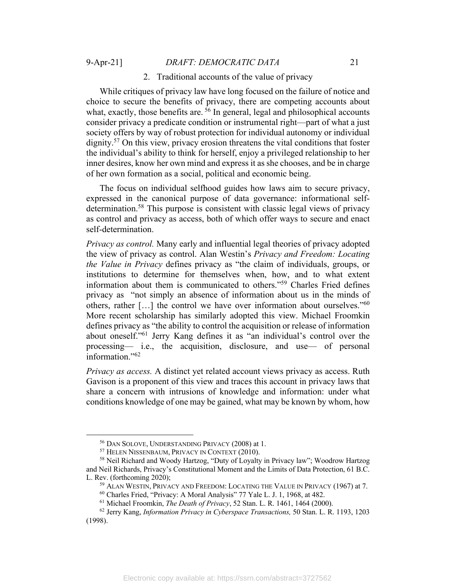### 2. Traditional accounts of the value of privacy

While critiques of privacy law have long focused on the failure of notice and choice to secure the benefits of privacy, there are competing accounts about what, exactly, those benefits are.  $56$  In general, legal and philosophical accounts consider privacy a predicate condition or instrumental right—part of what a just society offers by way of robust protection for individual autonomy or individual dignity.57 On this view, privacy erosion threatens the vital conditions that foster the individual's ability to think for herself, enjoy a privileged relationship to her inner desires, know her own mind and express it as she chooses, and be in charge of her own formation as a social, political and economic being.

The focus on individual selfhood guides how laws aim to secure privacy, expressed in the canonical purpose of data governance: informational selfdetermination.58 This purpose is consistent with classic legal views of privacy as control and privacy as access, both of which offer ways to secure and enact self-determination.

*Privacy as control.* Many early and influential legal theories of privacy adopted the view of privacy as control. Alan Westin's *Privacy and Freedom: Locating the Value in Privacy* defines privacy as "the claim of individuals, groups, or institutions to determine for themselves when, how, and to what extent information about them is communicated to others."59 Charles Fried defines privacy as "not simply an absence of information about us in the minds of others, rather  $[\ldots]$  the control we have over information about ourselves."<sup>60</sup> More recent scholarship has similarly adopted this view. Michael Froomkin defines privacy as "the ability to control the acquisition or release of information about oneself."61 Jerry Kang defines it as "an individual's control over the processing— i.e., the acquisition, disclosure, and use— of personal information."62

*Privacy as access.* A distinct yet related account views privacy as access. Ruth Gavison is a proponent of this view and traces this account in privacy laws that share a concern with intrusions of knowledge and information: under what conditions knowledge of one may be gained, what may be known by whom, how

<sup>&</sup>lt;sup>56</sup> DAN SOLOVE, UNDERSTANDING PRIVACY (2008) at 1.<br><sup>57</sup> Helen Nissenbaum, Privacy in Context (2010).

<sup>58</sup> Neil Richard and Woody Hartzog, "Duty of Loyalty in Privacy law"; Woodrow Hartzog and Neil Richards, Privacy's Constitutional Moment and the Limits of Data Protection, 61 B.C. L. Rev. (forthcoming 2020);<br><sup>59</sup> ALAN WESTIN, PRIVACY AND FREEDOM: LOCATING THE VALUE IN PRIVACY (1967) at 7.

<sup>60</sup> Charles Fried, "Privacy: A Moral Analysis" 77 Yale L. J. 1, 1968, at 482.

<sup>61</sup> Michael Froomkin, *The Death of Privacy*, 52 Stan. L. R. 1461, 1464 (2000).

<sup>62</sup> Jerry Kang, *Information Privacy in Cyberspace Transactions,* 50 Stan. L. R. 1193, 1203 (1998).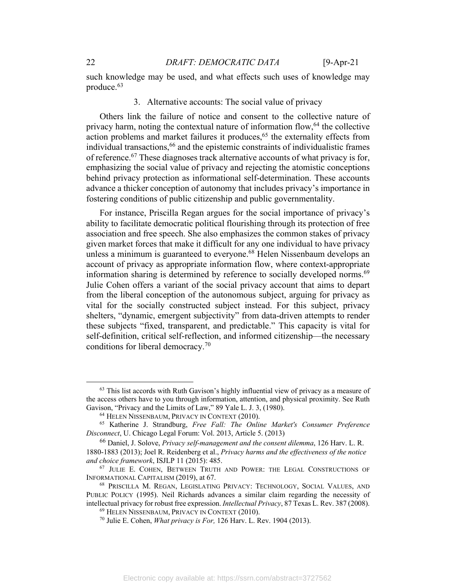such knowledge may be used, and what effects such uses of knowledge may produce.63

### 3. Alternative accounts: The social value of privacy

Others link the failure of notice and consent to the collective nature of privacy harm, noting the contextual nature of information flow, $64$  the collective  $\alpha$  action problems and market failures it produces,<sup>65</sup> the externality effects from individual transactions,<sup>66</sup> and the epistemic constraints of individualistic frames of reference.67 These diagnoses track alternative accounts of what privacy is for, emphasizing the social value of privacy and rejecting the atomistic conceptions behind privacy protection as informational self-determination. These accounts advance a thicker conception of autonomy that includes privacy's importance in fostering conditions of public citizenship and public governmentality.

For instance, Priscilla Regan argues for the social importance of privacy's ability to facilitate democratic political flourishing through its protection of free association and free speech. She also emphasizes the common stakes of privacy given market forces that make it difficult for any one individual to have privacy unless a minimum is guaranteed to everyone.<sup>68</sup> Helen Nissenbaum develops an account of privacy as appropriate information flow, where context-appropriate information sharing is determined by reference to socially developed norms.<sup>69</sup> Julie Cohen offers a variant of the social privacy account that aims to depart from the liberal conception of the autonomous subject, arguing for privacy as vital for the socially constructed subject instead. For this subject, privacy shelters, "dynamic, emergent subjectivity" from data-driven attempts to render these subjects "fixed, transparent, and predictable." This capacity is vital for self-definition, critical self-reflection, and informed citizenship—the necessary conditions for liberal democracy.70

<sup>63</sup> This list accords with Ruth Gavison's highly influential view of privacy as a measure of the access others have to you through information, attention, and physical proximity. See Ruth Gavison, "Privacy and the Limits of Law," 89 Yale L. J. 3, (1980).

<sup>64</sup> HELEN NISSENBAUM, PRIVACY IN CONTEXT (2010).

<sup>65</sup> Katherine J. Strandburg, *Free Fall: The Online Market's Consumer Preference Disconnect*, U. Chicago Legal Forum: Vol. 2013, Article 5. (2013)

<sup>66</sup> Daniel, J. Solove, *Privacy self-management and the consent dilemma*, 126 Harv. L. R. 1880-1883 (2013); Joel R. Reidenberg et al., *Privacy harms and the effectiveness of the notice and choice framework*, ISJLP 11 (2015): 485.

<sup>67</sup> JULIE E. COHEN, BETWEEN TRUTH AND POWER: THE LEGAL CONSTRUCTIONS OF INFORMATIONAL CAPITALISM (2019), at 67.

<sup>68</sup> PRISCILLA M. REGAN, LEGISLATING PRIVACY: TECHNOLOGY, SOCIAL VALUES, AND PUBLIC POLICY (1995). Neil Richards advances a similar claim regarding the necessity of intellectual privacy for robust free expression. *Intellectual Privacy*, 87 Texas L. Rev. 387 (2008).

<sup>69</sup> HELEN NISSENBAUM, PRIVACY IN CONTEXT (2010).

<sup>70</sup> Julie E. Cohen, *What privacy is For,* 126 Harv. L. Rev. 1904 (2013).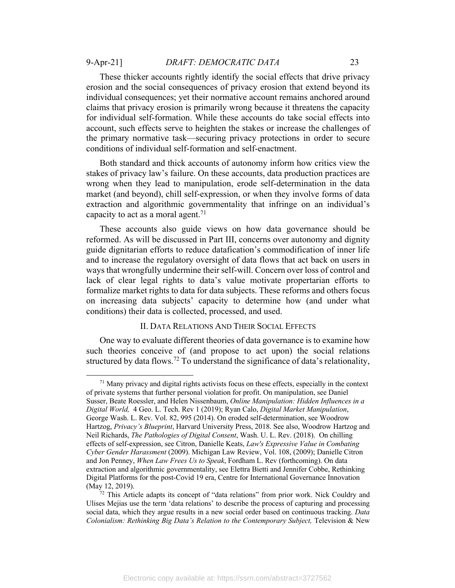These thicker accounts rightly identify the social effects that drive privacy erosion and the social consequences of privacy erosion that extend beyond its individual consequences; yet their normative account remains anchored around claims that privacy erosion is primarily wrong because it threatens the capacity for individual self-formation. While these accounts do take social effects into account, such effects serve to heighten the stakes or increase the challenges of the primary normative task—securing privacy protections in order to secure conditions of individual self-formation and self-enactment.

Both standard and thick accounts of autonomy inform how critics view the stakes of privacy law's failure. On these accounts, data production practices are wrong when they lead to manipulation, erode self-determination in the data market (and beyond), chill self-expression, or when they involve forms of data extraction and algorithmic governmentality that infringe on an individual's capacity to act as a moral agent.<sup>71</sup>

These accounts also guide views on how data governance should be reformed. As will be discussed in Part III, concerns over autonomy and dignity guide dignitarian efforts to reduce datafication's commodification of inner life and to increase the regulatory oversight of data flows that act back on users in ways that wrongfully undermine their self-will. Concern over loss of control and lack of clear legal rights to data's value motivate propertarian efforts to formalize market rights to data for data subjects. These reforms and others focus on increasing data subjects' capacity to determine how (and under what conditions) their data is collected, processed, and used.

# II. DATA RELATIONS AND THEIR SOCIAL EFFECTS

One way to evaluate different theories of data governance is to examine how such theories conceive of (and propose to act upon) the social relations structured by data flows.72 To understand the significance of data's relationality,

 $71$  Many privacy and digital rights activists focus on these effects, especially in the context of private systems that further personal violation for profit. On manipulation, see Daniel Susser, Beate Roessler, and Helen Nissenbaum, *Online Manipulation: Hidden Influences in a Digital World,* 4 Geo. L. Tech. Rev 1 (2019); Ryan Calo, *Digital Market Manipulation*, George Wash. L. Rev. Vol. 82, 995 (2014). On eroded self-determination, see Woodrow Hartzog, *Privacy's Blueprint*, Harvard University Press, 2018. See also, Woodrow Hartzog and Neil Richards, *The Pathologies of Digital Consent*, Wash. U. L. Rev. (2018). On chilling effects of self-expression, see Citron, Danielle Keats, *Law's Expressive Value in Combating Cyber Gender Harassment* (2009). Michigan Law Review, Vol. 108, (2009); Danielle Citron and Jon Penney, *When Law Frees Us to Speak*, Fordham L. Rev (forthcoming). On data extraction and algorithmic governmentality, see Elettra Bietti and Jennifer Cobbe, Rethinking Digital Platforms for the post-Covid 19 era, Centre for International Governance Innovation (May 12, 2019).  $\frac{72 \text{ This Article adapts its concept of "data relations" from prior work. Nick Couldry and}$ 

Ulises Mejias use the term 'data relations' to describe the process of capturing and processing social data, which they argue results in a new social order based on continuous tracking. *Data Colonialism: Rethinking Big Data's Relation to the Contemporary Subject,* Television & New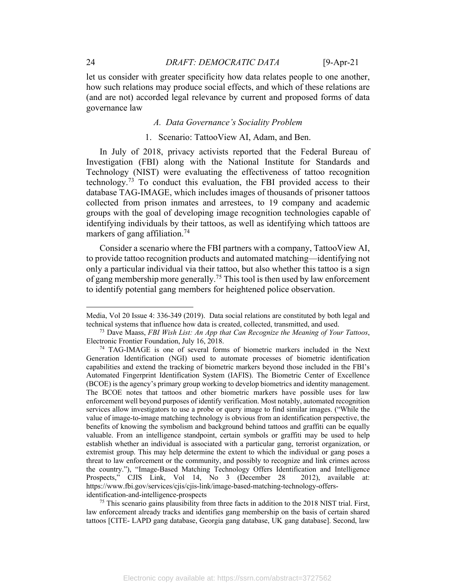let us consider with greater specificity how data relates people to one another, how such relations may produce social effects, and which of these relations are (and are not) accorded legal relevance by current and proposed forms of data governance law

# *A. Data Governance's Sociality Problem*

#### 1. Scenario: TattooView AI, Adam, and Ben.

In July of 2018, privacy activists reported that the Federal Bureau of Investigation (FBI) along with the National Institute for Standards and Technology (NIST) were evaluating the effectiveness of tattoo recognition technology.<sup>73</sup> To conduct this evaluation, the FBI provided access to their database TAG-IMAGE, which includes images of thousands of prisoner tattoos collected from prison inmates and arrestees, to 19 company and academic groups with the goal of developing image recognition technologies capable of identifying individuals by their tattoos, as well as identifying which tattoos are markers of gang affiliation.<sup>74</sup>

Consider a scenario where the FBI partners with a company, TattooView AI, to provide tattoo recognition products and automated matching—identifying not only a particular individual via their tattoo, but also whether this tattoo is a sign of gang membership more generally.<sup>75</sup> This tool is then used by law enforcement to identify potential gang members for heightened police observation.

 $<sup>75</sup>$  This scenario gains plausibility from three facts in addition to the 2018 NIST trial. First,</sup> law enforcement already tracks and identifies gang membership on the basis of certain shared tattoos [CITE- LAPD gang database, Georgia gang database, UK gang database]. Second, law

Media, Vol 20 Issue 4: 336-349 (2019). Data social relations are constituted by both legal and technical systems that influence how data is created, collected, transmitted, and used.

<sup>73</sup> Dave Maass, *FBI Wish List: An App that Can Recognize the Meaning of Your Tattoos*, Electronic Frontier Foundation, July 16, 2018. 74 TAG-IMAGE is one of several forms of biometric markers included in the Next

Generation Identification (NGI) used to automate processes of biometric identification capabilities and extend the tracking of biometric markers beyond those included in the FBI's Automated Fingerprint Identification System (IAFIS). The Biometric Center of Excellence (BCOE) is the agency's primary group working to develop biometrics and identity management. The BCOE notes that tattoos and other biometric markers have possible uses for law enforcement well beyond purposes of identify verification. Most notably, automated recognition services allow investigators to use a probe or query image to find similar images. ("While the value of image-to-image matching technology is obvious from an identification perspective, the benefits of knowing the symbolism and background behind tattoos and graffiti can be equally valuable. From an intelligence standpoint, certain symbols or graffiti may be used to help establish whether an individual is associated with a particular gang, terrorist organization, or extremist group. This may help determine the extent to which the individual or gang poses a threat to law enforcement or the community, and possibly to recognize and link crimes across the country."), "Image-Based Matching Technology Offers Identification and Intelligence Prospects," CJIS Link, Vol 14, No 3 (December 28 2012), available at: https://www.fbi.gov/services/cjis/cjis-link/image-based-matching-technology-offersidentification-and-intelligence-prospects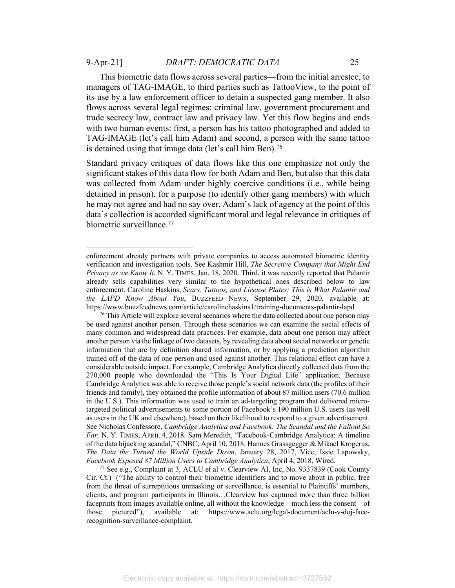This biometric data flows across several parties—from the initial arrestee, to managers of TAG-IMAGE, to third parties such as TattooView, to the point of its use by a law enforcement officer to detain a suspected gang member. It also flows across several legal regimes: criminal law, government procurement and trade secrecy law, contract law and privacy law. Yet this flow begins and ends with two human events: first, a person has his tattoo photographed and added to TAG-IMAGE (let's call him Adam) and second, a person with the same tattoo is detained using that image data (let's call him Ben).<sup>76</sup>

Standard privacy critiques of data flows like this one emphasize not only the significant stakes of this data flow for both Adam and Ben, but also that this data was collected from Adam under highly coercive conditions (i.e., while being detained in prison), for a purpose (to identify other gang members) with which he may not agree and had no say over. Adam's lack of agency at the point of this data's collection is accorded significant moral and legal relevance in critiques of biometric surveillance.<sup>77</sup>

<sup>77</sup> See e.g., Complaint at 3, ACLU et al v. Clearview AI, Inc, No. 9337839 (Cook County Cir. Ct.) ("The ability to control their biometric identifiers and to move about in public, free from the threat of surreptitious unmasking or surveillance, is essential to Plaintiffs' members, clients, and program participants in Illinois…Clearview has captured more than three billion faceprints from images available online, all without the knowledge—much less the consent—of those pictured"), available at: https://www.aclu.org/legal-document/aclu-v-doj-facerecognition-surveillance-complaint.

enforcement already partners with private companies to access automated biometric identity verification and investigation tools. See Kashmir Hill, *The Secretive Company that Might End Privacy as we Know It*, N. Y. TIMES, Jan. 18, 2020. Third, it was recently reported that Palantir already sells capabilities very similar to the hypothetical ones described below to law enforcement. Caroline Haskins, *Scars, Tattoos, and License Plates: This is What Palantir and the LAPD Know About You*, BUZZFEED NEWS, September 29, 2020, available at: https://www.buzzfeednews.com/article/carolinehaskins1/training-documents-palantir-lapd

 $76$  This Article will explore several scenarios where the data collected about one person may be used against another person. Through these scenarios we can examine the social effects of many common and widespread data practices. For example, data about one person may affect another person via the linkage of two datasets, by revealing data about social networks or genetic information that are by definition shared information, or by applying a prediction algorithm trained off of the data of one person and used against another. This relational effect can have a considerable outside impact. For example, Cambridge Analytica directly collected data from the 270,000 people who downloaded the "This Is Your Digital Life" application. Because Cambridge Analytica was able to receive those people's social network data (the profiles of their friends and family), they obtained the profile information of about 87 million users (70.6 million in the U.S.). This information was used to train an ad-targeting program that delivered microtargeted political advertisements to some portion of Facebook's 190 million U.S. users (as well as users in the UK and elsewhere), based on their likelihood to respond to a given advertisement. See Nicholas Confessore, *Cambridge Analytica and Facebook: The Scandal and the Fallout So Far,* N. Y. TIMES, APRIL 4, 2018. Sam Meredith, "Facebook-Cambridge Analytica: A timeline of the data hijacking scandal," CNBC, April 10, 2018. Hannes Grassgegger & Mikael Krogerus, *The Data the Turned the World Upside Down*, January 28, 2017, Vice; Issie Lapowsky, *Facebook Exposed 87 Million Users to Cambridge Analytica*, April 4, 2018, Wired.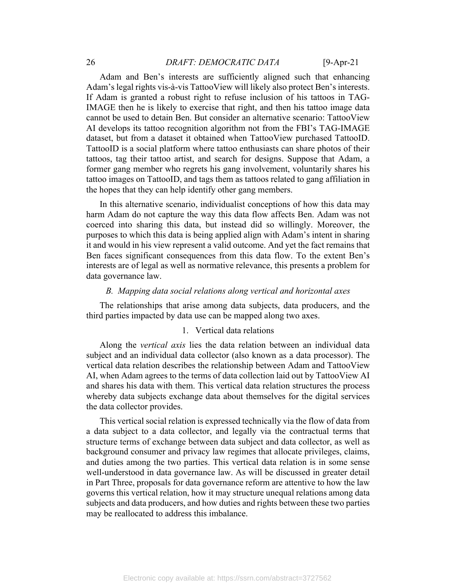# 26 *DRAFT: DEMOCRATIC DATA* [9-Apr-21

Adam and Ben's interests are sufficiently aligned such that enhancing Adam's legal rights vis-à-vis TattooView will likely also protect Ben's interests. If Adam is granted a robust right to refuse inclusion of his tattoos in TAG-IMAGE then he is likely to exercise that right, and then his tattoo image data cannot be used to detain Ben. But consider an alternative scenario: TattooView AI develops its tattoo recognition algorithm not from the FBI's TAG-IMAGE dataset, but from a dataset it obtained when TattooView purchased TattooID. TattooID is a social platform where tattoo enthusiasts can share photos of their tattoos, tag their tattoo artist, and search for designs. Suppose that Adam, a former gang member who regrets his gang involvement, voluntarily shares his tattoo images on TattooID, and tags them as tattoos related to gang affiliation in the hopes that they can help identify other gang members.

In this alternative scenario, individualist conceptions of how this data may harm Adam do not capture the way this data flow affects Ben. Adam was not coerced into sharing this data, but instead did so willingly. Moreover, the purposes to which this data is being applied align with Adam's intent in sharing it and would in his view represent a valid outcome. And yet the fact remains that Ben faces significant consequences from this data flow. To the extent Ben's interests are of legal as well as normative relevance, this presents a problem for data governance law.

#### *B. Mapping data social relations along vertical and horizontal axes*

The relationships that arise among data subjects, data producers, and the third parties impacted by data use can be mapped along two axes.

#### 1. Vertical data relations

Along the *vertical axis* lies the data relation between an individual data subject and an individual data collector (also known as a data processor). The vertical data relation describes the relationship between Adam and TattooView AI, when Adam agrees to the terms of data collection laid out by TattooView AI and shares his data with them. This vertical data relation structures the process whereby data subjects exchange data about themselves for the digital services the data collector provides.

This vertical social relation is expressed technically via the flow of data from a data subject to a data collector, and legally via the contractual terms that structure terms of exchange between data subject and data collector, as well as background consumer and privacy law regimes that allocate privileges, claims, and duties among the two parties. This vertical data relation is in some sense well-understood in data governance law. As will be discussed in greater detail in Part Three, proposals for data governance reform are attentive to how the law governs this vertical relation, how it may structure unequal relations among data subjects and data producers, and how duties and rights between these two parties may be reallocated to address this imbalance.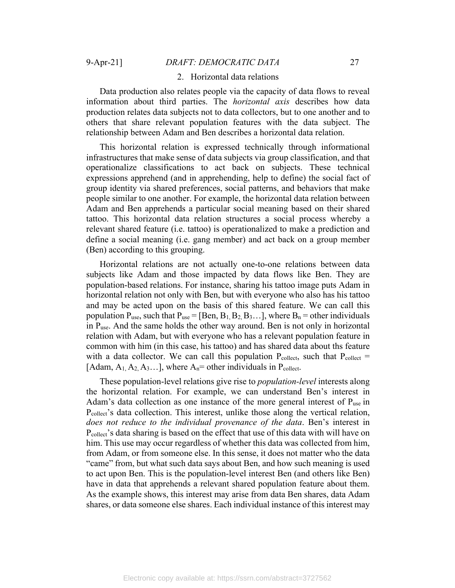#### 2. Horizontal data relations

Data production also relates people via the capacity of data flows to reveal information about third parties. The *horizontal axis* describes how data production relates data subjects not to data collectors, but to one another and to others that share relevant population features with the data subject. The relationship between Adam and Ben describes a horizontal data relation.

This horizontal relation is expressed technically through informational infrastructures that make sense of data subjects via group classification, and that operationalize classifications to act back on subjects. These technical expressions apprehend (and in apprehending, help to define) the social fact of group identity via shared preferences, social patterns, and behaviors that make people similar to one another. For example, the horizontal data relation between Adam and Ben apprehends a particular social meaning based on their shared tattoo. This horizontal data relation structures a social process whereby a relevant shared feature (i.e. tattoo) is operationalized to make a prediction and define a social meaning (i.e. gang member) and act back on a group member (Ben) according to this grouping.

Horizontal relations are not actually one-to-one relations between data subjects like Adam and those impacted by data flows like Ben. They are population-based relations. For instance, sharing his tattoo image puts Adam in horizontal relation not only with Ben, but with everyone who also has his tattoo and may be acted upon on the basis of this shared feature. We can call this population  $P_{use}$ , such that  $P_{use} = [Ben, B_1, B_2, B_3, \ldots]$ , where  $B_n =$  other individuals in Puse. And the same holds the other way around. Ben is not only in horizontal relation with Adam, but with everyone who has a relevant population feature in common with him (in this case, his tattoo) and has shared data about ths feature with a data collector. We can call this population  $P_{\text{collect}}$ , such that  $P_{\text{collect}} =$ [Adam,  $A_1$ ,  $A_2$ ,  $A_3$ ...], where  $A_n$ = other individuals in P<sub>collect</sub>.

These population-level relations give rise to *population-level* interests along the horizontal relation. For example, we can understand Ben's interest in Adam's data collection as one instance of the more general interest of  $P_{use}$  in P<sub>collect</sub>'s data collection. This interest, unlike those along the vertical relation, *does not reduce to the individual provenance of the data*. Ben's interest in Pcollect's data sharing is based on the effect that use of this data with will have on him. This use may occur regardless of whether this data was collected from him, from Adam, or from someone else. In this sense, it does not matter who the data "came" from, but what such data says about Ben, and how such meaning is used to act upon Ben. This is the population-level interest Ben (and others like Ben) have in data that apprehends a relevant shared population feature about them. As the example shows, this interest may arise from data Ben shares, data Adam shares, or data someone else shares. Each individual instance of this interest may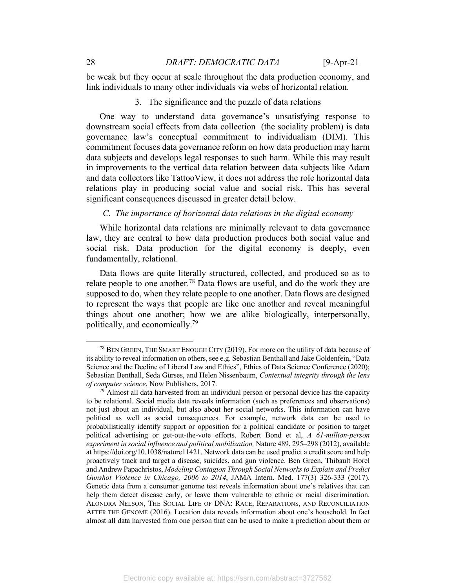be weak but they occur at scale throughout the data production economy, and link individuals to many other individuals via webs of horizontal relation.

# 3. The significance and the puzzle of data relations

One way to understand data governance's unsatisfying response to downstream social effects from data collection (the sociality problem) is data governance law's conceptual commitment to individualism (DIM). This commitment focuses data governance reform on how data production may harm data subjects and develops legal responses to such harm. While this may result in improvements to the vertical data relation between data subjects like Adam and data collectors like TattooView, it does not address the role horizontal data relations play in producing social value and social risk. This has several significant consequences discussed in greater detail below.

### *C. The importance of horizontal data relations in the digital economy*

While horizontal data relations are minimally relevant to data governance law, they are central to how data production produces both social value and social risk. Data production for the digital economy is deeply, even fundamentally, relational.

Data flows are quite literally structured, collected, and produced so as to relate people to one another.<sup>78</sup> Data flows are useful, and do the work they are supposed to do, when they relate people to one another. Data flows are designed to represent the ways that people are like one another and reveal meaningful things about one another; how we are alike biologically, interpersonally, politically, and economically.79

<sup>78</sup> BEN GREEN, THE SMART ENOUGH CITY (2019). For more on the utility of data because of its ability to reveal information on others, see e.g. Sebastian Benthall and Jake Goldenfein, "Data Science and the Decline of Liberal Law and Ethics", Ethics of Data Science Conference (2020); Sebastian Benthall, Seda Gürses, and Helen Nissenbaum, *Contextual integrity through the lens of computer science*, Now Publishers, 2017.

 $79$  Almost all data harvested from an individual person or personal device has the capacity to be relational. Social media data reveals information (such as preferences and observations) not just about an individual, but also about her social networks. This information can have political as well as social consequences. For example, network data can be used to probabilistically identify support or opposition for a political candidate or position to target political advertising or get-out-the-vote efforts. Robert Bond et al, *A 61-million-person experiment in social influence and political mobilization,* Nature 489, 295–298 (2012), available at https://doi.org/10.1038/nature11421. Network data can be used predict a credit score and help proactively track and target a disease, suicides, and gun violence. Ben Green, Thibault Horel and Andrew Papachristos, *Modeling Contagion Through Social Networks to Explain and Predict Gunshot Violence in Chicago, 2006 to 2014*, JAMA Intern. Med. 177(3) 326-333 (2017). Genetic data from a consumer genome test reveals information about one's relatives that can help them detect disease early, or leave them vulnerable to ethnic or racial discrimination. ALONDRA NELSON, THE SOCIAL LIFE OF DNA: RACE, REPARATIONS, AND RECONCILIATION AFTER THE GENOME (2016). Location data reveals information about one's household. In fact almost all data harvested from one person that can be used to make a prediction about them or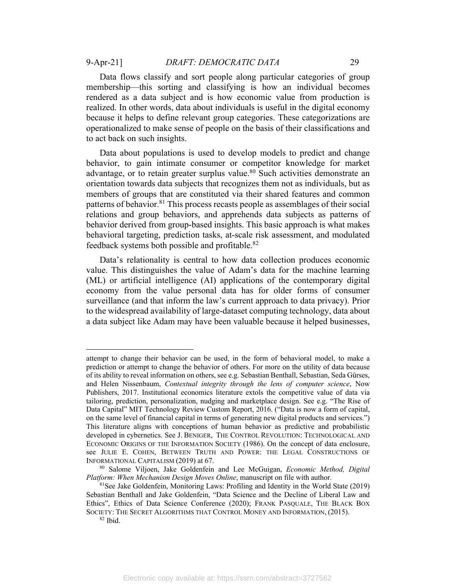to act back on such insights.

Data flows classify and sort people along particular categories of group membership—this sorting and classifying is how an individual becomes rendered as a data subject and is how economic value from production is realized. In other words, data about individuals is useful in the digital economy because it helps to define relevant group categories. These categorizations are operationalized to make sense of people on the basis of their classifications and

Data about populations is used to develop models to predict and change behavior, to gain intimate consumer or competitor knowledge for market advantage, or to retain greater surplus value.<sup>80</sup> Such activities demonstrate an orientation towards data subjects that recognizes them not as individuals, but as members of groups that are constituted via their shared features and common patterns of behavior.<sup>81</sup> This process recasts people as assemblages of their social relations and group behaviors, and apprehends data subjects as patterns of behavior derived from group-based insights. This basic approach is what makes behavioral targeting, prediction tasks, at-scale risk assessment, and modulated feedback systems both possible and profitable.82

Data's relationality is central to how data collection produces economic value. This distinguishes the value of Adam's data for the machine learning (ML) or artificial intelligence (AI) applications of the contemporary digital economy from the value personal data has for older forms of consumer surveillance (and that inform the law's current approach to data privacy). Prior to the widespread availability of large-dataset computing technology, data about a data subject like Adam may have been valuable because it helped businesses,

attempt to change their behavior can be used, in the form of behavioral model, to make a prediction or attempt to change the behavior of others. For more on the utility of data because of its ability to reveal information on others, see e.g. Sebastian Benthall, Sebastian, Seda Gürses, and Helen Nissenbaum, *Contextual integrity through the lens of computer science*, Now Publishers, 2017. Institutional economics literature extols the competitive value of data via tailoring, prediction, personalization, nudging and marketplace design. See e.g. "The Rise of Data Capital" MIT Technology Review Custom Report, 2016. ("Data is now a form of capital, on the same level of financial capital in terms of generating new digital products and services.") This literature aligns with conceptions of human behavior as predictive and probabilistic developed in cybernetics. See J. BENIGER, THE CONTROL REVOLUTION: TECHNOLOGICAL AND ECONOMIC ORIGINS OF THE INFORMATION SOCIETY (1986). On the concept of data enclosure, see JULIE E. COHEN, BETWEEN TRUTH AND POWER: THE LEGAL CONSTRUCTIONS OF INFORMATIONAL CAPITALISM (2019) at 67.

<sup>80</sup> Salome Viljoen, Jake Goldenfein and Lee McGuigan, *Economic Method, Digital Platform: When Mechanism Design Moves Online*, manuscript on file with author.<br><sup>81</sup>See Jake Goldenfein, Monitoring Laws: Profiling and Identity in the World State (2019)

Sebastian Benthall and Jake Goldenfein, "Data Science and the Decline of Liberal Law and Ethics", Ethics of Data Science Conference (2020); FRANK PASQUALE, THE BLACK BOX SOCIETY: THE SECRET ALGORITHMS THAT CONTROL MONEY AND INFORMATION, (2015).<br><sup>82</sup> Ibid.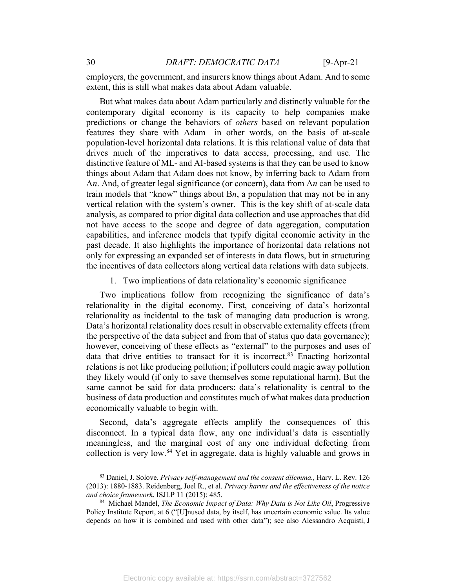employers, the government, and insurers know things about Adam. And to some extent, this is still what makes data about Adam valuable.

But what makes data about Adam particularly and distinctly valuable for the contemporary digital economy is its capacity to help companies make predictions or change the behaviors of *others* based on relevant population features they share with Adam—in other words, on the basis of at-scale population-level horizontal data relations. It is this relational value of data that drives much of the imperatives to data access, processing, and use. The distinctive feature of ML- and AI-based systems is that they can be used to know things about Adam that Adam does not know, by inferring back to Adam from A*n*. And, of greater legal significance (or concern), data from A*n* can be used to train models that "know" things about B*n*, a population that may not be in any vertical relation with the system's owner. This is the key shift of at-scale data analysis, as compared to prior digital data collection and use approaches that did not have access to the scope and degree of data aggregation, computation capabilities, and inference models that typify digital economic activity in the past decade. It also highlights the importance of horizontal data relations not only for expressing an expanded set of interests in data flows, but in structuring the incentives of data collectors along vertical data relations with data subjects.

1. Two implications of data relationality's economic significance

Two implications follow from recognizing the significance of data's relationality in the digital economy. First, conceiving of data's horizontal relationality as incidental to the task of managing data production is wrong. Data's horizontal relationality does result in observable externality effects (from the perspective of the data subject and from that of status quo data governance); however, conceiving of these effects as "external" to the purposes and uses of data that drive entities to transact for it is incorrect.<sup>83</sup> Enacting horizontal relations is not like producing pollution; if polluters could magic away pollution they likely would (if only to save themselves some reputational harm). But the same cannot be said for data producers: data's relationality is central to the business of data production and constitutes much of what makes data production economically valuable to begin with.

Second, data's aggregate effects amplify the consequences of this disconnect. In a typical data flow, any one individual's data is essentially meaningless, and the marginal cost of any one individual defecting from collection is very low.<sup>84</sup> Yet in aggregate, data is highly valuable and grows in

<sup>83</sup> Daniel, J. Solove. *Privacy self-management and the consent dilemma.,* Harv. L. Rev. 126 (2013): 1880-1883. Reidenberg, Joel R., et al. *Privacy harms and the effectiveness of the notice and choice framework*, ISJLP 11 (2015): 485.<br><sup>84</sup> Michael Mandel, *The Economic Impact of Data: Why Data is Not Like Oil*, Progressive

Policy Institute Report, at 6 ("[U]nused data, by itself, has uncertain economic value. Its value depends on how it is combined and used with other data"); see also Alessandro Acquisti, J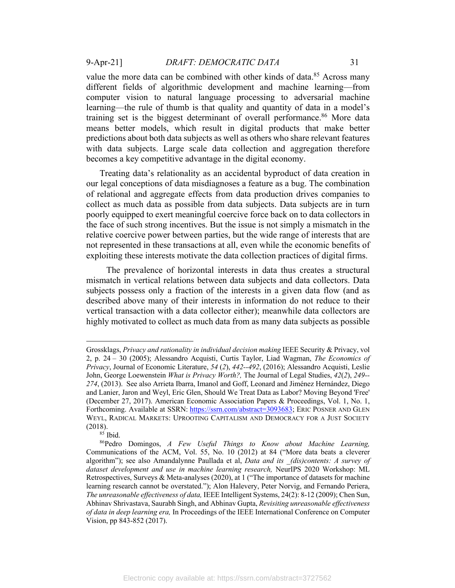value the more data can be combined with other kinds of data.<sup>85</sup> Across many different fields of algorithmic development and machine learning—from computer vision to natural language processing to adversarial machine learning—the rule of thumb is that quality and quantity of data in a model's training set is the biggest determinant of overall performance.<sup>86</sup> More data means better models, which result in digital products that make better predictions about both data subjects as well as others who share relevant features with data subjects. Large scale data collection and aggregation therefore becomes a key competitive advantage in the digital economy.

Treating data's relationality as an accidental byproduct of data creation in our legal conceptions of data misdiagnoses a feature as a bug. The combination of relational and aggregate effects from data production drives companies to collect as much data as possible from data subjects. Data subjects are in turn poorly equipped to exert meaningful coercive force back on to data collectors in the face of such strong incentives. But the issue is not simply a mismatch in the relative coercive power between parties, but the wide range of interests that are not represented in these transactions at all, even while the economic benefits of exploiting these interests motivate the data collection practices of digital firms.

The prevalence of horizontal interests in data thus creates a structural mismatch in vertical relations between data subjects and data collectors. Data subjects possess only a fraction of the interests in a given data flow (and as described above many of their interests in information do not reduce to their vertical transaction with a data collector either); meanwhile data collectors are highly motivated to collect as much data from as many data subjects as possible

Grossklags, *Privacy and rationality in individual decision making* IEEE Security & Privacy, vol 2, p. 24 – 30 (2005); Alessandro Acquisti, Curtis Taylor, Liad Wagman, *The Economics of Privacy*, Journal of Economic Literature, *54* (*2*), *442--492*, (2016); Alessandro Acquisti, Leslie John, George Loewenstein *What is Privacy Worth?,* The Journal of Legal Studies, *42*(*2*), *249-- 274*, (2013). See also Arrieta Ibarra, Imanol and Goff, Leonard and Jiménez Hernández, Diego and Lanier, Jaron and Weyl, Eric Glen, Should We Treat Data as Labor? Moving Beyond 'Free' (December 27, 2017). American Economic Association Papers & Proceedings, Vol. 1, No. 1, Forthcoming. Available at SSRN: https://ssrn.com/abstract=3093683; ERIC POSNER AND GLEN WEYL, RADICAL MARKETS: UPROOTING CAPITALISM AND DEMOCRACY FOR A JUST SOCIETY (2018).

 $85$  Ibid.

<sup>86</sup>Pedro Domingos, *A Few Useful Things to Know about Machine Learning,* Communications of the ACM, Vol. 55, No. 10 (2012) at 84 ("More data beats a cleverer algorithm"); see also Amandalynne Paullada et al, *Data and its \_(dis)contents: A survey of dataset development and use in machine learning research,* NeurIPS 2020 Workshop: ML Retrospectives, Surveys & Meta-analyses (2020), at 1 ("The importance of datasets for machine learning research cannot be overstated."); Alon Halevery, Peter Norvig, and Fernando Periera, *The unreasonable effectiveness of data,* IEEE Intelligent Systems, 24(2): 8-12 (2009); Chen Sun, Abhinav Shrivastava, Saurabh Singh, and Abhinav Gupta, *Revisiting unreasonable effectiveness of data in deep learning era,* In Proceedings of the IEEE International Conference on Computer Vision, pp 843-852 (2017).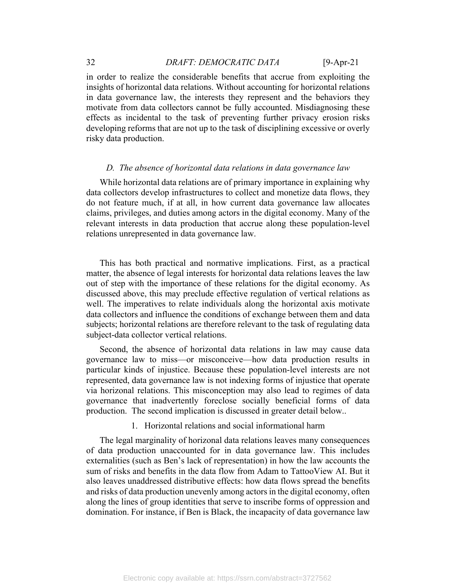# 32 *DRAFT: DEMOCRATIC DATA* [9-Apr-21

in order to realize the considerable benefits that accrue from exploiting the insights of horizontal data relations. Without accounting for horizontal relations in data governance law, the interests they represent and the behaviors they motivate from data collectors cannot be fully accounted. Misdiagnosing these effects as incidental to the task of preventing further privacy erosion risks developing reforms that are not up to the task of disciplining excessive or overly risky data production.

#### *D. The absence of horizontal data relations in data governance law*

While horizontal data relations are of primary importance in explaining why data collectors develop infrastructures to collect and monetize data flows, they do not feature much, if at all, in how current data governance law allocates claims, privileges, and duties among actors in the digital economy. Many of the relevant interests in data production that accrue along these population-level relations unrepresented in data governance law.

This has both practical and normative implications. First, as a practical matter, the absence of legal interests for horizontal data relations leaves the law out of step with the importance of these relations for the digital economy. As discussed above, this may preclude effective regulation of vertical relations as well. The imperatives to relate individuals along the horizontal axis motivate data collectors and influence the conditions of exchange between them and data subjects; horizontal relations are therefore relevant to the task of regulating data subject-data collector vertical relations.

Second, the absence of horizontal data relations in law may cause data governance law to miss—or misconceive—how data production results in particular kinds of injustice. Because these population-level interests are not represented, data governance law is not indexing forms of injustice that operate via horizonal relations. This misconception may also lead to regimes of data governance that inadvertently foreclose socially beneficial forms of data production. The second implication is discussed in greater detail below..

1. Horizontal relations and social informational harm

The legal marginality of horizonal data relations leaves many consequences of data production unaccounted for in data governance law. This includes externalities (such as Ben's lack of representation) in how the law accounts the sum of risks and benefits in the data flow from Adam to TattooView AI. But it also leaves unaddressed distributive effects: how data flows spread the benefits and risks of data production unevenly among actors in the digital economy, often along the lines of group identities that serve to inscribe forms of oppression and domination. For instance, if Ben is Black, the incapacity of data governance law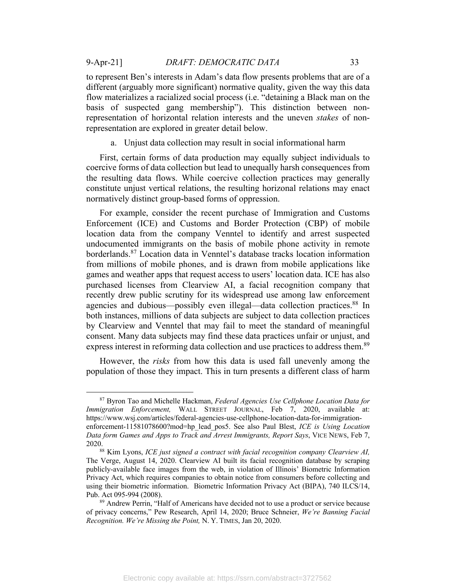to represent Ben's interests in Adam's data flow presents problems that are of a different (arguably more significant) normative quality, given the way this data flow materializes a racialized social process (i.e. "detaining a Black man on the basis of suspected gang membership"). This distinction between nonrepresentation of horizontal relation interests and the uneven *stakes* of nonrepresentation are explored in greater detail below.

a. Unjust data collection may result in social informational harm

First, certain forms of data production may equally subject individuals to coercive forms of data collection but lead to unequally harsh consequences from the resulting data flows. While coercive collection practices may generally constitute unjust vertical relations, the resulting horizonal relations may enact normatively distinct group-based forms of oppression.

For example, consider the recent purchase of Immigration and Customs Enforcement (ICE) and Customs and Border Protection (CBP) of mobile location data from the company Venntel to identify and arrest suspected undocumented immigrants on the basis of mobile phone activity in remote borderlands.87 Location data in Venntel's database tracks location information from millions of mobile phones, and is drawn from mobile applications like games and weather apps that request access to users' location data. ICE has also purchased licenses from Clearview AI, a facial recognition company that recently drew public scrutiny for its widespread use among law enforcement agencies and dubious—possibly even illegal—data collection practices.<sup>88</sup> In both instances, millions of data subjects are subject to data collection practices by Clearview and Venntel that may fail to meet the standard of meaningful consent. Many data subjects may find these data practices unfair or unjust, and express interest in reforming data collection and use practices to address them.<sup>89</sup>

However, the *risks* from how this data is used fall unevenly among the population of those they impact. This in turn presents a different class of harm

<sup>87</sup> Byron Tao and Michelle Hackman, *Federal Agencies Use Cellphone Location Data for Immigration Enforcement,* WALL STREET JOURNAL, Feb 7, 2020, available at: https://www.wsj.com/articles/federal-agencies-use-cellphone-location-data-for-immigrationenforcement-11581078600?mod=hp\_lead\_pos5. See also Paul Blest, *ICE is Using Location Data form Games and Apps to Track and Arrest Immigrants, Report Says*, VICE NEWS, Feb 7, 2020.

<sup>88</sup> Kim Lyons, *ICE just signed a contract with facial recognition company Clearview AI,* The Verge, August 14, 2020. Clearview AI built its facial recognition database by scraping publicly-available face images from the web, in violation of Illinois' Biometric Information Privacy Act, which requires companies to obtain notice from consumers before collecting and using their biometric information. Biometric Information Privacy Act (BIPA), 740 ILCS/14, Pub. Act 095-994 (2008).<br><sup>89</sup> Andrew Perrin, "Half of Americans have decided not to use a product or service because

of privacy concerns," Pew Research, April 14, 2020; Bruce Schneier, *We're Banning Facial Recognition. We're Missing the Point,* N. Y. TIMES, Jan 20, 2020.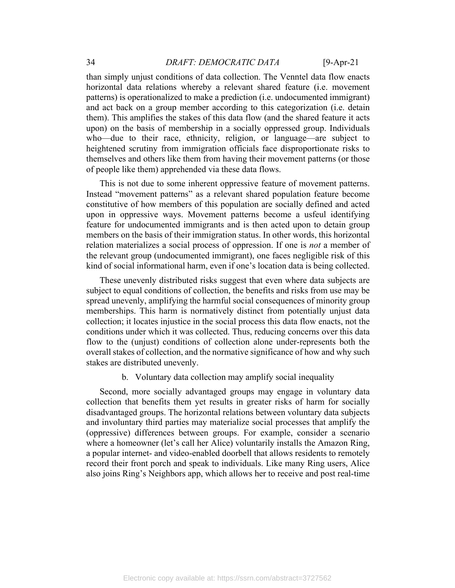than simply unjust conditions of data collection. The Venntel data flow enacts horizontal data relations whereby a relevant shared feature (i.e. movement patterns) is operationalized to make a prediction (i.e. undocumented immigrant) and act back on a group member according to this categorization (i.e. detain them). This amplifies the stakes of this data flow (and the shared feature it acts upon) on the basis of membership in a socially oppressed group. Individuals who—due to their race, ethnicity, religion, or language—are subject to heightened scrutiny from immigration officials face disproportionate risks to themselves and others like them from having their movement patterns (or those of people like them) apprehended via these data flows.

This is not due to some inherent oppressive feature of movement patterns. Instead "movement patterns" as a relevant shared population feature become constitutive of how members of this population are socially defined and acted upon in oppressive ways. Movement patterns become a usfeul identifying feature for undocumented immigrants and is then acted upon to detain group members on the basis of their immigration status. In other words, this horizontal relation materializes a social process of oppression. If one is *not* a member of the relevant group (undocumented immigrant), one faces negligible risk of this kind of social informational harm, even if one's location data is being collected.

These unevenly distributed risks suggest that even where data subjects are subject to equal conditions of collection, the benefits and risks from use may be spread unevenly, amplifying the harmful social consequences of minority group memberships. This harm is normatively distinct from potentially unjust data collection; it locates injustice in the social process this data flow enacts, not the conditions under which it was collected. Thus, reducing concerns over this data flow to the (unjust) conditions of collection alone under-represents both the overall stakes of collection, and the normative significance of how and why such stakes are distributed unevenly.

b. Voluntary data collection may amplify social inequality

Second, more socially advantaged groups may engage in voluntary data collection that benefits them yet results in greater risks of harm for socially disadvantaged groups. The horizontal relations between voluntary data subjects and involuntary third parties may materialize social processes that amplify the (oppressive) differences between groups. For example, consider a scenario where a homeowner (let's call her Alice) voluntarily installs the Amazon Ring, a popular internet- and video-enabled doorbell that allows residents to remotely record their front porch and speak to individuals. Like many Ring users, Alice also joins Ring's Neighbors app, which allows her to receive and post real-time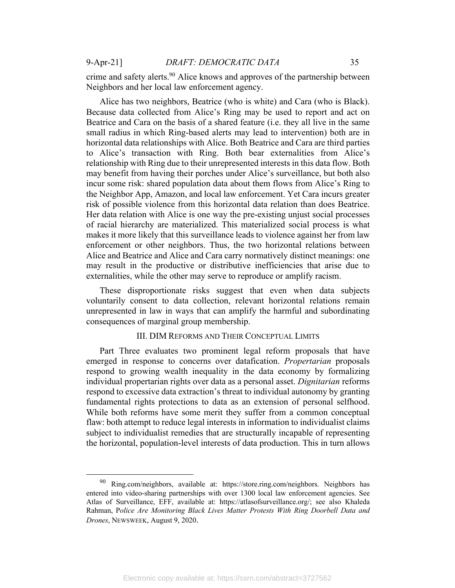crime and safety alerts.<sup>90</sup> Alice knows and approves of the partnership between Neighbors and her local law enforcement agency.

Alice has two neighbors, Beatrice (who is white) and Cara (who is Black). Because data collected from Alice's Ring may be used to report and act on Beatrice and Cara on the basis of a shared feature (i.e. they all live in the same small radius in which Ring-based alerts may lead to intervention) both are in horizontal data relationships with Alice. Both Beatrice and Cara are third parties to Alice's transaction with Ring. Both bear externalities from Alice's relationship with Ring due to their unrepresented interests in this data flow. Both may benefit from having their porches under Alice's surveillance, but both also incur some risk: shared population data about them flows from Alice's Ring to the Neighbor App, Amazon, and local law enforcement. Yet Cara incurs greater risk of possible violence from this horizontal data relation than does Beatrice. Her data relation with Alice is one way the pre-existing unjust social processes of racial hierarchy are materialized. This materialized social process is what makes it more likely that this surveillance leads to violence against her from law enforcement or other neighbors. Thus, the two horizontal relations between Alice and Beatrice and Alice and Cara carry normatively distinct meanings: one may result in the productive or distributive inefficiencies that arise due to externalities, while the other may serve to reproduce or amplify racism.

These disproportionate risks suggest that even when data subjects voluntarily consent to data collection, relevant horizontal relations remain unrepresented in law in ways that can amplify the harmful and subordinating consequences of marginal group membership.

### III. DIM REFORMS AND THEIR CONCEPTUAL LIMITS

Part Three evaluates two prominent legal reform proposals that have emerged in response to concerns over datafication. *Propertarian* proposals respond to growing wealth inequality in the data economy by formalizing individual propertarian rights over data as a personal asset. *Dignitarian* reforms respond to excessive data extraction's threat to individual autonomy by granting fundamental rights protections to data as an extension of personal selfhood. While both reforms have some merit they suffer from a common conceptual flaw: both attempt to reduce legal interests in information to individualist claims subject to individualist remedies that are structurally incapable of representing the horizontal, population-level interests of data production. This in turn allows

<sup>90</sup> Ring.com/neighbors, available at: https://store.ring.com/neighbors. Neighbors has entered into video-sharing partnerships with over 1300 local law enforcement agencies. See Atlas of Surveillance, EFF, available at: https://atlasofsurveillance.org/; see also Khaleda Rahman, P*olice Are Monitoring Black Lives Matter Protests With Ring Doorbell Data and Drones*, NEWSWEEK, August 9, 2020.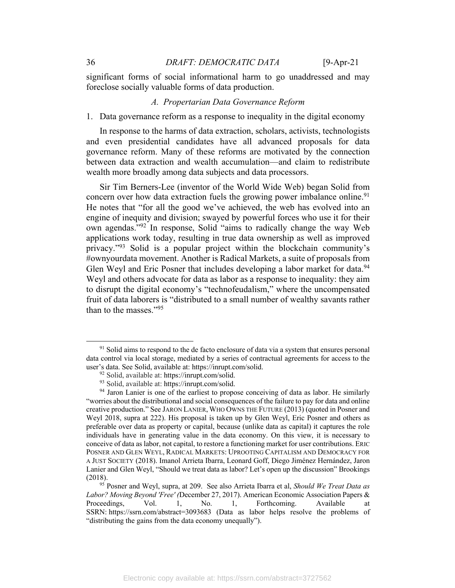significant forms of social informational harm to go unaddressed and may foreclose socially valuable forms of data production.

### *A. Propertarian Data Governance Reform*

1. Data governance reform as a response to inequality in the digital economy

In response to the harms of data extraction, scholars, activists, technologists and even presidential candidates have all advanced proposals for data governance reform. Many of these reforms are motivated by the connection between data extraction and wealth accumulation—and claim to redistribute wealth more broadly among data subjects and data processors.

Sir Tim Berners-Lee (inventor of the World Wide Web) began Solid from concern over how data extraction fuels the growing power imbalance online.<sup>91</sup> He notes that "for all the good we've achieved, the web has evolved into an engine of inequity and division; swayed by powerful forces who use it for their own agendas."92 In response, Solid "aims to radically change the way Web applications work today, resulting in true data ownership as well as improved privacy."<sup>93</sup> Solid is a popular project within the blockchain community's #ownyourdata movement. Another is Radical Markets, a suite of proposals from Glen Weyl and Eric Posner that includes developing a labor market for data.<sup>94</sup> Weyl and others advocate for data as labor as a response to inequality: they aim to disrupt the digital economy's "technofeudalism," where the uncompensated fruit of data laborers is "distributed to a small number of wealthy savants rather than to the masses."95

<sup>&</sup>lt;sup>91</sup> Solid aims to respond to the de facto enclosure of data via a system that ensures personal data control via local storage, mediated by a series of contractual agreements for access to the user's data. See Solid, available at: https://inrupt.com/solid.

<sup>92</sup> Solid, available at: https://inrupt.com/solid.

<sup>93</sup> Solid, available at: https://inrupt.com/solid.

<sup>&</sup>lt;sup>94</sup> Jaron Lanier is one of the earliest to propose conceiving of data as labor. He similarly "worries about the distributional and social consequences of the failure to pay for data and online creative production." See JARON LANIER, WHO OWNS THE FUTURE (2013) (quoted in Posner and Weyl 2018, supra at 222). His proposal is taken up by Glen Weyl, Eric Posner and others as preferable over data as property or capital, because (unlike data as capital) it captures the role individuals have in generating value in the data economy. On this view, it is necessary to conceive of data as labor, not capital, to restore a functioning market for user contributions. ERIC POSNER AND GLEN WEYL, RADICAL MARKETS: UPROOTING CAPITALISM AND DEMOCRACY FOR A JUST SOCIETY (2018). Imanol Arrieta Ibarra, Leonard Goff, Diego Jiménez Hernández, Jaron Lanier and Glen Weyl, "Should we treat data as labor? Let's open up the discussion" Brookings

<sup>(2018). 95</sup> Posner and Weyl, supra, at 209. See also Arrieta Ibarra et al, *Should We Treat Data as Labor? Moving Beyond 'Free' (*December 27, 2017). American Economic Association Papers & Proceedings, Vol. 1, No. 1, Forthcoming. Available at SSRN: https://ssrn.com/abstract=3093683 (Data as labor helps resolve the problems of "distributing the gains from the data economy unequally").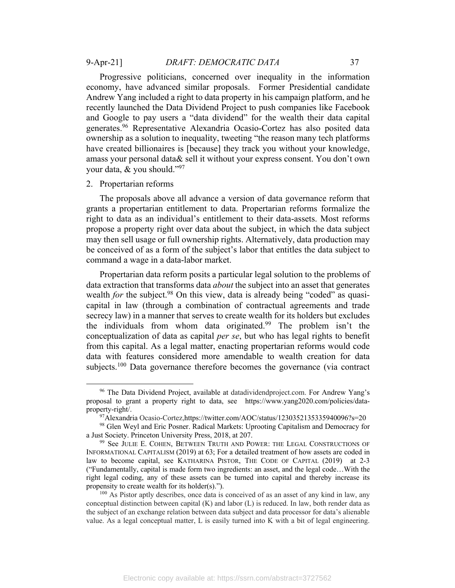Andrew Yang included a right to data property in his campaign platform, and he recently launched the Data Dividend Project to push companies like Facebook and Google to pay users a "data dividend" for the wealth their data capital generates.96 Representative Alexandria Ocasio-Cortez has also posited data ownership as a solution to inequality, tweeting "the reason many tech platforms have created billionaires is [because] they track you without your knowledge, amass your personal data& sell it without your express consent. You don't own your data,  $&$  you should."<sup>97</sup>

#### 2. Propertarian reforms

The proposals above all advance a version of data governance reform that grants a propertarian entitlement to data. Propertarian reforms formalize the right to data as an individual's entitlement to their data-assets. Most reforms propose a property right over data about the subject, in which the data subject may then sell usage or full ownership rights. Alternatively, data production may be conceived of as a form of the subject's labor that entitles the data subject to command a wage in a data-labor market.

Propertarian data reform posits a particular legal solution to the problems of data extraction that transforms data *about* the subject into an asset that generates wealth *for* the subject.<sup>98</sup> On this view, data is already being "coded" as quasicapital in law (through a combination of contractual agreements and trade secrecy law) in a manner that serves to create wealth for its holders but excludes the individuals from whom data originated.<sup>99</sup> The problem isn't the conceptualization of data as capital *per se*, but who has legal rights to benefit from this capital. As a legal matter, enacting propertarian reforms would code data with features considered more amendable to wealth creation for data subjects.<sup>100</sup> Data governance therefore becomes the governance (via contract

<sup>96</sup> The Data Dividend Project, available at datadividendproject.com. For Andrew Yang's proposal to grant a property right to data, see https://www.yang2020.com/policies/dataproperty-right/.

<sup>97</sup>Alexandria Ocasio-Cortez,https://twitter.com/AOC/status/1230352135335940096?s=20

<sup>98</sup> Glen Weyl and Eric Posner. Radical Markets: Uprooting Capitalism and Democracy for a Just Society. Princeton University Press, 2018, at 207. 99 See JULIE E. COHEN, BETWEEN TRUTH AND POWER: THE LEGAL CONSTRUCTIONS OF

INFORMATIONAL CAPITALISM (2019) at 63; For a detailed treatment of how assets are coded in law to become capital, see KATHARINA PISTOR, THE CODE OF CAPITAL (2019) at 2-3 ("Fundamentally, capital is made form two ingredients: an asset, and the legal code…With the right legal coding, any of these assets can be turned into capital and thereby increase its propensity to create wealth for its holder(s).").<br>
<sup>100</sup> As Pistor aptly describes, once data is conceived of as an asset of any kind in law, any

conceptual distinction between capital  $(K)$  and labor  $(L)$  is reduced. In law, both render data as the subject of an exchange relation between data subject and data processor for data's alienable value. As a legal conceptual matter, L is easily turned into K with a bit of legal engineering.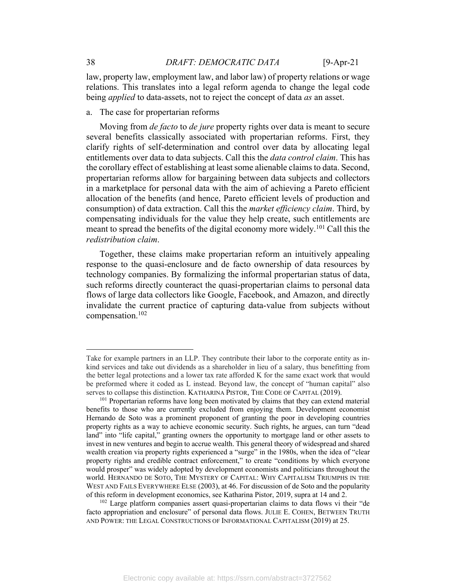law, property law, employment law, and labor law) of property relations or wage relations. This translates into a legal reform agenda to change the legal code being *applied* to data-assets, not to reject the concept of data *as* an asset.

a. The case for propertarian reforms

Moving from *de facto* to *de jure* property rights over data is meant to secure several benefits classically associated with propertarian reforms. First, they clarify rights of self-determination and control over data by allocating legal entitlements over data to data subjects. Call this the *data control claim*. This has the corollary effect of establishing at least some alienable claims to data. Second, propertarian reforms allow for bargaining between data subjects and collectors in a marketplace for personal data with the aim of achieving a Pareto efficient allocation of the benefits (and hence, Pareto efficient levels of production and consumption) of data extraction. Call this the *market efficiency claim*. Third, by compensating individuals for the value they help create, such entitlements are meant to spread the benefits of the digital economy more widely.<sup>101</sup> Call this the *redistribution claim*.

Together, these claims make propertarian reform an intuitively appealing response to the quasi-enclosure and de facto ownership of data resources by technology companies. By formalizing the informal propertarian status of data, such reforms directly counteract the quasi-propertarian claims to personal data flows of large data collectors like Google, Facebook, and Amazon, and directly invalidate the current practice of capturing data-value from subjects without compensation.102

Take for example partners in an LLP. They contribute their labor to the corporate entity as inkind services and take out dividends as a shareholder in lieu of a salary, thus benefitting from the better legal protections and a lower tax rate afforded K for the same exact work that would be preformed where it coded as L instead. Beyond law, the concept of "human capital" also serves to collapse this distinction. KATHARINA PISTOR, THE CODE OF CAPITAL (2019).

<sup>&</sup>lt;sup>101</sup> Propertarian reforms have long been motivated by claims that they can extend material benefits to those who are currently excluded from enjoying them. Development economist Hernando de Soto was a prominent proponent of granting the poor in developing countries property rights as a way to achieve economic security. Such rights, he argues, can turn "dead land" into "life capital," granting owners the opportunity to mortgage land or other assets to invest in new ventures and begin to accrue wealth. This general theory of widespread and shared wealth creation via property rights experienced a "surge" in the 1980s, when the idea of "clear property rights and credible contract enforcement," to create "conditions by which everyone would prosper" was widely adopted by development economists and politicians throughout the world. HERNANDO DE SOTO, THE MYSTERY OF CAPITAL: WHY CAPITALISM TRIUMPHS IN THE WEST AND FAILS EVERYWHERE ELSE (2003), at 46. For discussion of de Soto and the popularity of this reform in development economics, see Katharina Pistor, 2019, supra at 14 and 2.

<sup>&</sup>lt;sup>102</sup> Large platform companies assert quasi-propertarian claims to data flows vi their "de facto appropriation and enclosure" of personal data flows. JULIE E. COHEN, BETWEEN TRUTH AND POWER: THE LEGAL CONSTRUCTIONS OF INFORMATIONAL CAPITALISM (2019) at 25.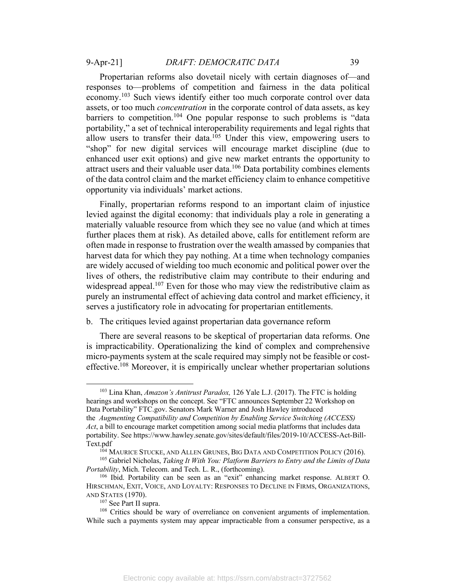Propertarian reforms also dovetail nicely with certain diagnoses of—and responses to—problems of competition and fairness in the data political economy.<sup>103</sup> Such views identify either too much corporate control over data assets, or too much *concentration* in the corporate control of data assets, as key barriers to competition.<sup>104</sup> One popular response to such problems is "data portability," a set of technical interoperability requirements and legal rights that allow users to transfer their data.<sup>105</sup> Under this view, empowering users to "shop" for new digital services will encourage market discipline (due to enhanced user exit options) and give new market entrants the opportunity to attract users and their valuable user data.<sup>106</sup> Data portability combines elements of the data control claim and the market efficiency claim to enhance competitive opportunity via individuals' market actions.

Finally, propertarian reforms respond to an important claim of injustice levied against the digital economy: that individuals play a role in generating a materially valuable resource from which they see no value (and which at times further places them at risk). As detailed above, calls for entitlement reform are often made in response to frustration over the wealth amassed by companies that harvest data for which they pay nothing. At a time when technology companies are widely accused of wielding too much economic and political power over the lives of others, the redistributive claim may contribute to their enduring and widespread appeal.<sup>107</sup> Even for those who may view the redistributive claim as purely an instrumental effect of achieving data control and market efficiency, it serves a justificatory role in advocating for propertarian entitlements.

### b. The critiques levied against propertarian data governance reform

There are several reasons to be skeptical of propertarian data reforms. One is impracticability. Operationalizing the kind of complex and comprehensive micro-payments system at the scale required may simply not be feasible or costeffective.<sup>108</sup> Moreover, it is empirically unclear whether propertarian solutions

<sup>103</sup> Lina Khan, *Amazon's Antitrust Paradox,* 126 Yale L.J. (2017). The FTC is holding hearings and workshops on the concept. See "FTC announces September 22 Workshop on Data Portability" FTC.gov. Senators Mark Warner and Josh Hawley introduced the *Augmenting Compatibility and Competition by Enabling Service Switching (ACCESS) Act*, a bill to encourage market competition among social media platforms that includes data portability. See https://www.hawley.senate.gov/sites/default/files/2019-10/ACCESS-Act-Bill-Text.pdf

<sup>&</sup>lt;sup>104</sup> MAURICE STUCKE, AND ALLEN GRUNES, BIG DATA AND COMPETITION POLICY (2016).

<sup>105</sup> Gabriel Nicholas, *Taking It With You: Platform Barriers to Entry and the Limits of Data Portability*, Mich. Telecom. and Tech. L. R., (forthcoming).

<sup>106</sup> Ibid. Portability can be seen as an "exit" enhancing market response. ALBERT O. HIRSCHMAN, EXIT, VOICE, AND LOYALTY: RESPONSES TO DECLINE IN FIRMS, ORGANIZATIONS, AND STATES (1970).

 $107$  See Part II supra.<br> $108$  Critics should be wary of overreliance on convenient arguments of implementation. While such a payments system may appear impracticable from a consumer perspective, as a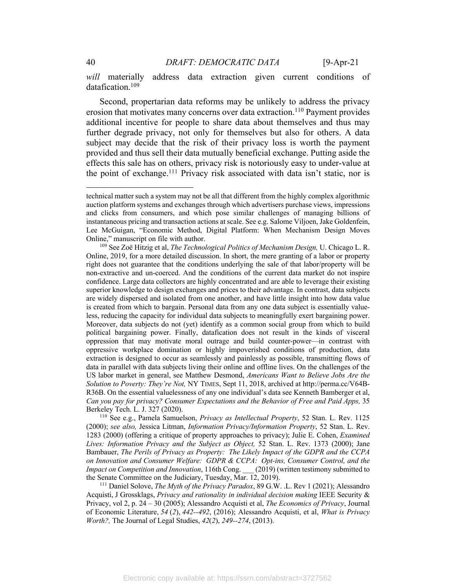*will* materially address data extraction given current conditions of datafication.<sup>109</sup>

Second, propertarian data reforms may be unlikely to address the privacy erosion that motivates many concerns over data extraction.<sup>110</sup> Payment provides additional incentive for people to share data about themselves and thus may further degrade privacy, not only for themselves but also for others. A data subject may decide that the risk of their privacy loss is worth the payment provided and thus sell their data mutually beneficial exchange. Putting aside the effects this sale has on others, privacy risk is notoriously easy to under-value at the point of exchange.111 Privacy risk associated with data isn't static, nor is

(2000); *see also,* Jessica Litman, *Information Privacy/Information Property*, 52 Stan. L. Rev. 1283 (2000) (offering a critique of property approaches to privacy); Julie E. Cohen, *Examined Lives: Information Privacy and the Subject as Object,* 52 Stan. L. Rev. 1373 (2000); Jane Bambauer, *The Perils of Privacy as Property: The Likely Impact of the GDPR and the CCPA on Innovation and Consumer Welfare: GDPR & CCPA: Opt-ins, Consumer Control, and the Impact on Competition and Innovation*, 116th Cong. \_\_\_ (2019) (written testimony submitted to the Senate Committee on the Judiciary, Tuesday, Mar. 12, 2019).

<sup>111</sup> Daniel Solove, *The Myth of the Privacy Paradox*, 89 G.W. .L. Rev 1 (2021); Alessandro Acquisti, J Grossklags, *Privacy and rationality in individual decision making* IEEE Security & Privacy, vol 2, p. 24 – 30 (2005); Alessandro Acquisti et al, *The Economics of Privacy*, Journal of Economic Literature, *54* (*2*), *442--492*, (2016); Alessandro Acquisti, et al, *What is Privacy Worth?,* The Journal of Legal Studies, *42*(*2*), *249--274*, (2013).

technical matter such a system may not be all that different from the highly complex algorithmic auction platform systems and exchanges through which advertisers purchase views, impressions and clicks from consumers, and which pose similar challenges of managing billions of instantaneous pricing and transaction actions at scale. See e.g. Salome Viljoen, Jake Goldenfein, Lee McGuigan, "Economic Method, Digital Platform: When Mechanism Design Moves Online," manuscript on file with author. 109 See Zoë Hitzig et al, *The Technological Politics of Mechanism Design,* U. Chicago L. R.

Online, 2019, for a more detailed discussion. In short, the mere granting of a labor or property right does not guarantee that the conditions underlying the sale of that labor/property will be non-extractive and un-coerced. And the conditions of the current data market do not inspire confidence. Large data collectors are highly concentrated and are able to leverage their existing superior knowledge to design exchanges and prices to their advantage. In contrast, data subjects are widely dispersed and isolated from one another, and have little insight into how data value is created from which to bargain. Personal data from any one data subject is essentially valueless, reducing the capacity for individual data subjects to meaningfully exert bargaining power. Moreover, data subjects do not (yet) identify as a common social group from which to build political bargaining power. Finally, datafication does not result in the kinds of visceral oppression that may motivate moral outrage and build counter-power—in contrast with oppressive workplace domination or highly impoverished conditions of production, data extraction is designed to occur as seamlessly and painlessly as possible, transmitting flows of data in parallel with data subjects living their online and offline lives. On the challenges of the US labor market in general, see Matthew Desmond, *Americans Want to Believe Jobs Are the Solution to Poverty: They're Not,* NY TIMES, Sept 11, 2018, archived at http://perma.cc/V64B-R36B. On the essential valuelessness of any one individual's data see Kenneth Bamberger et al, *Can you pay for privacy? Consumer Expectations and the Behavior of Free and Paid Apps,* 35 Berkeley Tech. L. J. 327 (2020). 110 See e.g., Pamela Samuelson, *Privacy as Intellectual Property*, 52 Stan. L. Rev. 1125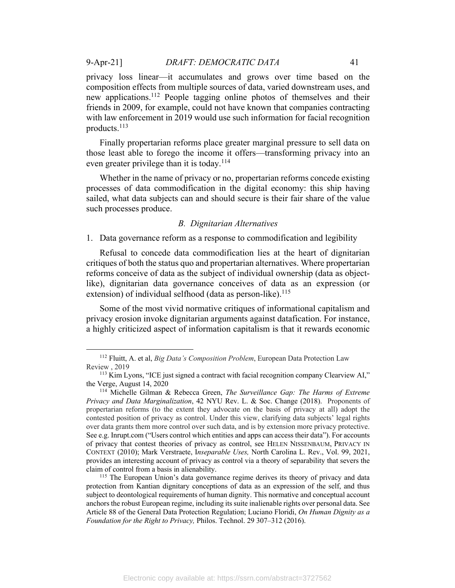privacy loss linear—it accumulates and grows over time based on the composition effects from multiple sources of data, varied downstream uses, and new applications.112 People tagging online photos of themselves and their friends in 2009, for example, could not have known that companies contracting with law enforcement in 2019 would use such information for facial recognition products.113

Finally propertarian reforms place greater marginal pressure to sell data on those least able to forego the income it offers—transforming privacy into an even greater privilege than it is today.<sup>114</sup>

Whether in the name of privacy or no, propertarian reforms concede existing processes of data commodification in the digital economy: this ship having sailed, what data subjects can and should secure is their fair share of the value such processes produce.

#### *B. Dignitarian Alternatives*

1. Data governance reform as a response to commodification and legibility

Refusal to concede data commodification lies at the heart of dignitarian critiques of both the status quo and propertarian alternatives. Where propertarian reforms conceive of data as the subject of individual ownership (data as objectlike), dignitarian data governance conceives of data as an expression (or extension) of individual selfhood (data as person-like).<sup>115</sup>

Some of the most vivid normative critiques of informational capitalism and privacy erosion invoke dignitarian arguments against datafication. For instance, a highly criticized aspect of information capitalism is that it rewards economic

<sup>112</sup> Fluitt, A. et al, *Big Data's Composition Problem*, European Data Protection Law Review , 2019

<sup>&</sup>lt;sup>113</sup> Kim Lyons, "ICE just signed a contract with facial recognition company Clearview AI," the Verge, August 14, 2020

<sup>114</sup> Michelle Gilman & Rebecca Green, *The Surveillance Gap: The Harms of Extreme Privacy and Data Marginalization*, 42 NYU Rev. L. & Soc. Change (2018). Proponents of propertarian reforms (to the extent they advocate on the basis of privacy at all) adopt the contested position of privacy as control. Under this view, clarifying data subjects' legal rights over data grants them more control over such data, and is by extension more privacy protective. See e.g. Inrupt.com ("Users control which entities and apps can access their data"). For accounts of privacy that contest theories of privacy as control, see HELEN NISSENBAUM, PRIVACY IN CONTEXT (2010); Mark Verstraete, I*nseparable Uses,* North Carolina L. Rev., Vol. 99, 2021, provides an interesting account of privacy as control via a theory of separability that severs the claim of control from a basis in alienability.<br><sup>115</sup> The European Union's data governance regime derives its theory of privacy and data

protection from Kantian dignitary conceptions of data as an expression of the self, and thus subject to deontological requirements of human dignity. This normative and conceptual account anchors the robust European regime, including its suite inalienable rights over personal data. See Article 88 of the General Data Protection Regulation; Luciano Floridi, *On Human Dignity as a Foundation for the Right to Privacy,* Philos. Technol. 29 307–312 (2016).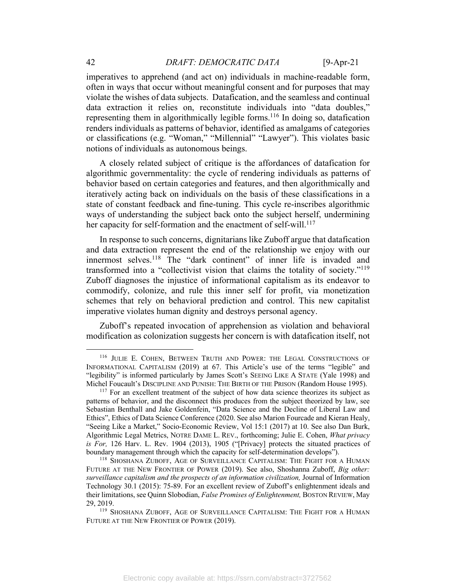imperatives to apprehend (and act on) individuals in machine-readable form, often in ways that occur without meaningful consent and for purposes that may violate the wishes of data subjects. Datafication, and the seamless and continual data extraction it relies on, reconstitute individuals into "data doubles," representing them in algorithmically legible forms.<sup>116</sup> In doing so, datafication renders individuals as patterns of behavior, identified as amalgams of categories or classifications (e.g. "Woman," "Millennial" "Lawyer"). This violates basic notions of individuals as autonomous beings.

A closely related subject of critique is the affordances of datafication for algorithmic governmentality: the cycle of rendering individuals as patterns of behavior based on certain categories and features, and then algorithmically and iteratively acting back on individuals on the basis of these classifications in a state of constant feedback and fine-tuning. This cycle re-inscribes algorithmic ways of understanding the subject back onto the subject herself, undermining her capacity for self-formation and the enactment of self-will.<sup>117</sup>

In response to such concerns, dignitarians like Zuboff argue that datafication and data extraction represent the end of the relationship we enjoy with our innermost selves.<sup>118</sup> The "dark continent" of inner life is invaded and transformed into a "collectivist vision that claims the totality of society."119 Zuboff diagnoses the injustice of informational capitalism as its endeavor to commodify, colonize, and rule this inner self for profit, via monetization schemes that rely on behavioral prediction and control. This new capitalist imperative violates human dignity and destroys personal agency.

Zuboff's repeated invocation of apprehension as violation and behavioral modification as colonization suggests her concern is with datafication itself, not

<sup>116</sup> JULIE E. COHEN, BETWEEN TRUTH AND POWER: THE LEGAL CONSTRUCTIONS OF INFORMATIONAL CAPITALISM (2019) at 67. This Article's use of the terms "legible" and "legibility" is informed particularly by James Scott's SEEING LIKE A STATE (Yale 1998) and Michel Foucault's DISCIPLINE AND PUNISH: THE BIRTH OF THE PRISON (Random House 1995).

<sup>&</sup>lt;sup>117</sup> For an excellent treatment of the subject of how data science theorizes its subject as patterns of behavior, and the disconnect this produces from the subject theorized by law, see Sebastian Benthall and Jake Goldenfein, "Data Science and the Decline of Liberal Law and Ethics", Ethics of Data Science Conference (2020. See also Marion Fourcade and Kieran Healy, "Seeing Like a Market," Socio-Economic Review, Vol 15:1 (2017) at 10. See also Dan Burk, Algorithmic Legal Metrics, NOTRE DAME L. REV., forthcoming; Julie E. Cohen, *What privacy is For,* 126 Harv. L. Rev. 1904 (2013), 1905 ("[Privacy] protects the situated practices of boundary management through which the capacity for self-determination develops").<br><sup>118</sup> SHOSHANA ZUBOFF, AGE OF SURVEILLANCE CAPITALISM: THE FIGHT FOR A HUMAN

FUTURE AT THE NEW FRONTIER OF POWER (2019). See also, Shoshanna Zuboff, *Big other: surveillance capitalism and the prospects of an information civilization,* Journal of Information Technology 30.1 (2015): 75-89. For an excellent review of Zuboff's enlightenment ideals and their limitations, see Quinn Slobodian, *False Promises of Enlightenment,* BOSTON REVIEW, May 29, 2019.<br><sup>119</sup> Shoshana Zuboff, Age of Surveillance Capitalism: The Fight for a Human

FUTURE AT THE NEW FRONTIER OF POWER (2019).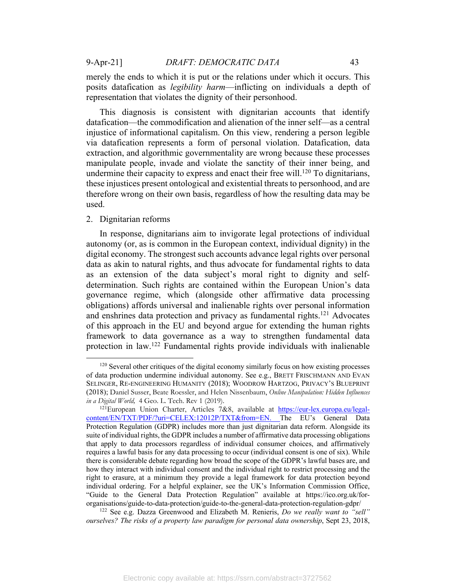merely the ends to which it is put or the relations under which it occurs. This posits datafication as *legibility harm*—inflicting on individuals a depth of representation that violates the dignity of their personhood.

This diagnosis is consistent with dignitarian accounts that identify datafication—the commodification and alienation of the inner self—as a central injustice of informational capitalism. On this view, rendering a person legible via datafication represents a form of personal violation. Datafication, data extraction, and algorithmic governmentality are wrong because these processes manipulate people, invade and violate the sanctity of their inner being, and undermine their capacity to express and enact their free will.<sup>120</sup> To dignitarians, these injustices present ontological and existential threats to personhood, and are therefore wrong on their own basis, regardless of how the resulting data may be used.

#### 2. Dignitarian reforms

In response, dignitarians aim to invigorate legal protections of individual autonomy (or, as is common in the European context, individual dignity) in the digital economy. The strongest such accounts advance legal rights over personal data as akin to natural rights, and thus advocate for fundamental rights to data as an extension of the data subject's moral right to dignity and selfdetermination. Such rights are contained within the European Union's data governance regime, which (alongside other affirmative data processing obligations) affords universal and inalienable rights over personal information and enshrines data protection and privacy as fundamental rights.<sup>121</sup> Advocates of this approach in the EU and beyond argue for extending the human rights framework to data governance as a way to strengthen fundamental data protection in law.122 Fundamental rights provide individuals with inalienable

 $120$  Several other critiques of the digital economy similarly focus on how existing processes of data production undermine individual autonomy. See e.g., BRETT FRISCHMANN AND EVAN SELINGER, RE-ENGINEERING HUMANITY (2018); WOODROW HARTZOG, PRIVACY'S BLUEPRINT (2018); Daniel Susser, Beate Roessler, and Helen Nissenbaum, *Online Manipulation: Hidden Influences in a Digital World,* 4 Geo. L. Tech. Rev 1 (2019).

 $121$ European Union Charter, Articles 7&8, available at https://eur-lex.europa.eu/legalcontent/EN/TXT/PDF/?uri=CELEX:12012P/TXT&from=EN. The EU's General Data Protection Regulation (GDPR) includes more than just dignitarian data reform. Alongside its suite of individual rights, the GDPR includes a number of affirmative data processing obligations that apply to data processors regardless of individual consumer choices, and affirmatively requires a lawful basis for any data processing to occur (individual consent is one of six). While there is considerable debate regarding how broad the scope of the GDPR's lawful bases are, and how they interact with individual consent and the individual right to restrict processing and the right to erasure, at a minimum they provide a legal framework for data protection beyond individual ordering. For a helpful explainer, see the UK's Information Commission Office, "Guide to the General Data Protection Regulation" available at https://ico.org.uk/fororganisations/guide-to-data-protection/guide-to-the-general-data-protection-regulation-gdpr/

<sup>122</sup> See e.g. Dazza Greenwood and Elizabeth M. Renieris, *Do we really want to "sell" ourselves? The risks of a property law paradigm for personal data ownership*, Sept 23, 2018,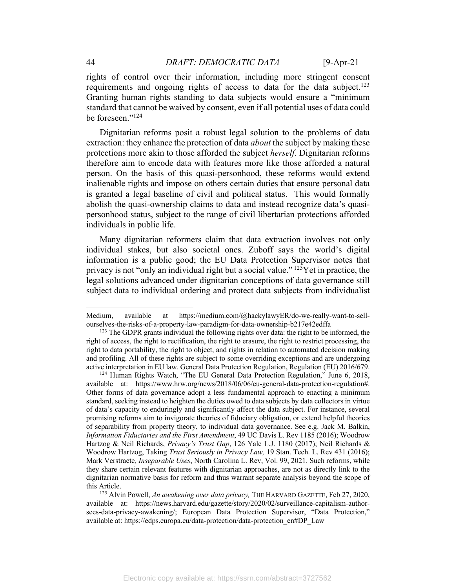rights of control over their information, including more stringent consent requirements and ongoing rights of access to data for the data subject.<sup>123</sup> Granting human rights standing to data subjects would ensure a "minimum standard that cannot be waived by consent, even if all potential uses of data could be foreseen."124

Dignitarian reforms posit a robust legal solution to the problems of data extraction: they enhance the protection of data *about* the subject by making these protections more akin to those afforded the subject *herself*. Dignitarian reforms therefore aim to encode data with features more like those afforded a natural person. On the basis of this quasi-personhood, these reforms would extend inalienable rights and impose on others certain duties that ensure personal data is granted a legal baseline of civil and political status. This would formally abolish the quasi-ownership claims to data and instead recognize data's quasipersonhood status, subject to the range of civil libertarian protections afforded individuals in public life.

Many dignitarian reformers claim that data extraction involves not only individual stakes, but also societal ones. Zuboff says the world's digital information is a public good; the EU Data Protection Supervisor notes that privacy is not "only an individual right but a social value."  $12\overline{5}$ Yet in practice, the legal solutions advanced under dignitarian conceptions of data governance still subject data to individual ordering and protect data subjects from individualist

Medium, available at https://medium.com/@hackylawyER/do-we-really-want-to-sellourselves-the-risks-of-a-property-law-paradigm-for-data-ownership-b217e42edffa

 $123$  The GDPR grants individual the following rights over data: the right to be informed, the right of access, the right to rectification, the right to erasure, the right to restrict processing, the right to data portability, the right to object, and rights in relation to automated decision making and profiling. All of these rights are subject to some overriding exceptions and are undergoing active interpretation in EU law. General Data Protection Regulation, Regulation (EU) 2016/679.

<sup>&</sup>lt;sup>124</sup> Human Rights Watch, "The EU General Data Protection Regulation," June 6, 2018, available at: https://www.hrw.org/news/2018/06/06/eu-general-data-protection-regulation#. Other forms of data governance adopt a less fundamental approach to enacting a minimum standard, seeking instead to heighten the duties owed to data subjects by data collectors in virtue of data's capacity to enduringly and significantly affect the data subject. For instance, several promising reforms aim to invigorate theories of fiduciary obligation, or extend helpful theories of separability from property theory, to individual data governance. See e.g. Jack M. Balkin, *Information Fiduciaries and the First Amendment*, 49 UC Davis L. Rev 1185 (2016); Woodrow Hartzog & Neil Richards, *Privacy's Trust Gap*, 126 Yale L.J. 1180 (2017); Neil Richards & Woodrow Hartzog, Taking *Trust Seriously in Privacy Law,* 19 Stan. Tech. L. Rev 431 (2016); Mark Verstraete*, Inseparable Uses*, North Carolina L. Rev, Vol. 99, 2021. Such reforms, while they share certain relevant features with dignitarian approaches, are not as directly link to the dignitarian normative basis for reform and thus warrant separate analysis beyond the scope of this Article.

<sup>125</sup> Alvin Powell, *An awakening over data privacy,* THE HARVARD GAZETTE, Feb 27, 2020, available at: https://news.harvard.edu/gazette/story/2020/02/surveillance-capitalism-authorsees-data-privacy-awakening/; European Data Protection Supervisor, "Data Protection," available at: https://edps.europa.eu/data-protection/data-protection\_en#DP\_Law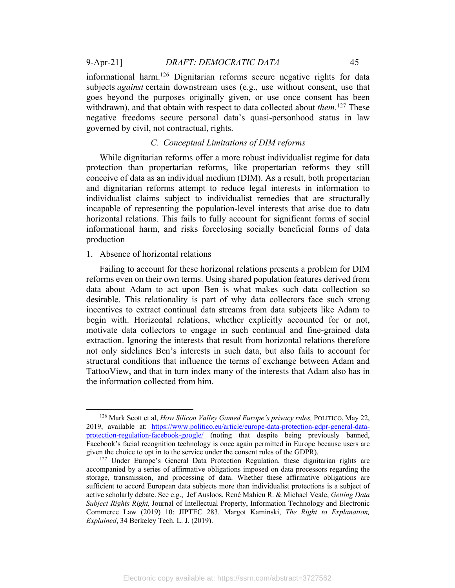9-Apr-21] *DRAFT: DEMOCRATIC DATA* 45

informational harm.<sup>126</sup> Dignitarian reforms secure negative rights for data subjects *against* certain downstream uses (e.g., use without consent, use that goes beyond the purposes originally given, or use once consent has been withdrawn), and that obtain with respect to data collected about *them*. <sup>127</sup> These negative freedoms secure personal data's quasi-personhood status in law governed by civil, not contractual, rights.

### *C. Conceptual Limitations of DIM reforms*

While dignitarian reforms offer a more robust individualist regime for data protection than propertarian reforms, like propertarian reforms they still conceive of data as an individual medium (DIM). As a result, both propertarian and dignitarian reforms attempt to reduce legal interests in information to individualist claims subject to individualist remedies that are structurally incapable of representing the population-level interests that arise due to data horizontal relations. This fails to fully account for significant forms of social informational harm, and risks foreclosing socially beneficial forms of data production

### 1. Absence of horizontal relations

Failing to account for these horizonal relations presents a problem for DIM reforms even on their own terms. Using shared population features derived from data about Adam to act upon Ben is what makes such data collection so desirable. This relationality is part of why data collectors face such strong incentives to extract continual data streams from data subjects like Adam to begin with. Horizontal relations, whether explicitly accounted for or not, motivate data collectors to engage in such continual and fine-grained data extraction. Ignoring the interests that result from horizontal relations therefore not only sidelines Ben's interests in such data, but also fails to account for structural conditions that influence the terms of exchange between Adam and TattooView, and that in turn index many of the interests that Adam also has in the information collected from him.

<sup>126</sup> Mark Scott et al, *How Silicon Valley Gamed Europe's privacy rules,* POLITICO, May 22, 2019, available at: https://www.politico.eu/article/europe-data-protection-gdpr-general-dataprotection-regulation-facebook-google/ (noting that despite being previously banned, Facebook's facial recognition technology is once again permitted in Europe because users are given the choice to opt in to the service under the consent rules of the GDPR).<br><sup>127</sup> Under Europe's General Data Protection Regulation, these dignitarian rights are

accompanied by a series of affirmative obligations imposed on data processors regarding the storage, transmission, and processing of data. Whether these affirmative obligations are sufficient to accord European data subjects more than individualist protections is a subject of active scholarly debate. See e.g., Jef Ausloos, René Mahieu R. & Michael Veale, *Getting Data Subject Rights Right,* Journal of Intellectual Property, Information Technology and Electronic Commerce Law (2019) 10: JIPTEC 283. Margot Kaminski, *The Right to Explanation, Explained*, 34 Berkeley Tech. L. J. (2019).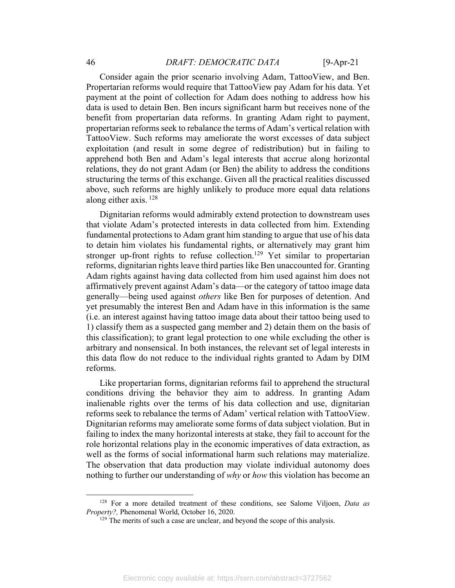# 46 *DRAFT: DEMOCRATIC DATA* [9-Apr-21

Consider again the prior scenario involving Adam, TattooView, and Ben. Propertarian reforms would require that TattooView pay Adam for his data. Yet payment at the point of collection for Adam does nothing to address how his data is used to detain Ben. Ben incurs significant harm but receives none of the benefit from propertarian data reforms. In granting Adam right to payment, propertarian reforms seek to rebalance the terms of Adam's vertical relation with TattooView. Such reforms may ameliorate the worst excesses of data subject exploitation (and result in some degree of redistribution) but in failing to apprehend both Ben and Adam's legal interests that accrue along horizontal relations, they do not grant Adam (or Ben) the ability to address the conditions structuring the terms of this exchange. Given all the practical realities discussed above, such reforms are highly unlikely to produce more equal data relations along either axis. <sup>128</sup>

Dignitarian reforms would admirably extend protection to downstream uses that violate Adam's protected interests in data collected from him. Extending fundamental protections to Adam grant him standing to argue that use of his data to detain him violates his fundamental rights, or alternatively may grant him stronger up-front rights to refuse collection.<sup>129</sup> Yet similar to propertarian reforms, dignitarian rights leave third parties like Ben unaccounted for. Granting Adam rights against having data collected from him used against him does not affirmatively prevent against Adam's data—or the category of tattoo image data generally—being used against *others* like Ben for purposes of detention. And yet presumably the interest Ben and Adam have in this information is the same (i.e. an interest against having tattoo image data about their tattoo being used to 1) classify them as a suspected gang member and 2) detain them on the basis of this classification); to grant legal protection to one while excluding the other is arbitrary and nonsensical. In both instances, the relevant set of legal interests in this data flow do not reduce to the individual rights granted to Adam by DIM reforms.

Like propertarian forms, dignitarian reforms fail to apprehend the structural conditions driving the behavior they aim to address. In granting Adam inalienable rights over the terms of his data collection and use, dignitarian reforms seek to rebalance the terms of Adam' vertical relation with TattooView. Dignitarian reforms may ameliorate some forms of data subject violation. But in failing to index the many horizontal interests at stake, they fail to account for the role horizontal relations play in the economic imperatives of data extraction, as well as the forms of social informational harm such relations may materialize. The observation that data production may violate individual autonomy does nothing to further our understanding of *why* or *how* this violation has become an

<sup>&</sup>lt;sup>128</sup> For a more detailed treatment of these conditions, see Salome Viljoen, *Data as Property?*, Phenomenal World, October 16, 2020.

<sup>&</sup>lt;sup>129</sup> The merits of such a case are unclear, and beyond the scope of this analysis.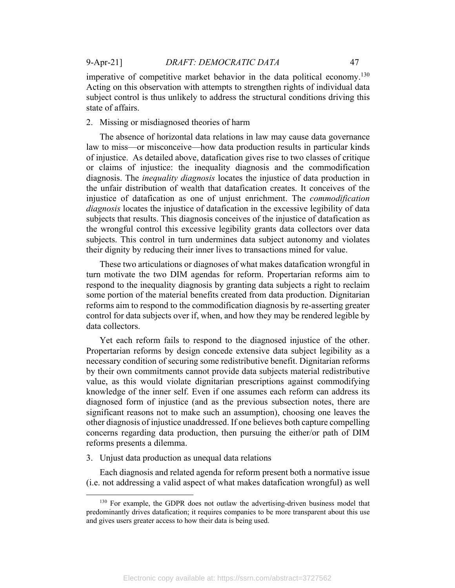imperative of competitive market behavior in the data political economy.<sup>130</sup> Acting on this observation with attempts to strengthen rights of individual data subject control is thus unlikely to address the structural conditions driving this state of affairs.

2. Missing or misdiagnosed theories of harm

The absence of horizontal data relations in law may cause data governance law to miss—or misconceive—how data production results in particular kinds of injustice. As detailed above, datafication gives rise to two classes of critique or claims of injustice: the inequality diagnosis and the commodification diagnosis. The *inequality diagnosis* locates the injustice of data production in the unfair distribution of wealth that datafication creates. It conceives of the injustice of datafication as one of unjust enrichment. The *commodification diagnosis* locates the injustice of datafication in the excessive legibility of data subjects that results. This diagnosis conceives of the injustice of datafication as the wrongful control this excessive legibility grants data collectors over data subjects. This control in turn undermines data subject autonomy and violates their dignity by reducing their inner lives to transactions mined for value.

These two articulations or diagnoses of what makes datafication wrongful in turn motivate the two DIM agendas for reform. Propertarian reforms aim to respond to the inequality diagnosis by granting data subjects a right to reclaim some portion of the material benefits created from data production. Dignitarian reforms aim to respond to the commodification diagnosis by re-asserting greater control for data subjects over if, when, and how they may be rendered legible by data collectors.

Yet each reform fails to respond to the diagnosed injustice of the other. Propertarian reforms by design concede extensive data subject legibility as a necessary condition of securing some redistributive benefit. Dignitarian reforms by their own commitments cannot provide data subjects material redistributive value, as this would violate dignitarian prescriptions against commodifying knowledge of the inner self. Even if one assumes each reform can address its diagnosed form of injustice (and as the previous subsection notes, there are significant reasons not to make such an assumption), choosing one leaves the other diagnosis of injustice unaddressed. If one believes both capture compelling concerns regarding data production, then pursuing the either/or path of DIM reforms presents a dilemma.

3. Unjust data production as unequal data relations

Each diagnosis and related agenda for reform present both a normative issue (i.e. not addressing a valid aspect of what makes datafication wrongful) as well

<sup>&</sup>lt;sup>130</sup> For example, the GDPR does not outlaw the advertising-driven business model that predominantly drives datafication; it requires companies to be more transparent about this use and gives users greater access to how their data is being used.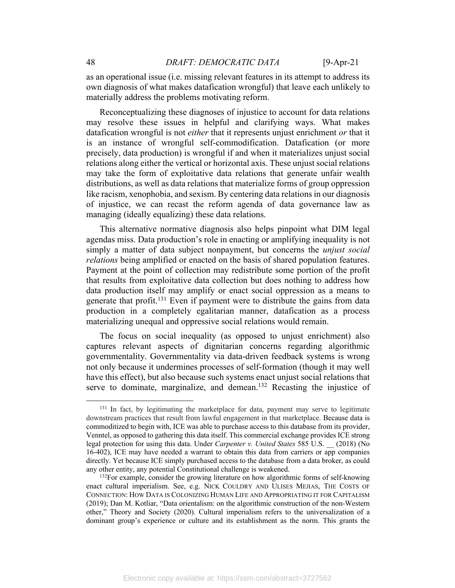as an operational issue (i.e. missing relevant features in its attempt to address its own diagnosis of what makes datafication wrongful) that leave each unlikely to materially address the problems motivating reform.

Reconceptualizing these diagnoses of injustice to account for data relations may resolve these issues in helpful and clarifying ways. What makes datafication wrongful is not *either* that it represents unjust enrichment *or* that it is an instance of wrongful self-commodification. Datafication (or more precisely, data production) is wrongful if and when it materializes unjust social relations along either the vertical or horizontal axis. These unjust social relations may take the form of exploitative data relations that generate unfair wealth distributions, as well as data relations that materialize forms of group oppression like racism, xenophobia, and sexism. By centering data relations in our diagnosis of injustice, we can recast the reform agenda of data governance law as managing (ideally equalizing) these data relations.

This alternative normative diagnosis also helps pinpoint what DIM legal agendas miss. Data production's role in enacting or amplifying inequality is not simply a matter of data subject nonpayment, but concerns the *unjust social relations* being amplified or enacted on the basis of shared population features. Payment at the point of collection may redistribute some portion of the profit that results from exploitative data collection but does nothing to address how data production itself may amplify or enact social oppression as a means to generate that profit.<sup>131</sup> Even if payment were to distribute the gains from data production in a completely egalitarian manner, datafication as a process materializing unequal and oppressive social relations would remain.

The focus on social inequality (as opposed to unjust enrichment) also captures relevant aspects of dignitarian concerns regarding algorithmic governmentality. Governmentality via data-driven feedback systems is wrong not only because it undermines processes of self-formation (though it may well have this effect), but also because such systems enact unjust social relations that serve to dominate, marginalize, and demean.<sup>132</sup> Recasting the injustice of

<sup>&</sup>lt;sup>131</sup> In fact, by legitimating the marketplace for data, payment may serve to legitimate downstream practices that result from lawful engagement in that marketplace. Because data is commoditized to begin with, ICE was able to purchase access to this database from its provider, Venntel, as opposed to gathering this data itself. This commercial exchange provides ICE strong legal protection for using this data. Under *Carpenter v. United States* 585 U.S. \_\_ (2018) (No 16-402), ICE may have needed a warrant to obtain this data from carriers or app companies directly. Yet because ICE simply purchased access to the database from a data broker, as could any other entity, any potential Constitutional challenge is weakened.<br><sup>132</sup>For example, consider the growing literature on how algorithmic forms of self-knowing

enact cultural imperialism. See, e.g. NICK COULDRY AND ULISES MEJIAS, THE COSTS OF CONNECTION: HOW DATA IS COLONIZING HUMAN LIFE AND APPROPRIATING IT FOR CAPITALISM (2019); Dan M. Kotliar, "Data orientalism: on the algorithmic construction of the non-Western other," Theory and Society (2020). Cultural imperialism refers to the universalization of a dominant group's experience or culture and its establishment as the norm. This grants the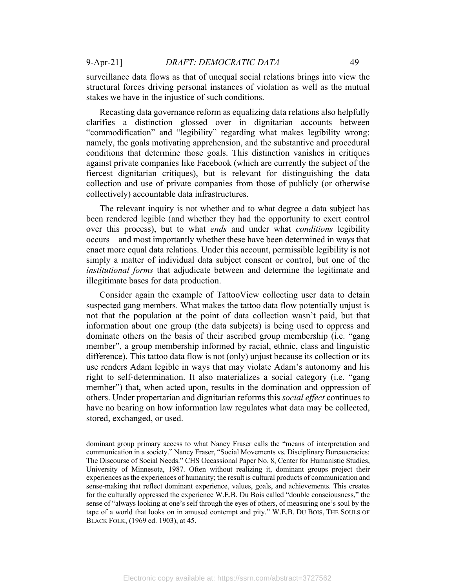surveillance data flows as that of unequal social relations brings into view the structural forces driving personal instances of violation as well as the mutual stakes we have in the injustice of such conditions.

Recasting data governance reform as equalizing data relations also helpfully clarifies a distinction glossed over in dignitarian accounts between "commodification" and "legibility" regarding what makes legibility wrong: namely, the goals motivating apprehension, and the substantive and procedural conditions that determine those goals. This distinction vanishes in critiques against private companies like Facebook (which are currently the subject of the fiercest dignitarian critiques), but is relevant for distinguishing the data collection and use of private companies from those of publicly (or otherwise collectively) accountable data infrastructures.

The relevant inquiry is not whether and to what degree a data subject has been rendered legible (and whether they had the opportunity to exert control over this process), but to what *ends* and under what *conditions* legibility occurs—and most importantly whether these have been determined in ways that enact more equal data relations. Under this account, permissible legibility is not simply a matter of individual data subject consent or control, but one of the *institutional forms* that adjudicate between and determine the legitimate and illegitimate bases for data production.

Consider again the example of TattooView collecting user data to detain suspected gang members. What makes the tattoo data flow potentially unjust is not that the population at the point of data collection wasn't paid, but that information about one group (the data subjects) is being used to oppress and dominate others on the basis of their ascribed group membership (i.e. "gang member", a group membership informed by racial, ethnic, class and linguistic difference). This tattoo data flow is not (only) unjust because its collection or its use renders Adam legible in ways that may violate Adam's autonomy and his right to self-determination. It also materializes a social category (i.e. "gang member") that, when acted upon, results in the domination and oppression of others. Under propertarian and dignitarian reforms this *social effect* continues to have no bearing on how information law regulates what data may be collected, stored, exchanged, or used.

dominant group primary access to what Nancy Fraser calls the "means of interpretation and communication in a society." Nancy Fraser, "Social Movements vs. Disciplinary Bureaucracies: The Discourse of Social Needs." CHS Occassional Paper No. 8, Center for Humanistic Studies, University of Minnesota, 1987. Often without realizing it, dominant groups project their experiences as the experiences of humanity; the result is cultural products of communication and sense-making that reflect dominant experience, values, goals, and achievements. This creates for the culturally oppressed the experience W.E.B. Du Bois called "double consciousness," the sense of "always looking at one's self through the eyes of others, of measuring one's soul by the tape of a world that looks on in amused contempt and pity." W.E.B. DU BOIS, THE SOULS OF BLACK FOLK, (1969 ed. 1903), at 45.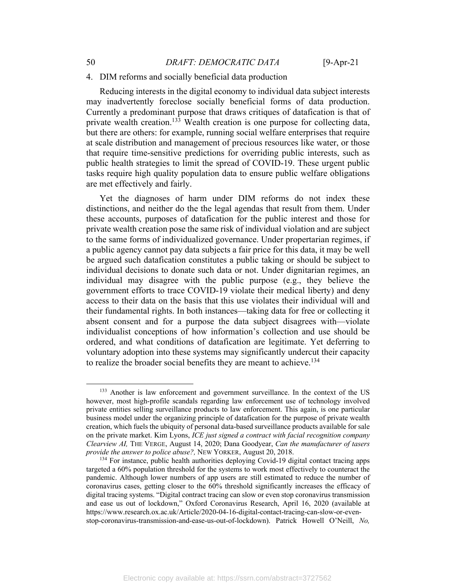#### 4. DIM reforms and socially beneficial data production

Reducing interests in the digital economy to individual data subject interests may inadvertently foreclose socially beneficial forms of data production. Currently a predominant purpose that draws critiques of datafication is that of private wealth creation.<sup>133</sup> Wealth creation is one purpose for collecting data, but there are others: for example, running social welfare enterprises that require at scale distribution and management of precious resources like water, or those that require time-sensitive predictions for overriding public interests, such as public health strategies to limit the spread of COVID-19. These urgent public tasks require high quality population data to ensure public welfare obligations are met effectively and fairly.

Yet the diagnoses of harm under DIM reforms do not index these distinctions, and neither do the the legal agendas that result from them. Under these accounts, purposes of datafication for the public interest and those for private wealth creation pose the same risk of individual violation and are subject to the same forms of individualized governance. Under propertarian regimes, if a public agency cannot pay data subjects a fair price for this data, it may be well be argued such datafication constitutes a public taking or should be subject to individual decisions to donate such data or not. Under dignitarian regimes, an individual may disagree with the public purpose (e.g., they believe the government efforts to trace COVID-19 violate their medical liberty) and deny access to their data on the basis that this use violates their individual will and their fundamental rights. In both instances—taking data for free or collecting it absent consent and for a purpose the data subject disagrees with—violate individualist conceptions of how information's collection and use should be ordered, and what conditions of datafication are legitimate. Yet deferring to voluntary adoption into these systems may significantly undercut their capacity to realize the broader social benefits they are meant to achieve.<sup>134</sup>

<sup>133</sup> Another is law enforcement and government surveillance. In the context of the US however, most high-profile scandals regarding law enforcement use of technology involved private entities selling surveillance products to law enforcement. This again, is one particular business model under the organizing principle of datafication for the purpose of private wealth creation, which fuels the ubiquity of personal data-based surveillance products available for sale on the private market. Kim Lyons, *ICE just signed a contract with facial recognition company Clearview AI,* THE VERGE, August 14, 2020; Dana Goodyear, *Can the manufacturer of tasers provide the answer to police abuse?*, NEW YORKER, August 20, 2018.<br><sup>134</sup> For instance, public health authorities deploying Covid-19 digital contact tracing apps

targeted a 60% population threshold for the systems to work most effectively to counteract the pandemic. Although lower numbers of app users are still estimated to reduce the number of coronavirus cases, getting closer to the 60% threshold significantly increases the efficacy of digital tracing systems. "Digital contract tracing can slow or even stop coronavirus transmission and ease us out of lockdown," Oxford Coronavirus Research, April 16, 2020 (available at https://www.research.ox.ac.uk/Article/2020-04-16-digital-contact-tracing-can-slow-or-evenstop-coronavirus-transmission-and-ease-us-out-of-lockdown). Patrick Howell O'Neill, *No,*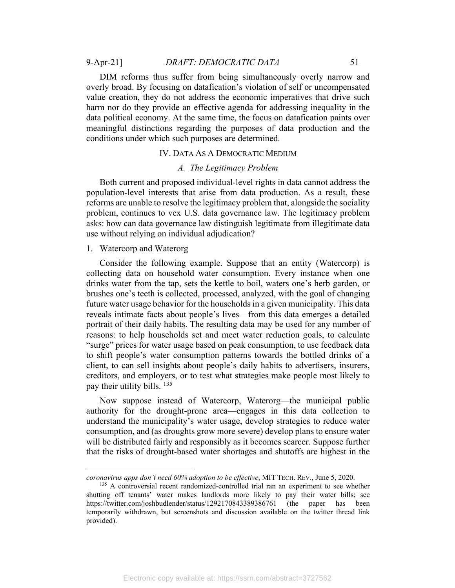## 9-Apr-21] *DRAFT: DEMOCRATIC DATA* 51

DIM reforms thus suffer from being simultaneously overly narrow and overly broad. By focusing on datafication's violation of self or uncompensated value creation, they do not address the economic imperatives that drive such harm nor do they provide an effective agenda for addressing inequality in the data political economy. At the same time, the focus on datafication paints over meaningful distinctions regarding the purposes of data production and the conditions under which such purposes are determined.

### IV. DATA AS A DEMOCRATIC MEDIUM

### *A. The Legitimacy Problem*

Both current and proposed individual-level rights in data cannot address the population-level interests that arise from data production. As a result, these reforms are unable to resolve the legitimacy problem that, alongside the sociality problem, continues to vex U.S. data governance law. The legitimacy problem asks: how can data governance law distinguish legitimate from illegitimate data use without relying on individual adjudication?

### 1. Watercorp and Waterorg

Consider the following example. Suppose that an entity (Watercorp) is collecting data on household water consumption. Every instance when one drinks water from the tap, sets the kettle to boil, waters one's herb garden, or brushes one's teeth is collected, processed, analyzed, with the goal of changing future water usage behavior for the households in a given municipality. This data reveals intimate facts about people's lives—from this data emerges a detailed portrait of their daily habits. The resulting data may be used for any number of reasons: to help households set and meet water reduction goals, to calculate "surge" prices for water usage based on peak consumption, to use feedback data to shift people's water consumption patterns towards the bottled drinks of a client, to can sell insights about people's daily habits to advertisers, insurers, creditors, and employers, or to test what strategies make people most likely to pay their utility bills. <sup>135</sup>

Now suppose instead of Watercorp, Waterorg—the municipal public authority for the drought-prone area—engages in this data collection to understand the municipality's water usage, develop strategies to reduce water consumption, and (as droughts grow more severe) develop plans to ensure water will be distributed fairly and responsibly as it becomes scarcer. Suppose further that the risks of drought-based water shortages and shutoffs are highest in the

*coronavirus apps don't need 60% adoption to be effective*, MIT TECH. REV., June 5, 2020.<br><sup>135</sup> A controversial recent randomized-controlled trial ran an experiment to see whether

shutting off tenants' water makes landlords more likely to pay their water bills; see https://twitter.com/joshbudlender/status/1292170843389386761 (the paper has been temporarily withdrawn, but screenshots and discussion available on the twitter thread link provided).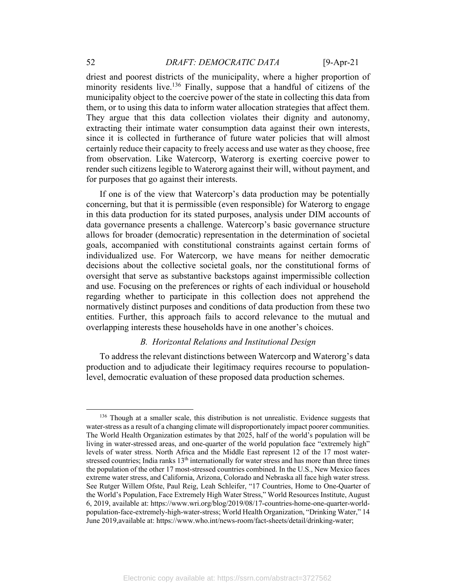driest and poorest districts of the municipality, where a higher proportion of minority residents live.<sup>136</sup> Finally, suppose that a handful of citizens of the municipality object to the coercive power of the state in collecting this data from them, or to using this data to inform water allocation strategies that affect them. They argue that this data collection violates their dignity and autonomy, extracting their intimate water consumption data against their own interests, since it is collected in furtherance of future water policies that will almost certainly reduce their capacity to freely access and use water as they choose, free from observation. Like Watercorp, Waterorg is exerting coercive power to render such citizens legible to Waterorg against their will, without payment, and for purposes that go against their interests.

If one is of the view that Watercorp's data production may be potentially concerning, but that it is permissible (even responsible) for Waterorg to engage in this data production for its stated purposes, analysis under DIM accounts of data governance presents a challenge. Watercorp's basic governance structure allows for broader (democratic) representation in the determination of societal goals, accompanied with constitutional constraints against certain forms of individualized use. For Watercorp, we have means for neither democratic decisions about the collective societal goals, nor the constitutional forms of oversight that serve as substantive backstops against impermissible collection and use. Focusing on the preferences or rights of each individual or household regarding whether to participate in this collection does not apprehend the normatively distinct purposes and conditions of data production from these two entities. Further, this approach fails to accord relevance to the mutual and overlapping interests these households have in one another's choices.

# *B. Horizontal Relations and Institutional Design*

To address the relevant distinctions between Watercorp and Waterorg's data production and to adjudicate their legitimacy requires recourse to populationlevel, democratic evaluation of these proposed data production schemes.

<sup>&</sup>lt;sup>136</sup> Though at a smaller scale, this distribution is not unrealistic. Evidence suggests that water-stress as a result of a changing climate will disproportionately impact poorer communities. The World Health Organization estimates by that 2025, half of the world's population will be living in water-stressed areas, and one-quarter of the world population face "extremely high" levels of water stress. North Africa and the Middle East represent 12 of the 17 most waterstressed countries; India ranks  $13<sup>th</sup>$  internationally for water stress and has more than three times the population of the other 17 most-stressed countries combined. In the U.S., New Mexico faces extreme water stress, and California, Arizona, Colorado and Nebraska all face high water stress. See Rutger Willem Ofste, Paul Reig, Leah Schleifer, "17 Countries, Home to One-Quarter of the World's Population, Face Extremely High Water Stress," World Resources Institute, August 6, 2019, available at: https://www.wri.org/blog/2019/08/17-countries-home-one-quarter-worldpopulation-face-extremely-high-water-stress; World Health Organization, "Drinking Water," 14 June 2019,available at: https://www.who.int/news-room/fact-sheets/detail/drinking-water;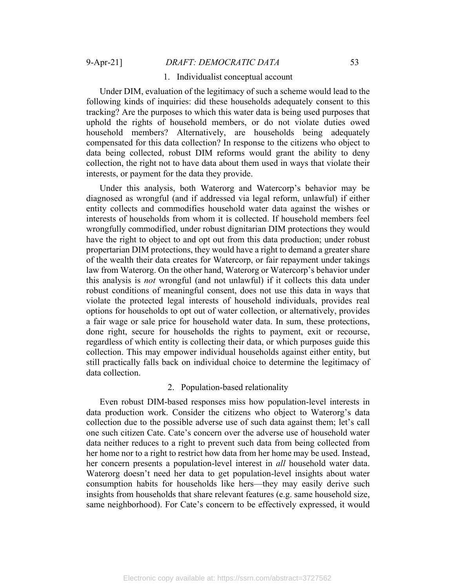#### 1. Individualist conceptual account

Under DIM, evaluation of the legitimacy of such a scheme would lead to the following kinds of inquiries: did these households adequately consent to this tracking? Are the purposes to which this water data is being used purposes that uphold the rights of household members, or do not violate duties owed household members? Alternatively, are households being adequately compensated for this data collection? In response to the citizens who object to data being collected, robust DIM reforms would grant the ability to deny collection, the right not to have data about them used in ways that violate their interests, or payment for the data they provide.

Under this analysis, both Waterorg and Watercorp's behavior may be diagnosed as wrongful (and if addressed via legal reform, unlawful) if either entity collects and commodifies household water data against the wishes or interests of households from whom it is collected. If household members feel wrongfully commodified, under robust dignitarian DIM protections they would have the right to object to and opt out from this data production; under robust propertarian DIM protections, they would have a right to demand a greater share of the wealth their data creates for Watercorp, or fair repayment under takings law from Waterorg. On the other hand, Waterorg or Watercorp's behavior under this analysis is *not* wrongful (and not unlawful) if it collects this data under robust conditions of meaningful consent, does not use this data in ways that violate the protected legal interests of household individuals, provides real options for households to opt out of water collection, or alternatively, provides a fair wage or sale price for household water data. In sum, these protections, done right, secure for households the rights to payment, exit or recourse, regardless of which entity is collecting their data, or which purposes guide this collection. This may empower individual households against either entity, but still practically falls back on individual choice to determine the legitimacy of data collection.

#### 2. Population-based relationality

Even robust DIM-based responses miss how population-level interests in data production work. Consider the citizens who object to Waterorg's data collection due to the possible adverse use of such data against them; let's call one such citizen Cate. Cate's concern over the adverse use of household water data neither reduces to a right to prevent such data from being collected from her home nor to a right to restrict how data from her home may be used. Instead, her concern presents a population-level interest in *all* household water data. Waterorg doesn't need her data to get population-level insights about water consumption habits for households like hers—they may easily derive such insights from households that share relevant features (e.g. same household size, same neighborhood). For Cate's concern to be effectively expressed, it would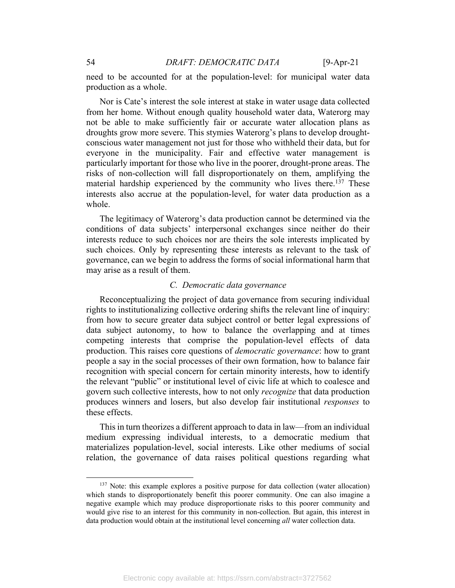need to be accounted for at the population-level: for municipal water data production as a whole.

Nor is Cate's interest the sole interest at stake in water usage data collected from her home. Without enough quality household water data, Waterorg may not be able to make sufficiently fair or accurate water allocation plans as droughts grow more severe. This stymies Waterorg's plans to develop droughtconscious water management not just for those who withheld their data, but for everyone in the municipality. Fair and effective water management is particularly important for those who live in the poorer, drought-prone areas. The risks of non-collection will fall disproportionately on them, amplifying the material hardship experienced by the community who lives there.<sup>137</sup> These interests also accrue at the population-level, for water data production as a whole.

The legitimacy of Waterorg's data production cannot be determined via the conditions of data subjects' interpersonal exchanges since neither do their interests reduce to such choices nor are theirs the sole interests implicated by such choices. Only by representing these interests as relevant to the task of governance, can we begin to address the forms of social informational harm that may arise as a result of them.

# *C. Democratic data governance*

Reconceptualizing the project of data governance from securing individual rights to institutionalizing collective ordering shifts the relevant line of inquiry: from how to secure greater data subject control or better legal expressions of data subject autonomy, to how to balance the overlapping and at times competing interests that comprise the population-level effects of data production. This raises core questions of *democratic governance*: how to grant people a say in the social processes of their own formation, how to balance fair recognition with special concern for certain minority interests, how to identify the relevant "public" or institutional level of civic life at which to coalesce and govern such collective interests, how to not only *recognize* that data production produces winners and losers, but also develop fair institutional *responses* to these effects.

This in turn theorizes a different approach to data in law—from an individual medium expressing individual interests, to a democratic medium that materializes population-level, social interests. Like other mediums of social relation, the governance of data raises political questions regarding what

<sup>&</sup>lt;sup>137</sup> Note: this example explores a positive purpose for data collection (water allocation) which stands to disproportionately benefit this poorer community. One can also imagine a negative example which may produce disproportionate risks to this poorer community and would give rise to an interest for this community in non-collection. But again, this interest in data production would obtain at the institutional level concerning *all* water collection data.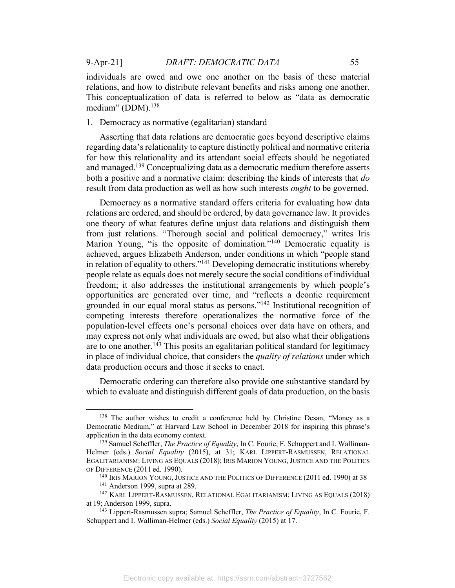individuals are owed and owe one another on the basis of these material relations, and how to distribute relevant benefits and risks among one another. This conceptualization of data is referred to below as "data as democratic medium" (DDM).<sup>138</sup>

1. Democracy as normative (egalitarian) standard

Asserting that data relations are democratic goes beyond descriptive claims regarding data's relationality to capture distinctly political and normative criteria for how this relationality and its attendant social effects should be negotiated and managed.<sup>139</sup> Conceptualizing data as a democratic medium therefore asserts both a positive and a normative claim: describing the kinds of interests that *do* result from data production as well as how such interests *ought* to be governed.

Democracy as a normative standard offers criteria for evaluating how data relations are ordered, and should be ordered, by data governance law. It provides one theory of what features define unjust data relations and distinguish them from just relations. "Thorough social and political democracy," writes Iris Marion Young, "is the opposite of domination."<sup>140</sup> Democratic equality is achieved, argues Elizabeth Anderson, under conditions in which "people stand in relation of equality to others."<sup>141</sup> Developing democratic institutions whereby people relate as equals does not merely secure the social conditions of individual freedom; it also addresses the institutional arrangements by which people's opportunities are generated over time, and "reflects a deontic requirement grounded in our equal moral status as persons."142 Institutional recognition of competing interests therefore operationalizes the normative force of the population-level effects one's personal choices over data have on others, and may express not only what individuals are owed, but also what their obligations are to one another.<sup>143</sup> This posits an egalitarian political standard for legitimacy in place of individual choice, that considers the *quality of relations* under which data production occurs and those it seeks to enact.

Democratic ordering can therefore also provide one substantive standard by which to evaluate and distinguish different goals of data production, on the basis

<sup>&</sup>lt;sup>138</sup> The author wishes to credit a conference held by Christine Desan, "Money as a Democratic Medium," at Harvard Law School in December 2018 for inspiring this phrase's application in the data economy context.<br><sup>139</sup> Samuel Scheffler, *The Practice of Equality*, In C. Fourie, F. Schuppert and I. Walliman-

Helmer (eds.) *Social Equality* (2015), at 31; KARL LIPPERT-RASMUSSEN, RELATIONAL EGALITARIANISM: LIVING AS EQUALS (2018); IRIS MARION YOUNG, JUSTICE AND THE POLITICS OF DIFFERENCE (2011 ed. 1990).

<sup>&</sup>lt;sup>140</sup> IRIS MARION YOUNG, JUSTICE AND THE POLITICS OF DIFFERENCE (2011 ed. 1990) at 38<sup>141</sup> Anderson 1999, supra at 289.

<sup>&</sup>lt;sup>142</sup> KARL LIPPERT-RASMUSSEN, RELATIONAL EGALITARIANISM: LIVING AS EQUALS (2018) at 19; Anderson 1999, supra.

<sup>143</sup> Lippert-Rasmussen supra; Samuel Scheffler, *The Practice of Equality*, In C. Fourie, F. Schuppert and I. Walliman-Helmer (eds.) *Social Equality* (2015) at 17.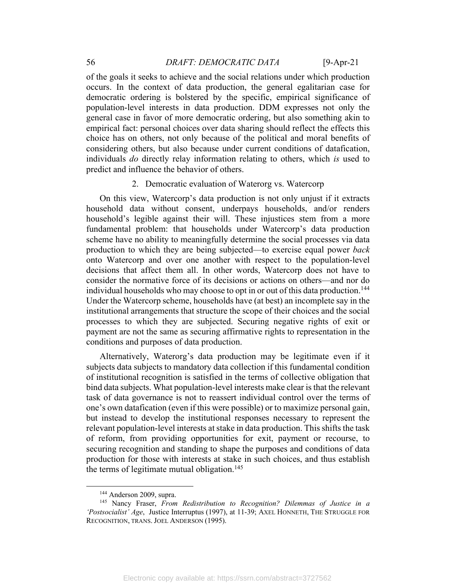of the goals it seeks to achieve and the social relations under which production occurs. In the context of data production, the general egalitarian case for democratic ordering is bolstered by the specific, empirical significance of population-level interests in data production. DDM expresses not only the general case in favor of more democratic ordering, but also something akin to empirical fact: personal choices over data sharing should reflect the effects this choice has on others, not only because of the political and moral benefits of considering others, but also because under current conditions of datafication, individuals *do* directly relay information relating to others, which *is* used to predict and influence the behavior of others.

### 2. Democratic evaluation of Waterorg vs. Watercorp

On this view, Watercorp's data production is not only unjust if it extracts household data without consent, underpays households, and/or renders household's legible against their will. These injustices stem from a more fundamental problem: that households under Watercorp's data production scheme have no ability to meaningfully determine the social processes via data production to which they are being subjected—to exercise equal power *back* onto Watercorp and over one another with respect to the population-level decisions that affect them all. In other words, Watercorp does not have to consider the normative force of its decisions or actions on others—and nor do individual households who may choose to opt in or out of this data production.<sup>144</sup> Under the Watercorp scheme, households have (at best) an incomplete say in the institutional arrangements that structure the scope of their choices and the social processes to which they are subjected. Securing negative rights of exit or payment are not the same as securing affirmative rights to representation in the conditions and purposes of data production.

Alternatively, Waterorg's data production may be legitimate even if it subjects data subjects to mandatory data collection if this fundamental condition of institutional recognition is satisfied in the terms of collective obligation that bind data subjects. What population-level interests make clear is that the relevant task of data governance is not to reassert individual control over the terms of one's own datafication (even if this were possible) or to maximize personal gain, but instead to develop the institutional responses necessary to represent the relevant population-level interests at stake in data production. This shifts the task of reform, from providing opportunities for exit, payment or recourse, to securing recognition and standing to shape the purposes and conditions of data production for those with interests at stake in such choices, and thus establish the terms of legitimate mutual obligation.<sup>145</sup>

<sup>&</sup>lt;sup>144</sup> Anderson 2009, supra.<br><sup>145</sup> Nancy Fraser, *From Redistribution to Recognition? Dilemmas of Justice in a 'Postsocialist' Age*, Justice Interruptus (1997), at 11-39; AXEL HONNETH, THE STRUGGLE FOR RECOGNITION, TRANS. JOEL ANDERSON (1995).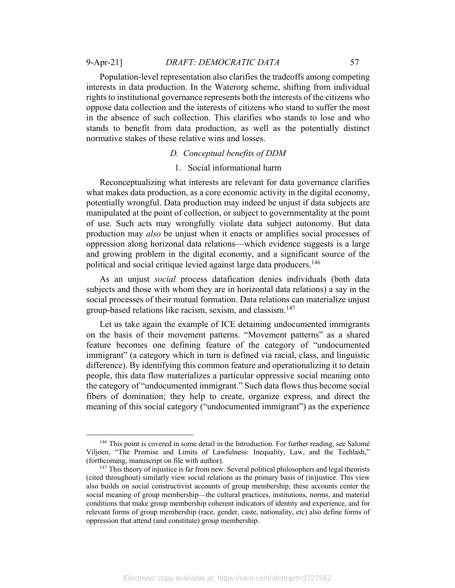### 9-Apr-21] *DRAFT: DEMOCRATIC DATA* 57

Population-level representation also clarifies the tradeoffs among competing interests in data production. In the Waterorg scheme, shifting from individual rights to institutional governance represents both the interests of the citizens who oppose data collection and the interests of citizens who stand to suffer the most in the absence of such collection. This clarifies who stands to lose and who stands to benefit from data production, as well as the potentially distinct normative stakes of these relative wins and losses.

# *D. Conceptual benefits of DDM*

#### 1. Social informational harm

Reconceptualizing what interests are relevant for data governance clarifies what makes data production, as a core economic activity in the digital economy, potentially wrongful. Data production may indeed be unjust if data subjects are manipulated at the point of collection, or subject to governmentality at the point of use. Such acts may wrongfully violate data subject autonomy. But data production may *also* be unjust when it enacts or amplifies social processes of oppression along horizonal data relations—which evidence suggests is a large and growing problem in the digital economy, and a significant source of the political and social critique levied against large data producers.<sup>146</sup>

As an unjust *social* process datafication denies individuals (both data subjects and those with whom they are in horizontal data relations) a say in the social processes of their mutual formation. Data relations can materialize unjust group-based relations like racism, sexism, and classism.147

Let us take again the example of ICE detaining undocumented immigrants on the basis of their movement patterns. "Movement patterns" as a shared feature becomes one defining feature of the category of "undocumented immigrant" (a category which in turn is defined via racial, class, and linguistic difference). By identifying this common feature and operationalizing it to detain people, this data flow materializes a particular oppressive social meaning onto the category of "undocumented immigrant." Such data flows thus become social fibers of domination; they help to create, organize express, and direct the meaning of this social category ("undocumented immigrant") as the experience

 $146$  This point is covered in some detail in the Introduction. For further reading, see Salomé Viljoen, "The Promise and Limits of Lawfulness: Inequality, Law, and the Techlash," (forthcoming, manuscript on file with author).

 $147$  This theory of injustice is far from new. Several political philosophers and legal theorists (cited throughout) similarly view social relations as the primary basis of (in)justice. This view also builds on social constructivist accounts of group membership; these accounts center the social meaning of group membership—the cultural practices, institutions, norms, and material conditions that make group membership coherent indicators of identity and experience, and for relevant forms of group membership (race, gender, caste, nationality, etc) also define forms of oppression that attend (and constitute) group membership.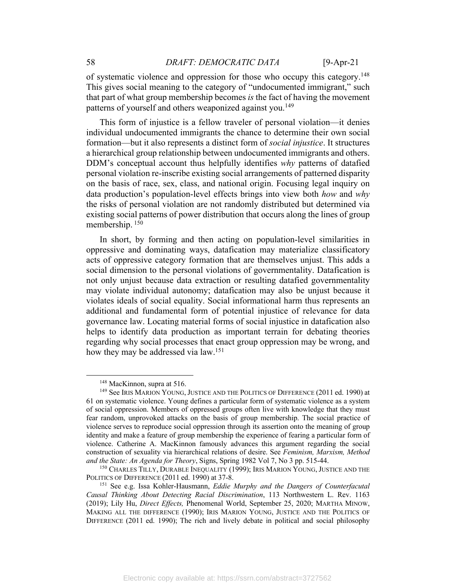of systematic violence and oppression for those who occupy this category.148 This gives social meaning to the category of "undocumented immigrant," such that part of what group membership becomes *is* the fact of having the movement patterns of yourself and others weaponized against you.<sup>149</sup>

This form of injustice is a fellow traveler of personal violation—it denies individual undocumented immigrants the chance to determine their own social formation—but it also represents a distinct form of *social injustice*. It structures a hierarchical group relationship between undocumented immigrants and others. DDM's conceptual account thus helpfully identifies *why* patterns of datafied personal violation re-inscribe existing social arrangements of patterned disparity on the basis of race, sex, class, and national origin. Focusing legal inquiry on data production's population-level effects brings into view both *how* and *why* the risks of personal violation are not randomly distributed but determined via existing social patterns of power distribution that occurs along the lines of group membership. 150

In short, by forming and then acting on population-level similarities in oppressive and dominating ways, datafication may materialize classificatory acts of oppressive category formation that are themselves unjust. This adds a social dimension to the personal violations of governmentality. Datafication is not only unjust because data extraction or resulting datafied governmentality may violate individual autonomy; datafication may also be unjust because it violates ideals of social equality. Social informational harm thus represents an additional and fundamental form of potential injustice of relevance for data governance law. Locating material forms of social injustice in datafication also helps to identify data production as important terrain for debating theories regarding why social processes that enact group oppression may be wrong, and how they may be addressed via law. 151

<sup>&</sup>lt;sup>148</sup> MacKinnon, supra at 516.<br><sup>149</sup> See IRIS MARION YOUNG, JUSTICE AND THE POLITICS OF DIFFERENCE (2011 ed. 1990) at 61 on systematic violence. Young defines a particular form of systematic violence as a system of social oppression. Members of oppressed groups often live with knowledge that they must fear random, unprovoked attacks on the basis of group membership. The social practice of violence serves to reproduce social oppression through its assertion onto the meaning of group identity and make a feature of group membership the experience of fearing a particular form of violence. Catherine A. MacKinnon famously advances this argument regarding the social construction of sexuality via hierarchical relations of desire. See *Feminism, Marxism, Method and the State: An Agenda for Theory*, Signs, Spring 1982 Vol 7, No 3 pp. 515-44.<br><sup>150</sup> CHARLES TILLY, DURABLE INEQUALITY (1999); IRIS MARION YOUNG, JUSTICE AND THE

POLITICS OF DIFFERENCE (2011 ed. 1990) at 37-8.

<sup>151</sup> See e.g. Issa Kohler-Hausmann, *Eddie Murphy and the Dangers of Counterfacutal Causal Thinking About Detecting Racial Discrimination*, 113 Northwestern L. Rev. 1163 (2019); Lily Hu, *Direct Effects,* Phenomenal World, September 25, 2020; MARTHA MINOW, MAKING ALL THE DIFFERENCE (1990); IRIS MARION YOUNG, JUSTICE AND THE POLITICS OF DIFFERENCE (2011 ed. 1990); The rich and lively debate in political and social philosophy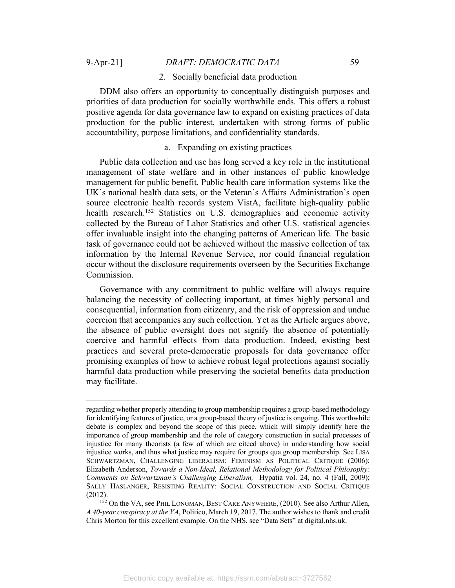#### 2. Socially beneficial data production

DDM also offers an opportunity to conceptually distinguish purposes and priorities of data production for socially worthwhile ends. This offers a robust positive agenda for data governance law to expand on existing practices of data production for the public interest, undertaken with strong forms of public accountability, purpose limitations, and confidentiality standards.

# a. Expanding on existing practices

Public data collection and use has long served a key role in the institutional management of state welfare and in other instances of public knowledge management for public benefit. Public health care information systems like the UK's national health data sets, or the Veteran's Affairs Administration's open source electronic health records system VistA, facilitate high-quality public health research.<sup>152</sup> Statistics on U.S. demographics and economic activity collected by the Bureau of Labor Statistics and other U.S. statistical agencies offer invaluable insight into the changing patterns of American life. The basic task of governance could not be achieved without the massive collection of tax information by the Internal Revenue Service, nor could financial regulation occur without the disclosure requirements overseen by the Securities Exchange Commission.

Governance with any commitment to public welfare will always require balancing the necessity of collecting important, at times highly personal and consequential, information from citizenry, and the risk of oppression and undue coercion that accompanies any such collection. Yet as the Article argues above, the absence of public oversight does not signify the absence of potentially coercive and harmful effects from data production. Indeed, existing best practices and several proto-democratic proposals for data governance offer promising examples of how to achieve robust legal protections against socially harmful data production while preserving the societal benefits data production may facilitate.

regarding whether properly attending to group membership requires a group-based methodology for identifying features of justice, or a group-based theory of justice is ongoing. This worthwhile debate is complex and beyond the scope of this piece, which will simply identify here the importance of group membership and the role of category construction in social processes of injustice for many theorists (a few of which are citeed above) in understanding how social injustice works, and thus what justice may require for groups qua group membership. See LISA SCHWARTZMAN, CHALLENGING LIBERALISM: FEMINISM AS POLITICAL CRITIQUE (2006); Elizabeth Anderson, *Towards a Non-Ideal, Relational Methodology for Political Philosophy: Comments on Schwartzman's Challenging Liberalism,* Hypatia vol. 24, no. 4 (Fall, 2009); SALLY HASLANGER, RESISTING REALITY: SOCIAL CONSTRUCTION AND SOCIAL CRITIQUE  $(2012)$ .<br><sup>152</sup> On the VA, see PHIL LONGMAN, BEST CARE ANYWHERE,  $(2010)$ . See also Arthur Allen,

*A 40-year conspiracy at the VA*, Politico, March 19, 2017. The author wishes to thank and credit Chris Morton for this excellent example. On the NHS, see "Data Sets" at digital.nhs.uk.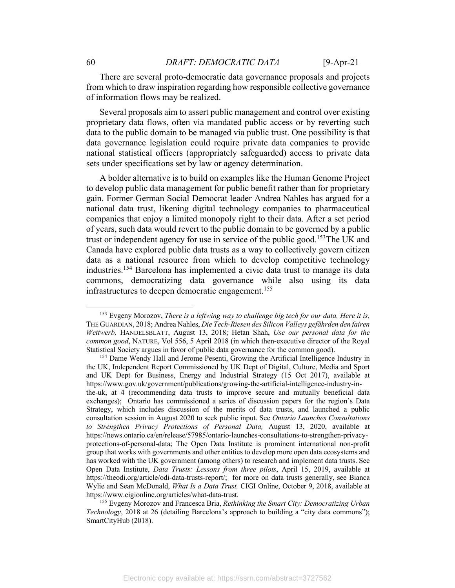There are several proto-democratic data governance proposals and projects from which to draw inspiration regarding how responsible collective governance of information flows may be realized.

Several proposals aim to assert public management and control over existing proprietary data flows, often via mandated public access or by reverting such data to the public domain to be managed via public trust. One possibility is that data governance legislation could require private data companies to provide national statistical officers (appropriately safeguarded) access to private data sets under specifications set by law or agency determination.

A bolder alternative is to build on examples like the Human Genome Project to develop public data management for public benefit rather than for proprietary gain. Former German Social Democrat leader Andrea Nahles has argued for a national data trust, likening digital technology companies to pharmaceutical companies that enjoy a limited monopoly right to their data. After a set period of years, such data would revert to the public domain to be governed by a public trust or independent agency for use in service of the public good.<sup>153</sup>The UK and Canada have explored public data trusts as a way to collectively govern citizen data as a national resource from which to develop competitive technology industries.154 Barcelona has implemented a civic data trust to manage its data commons, democratizing data governance while also using its data infrastructures to deepen democratic engagement.<sup>155</sup>

<sup>153</sup> Evgeny Morozov, *There is a leftwing way to challenge big tech for our data. Here it is,* THE GUARDIAN, 2018; Andrea Nahles, *Die Tech-Riesen des Silicon Valleys gefährden den fairen Wettwerb,* HANDELSBLATT, August 13, 2018; Hetan Shah, *Use our personal data for the common good*, NATURE, Vol 556, 5 April 2018 (in which then-executive director of the Royal Statistical Society argues in favor of public data governance for the common good).<br><sup>154</sup> Dame Wendy Hall and Jerome Pesenti, Growing the Artificial Intelligence Industry in

the UK, Independent Report Commissioned by UK Dept of Digital, Culture, Media and Sport and UK Dept for Business, Energy and Industrial Strategy (15 Oct 2017), available at https://www.gov.uk/government/publications/growing-the-artificial-intelligence-industry-inthe-uk, at 4 (recommending data trusts to improve secure and mutually beneficial data exchanges); Ontario has commissioned a series of discussion papers for the region's Data Strategy, which includes discussion of the merits of data trusts, and launched a public consultation session in August 2020 to seek public input. See *Ontario Launches Consultations to Strengthen Privacy Protections of Personal Data,* August 13, 2020, available at https://news.ontario.ca/en/release/57985/ontario-launches-consultations-to-strengthen-privacyprotections-of-personal-data; The Open Data Institute is prominent international non-profit group that works with governments and other entities to develop more open data ecosystems and has worked with the UK government (among others) to research and implement data trusts. See Open Data Institute, *Data Trusts: Lessons from three pilots*, April 15, 2019, available at https://theodi.org/article/odi-data-trusts-report/; for more on data trusts generally, see Bianca Wylie and Sean McDonald, *What Is a Data Trust,* CIGI Online, October 9, 2018, available at https://www.cigionline.org/articles/what-data-trust.

<sup>155</sup> Evgeny Morozov and Francesca Bria, *Rethinking the Smart City: Democratizing Urban Technology*, 2018 at 26 (detailing Barcelona's approach to building a "city data commons"); SmartCityHub (2018).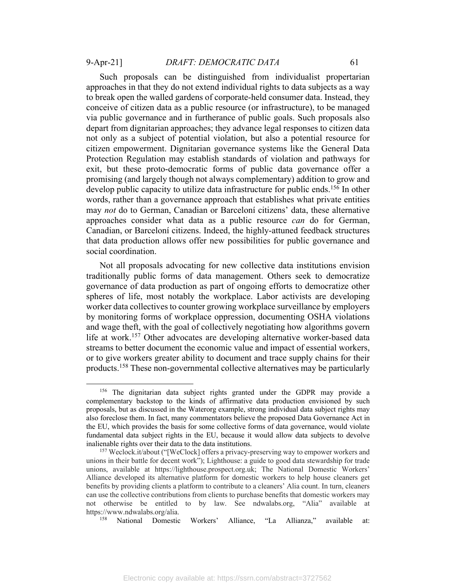Such proposals can be distinguished from individualist propertarian approaches in that they do not extend individual rights to data subjects as a way to break open the walled gardens of corporate-held consumer data. Instead, they conceive of citizen data as a public resource (or infrastructure), to be managed via public governance and in furtherance of public goals. Such proposals also depart from dignitarian approaches; they advance legal responses to citizen data not only as a subject of potential violation, but also a potential resource for citizen empowerment. Dignitarian governance systems like the General Data Protection Regulation may establish standards of violation and pathways for exit, but these proto-democratic forms of public data governance offer a promising (and largely though not always complementary) addition to grow and develop public capacity to utilize data infrastructure for public ends.<sup>156</sup> In other words, rather than a governance approach that establishes what private entities may *not* do to German, Canadian or Barceloní citizens' data, these alternative approaches consider what data as a public resource *can* do for German, Canadian, or Barceloní citizens. Indeed, the highly-attuned feedback structures that data production allows offer new possibilities for public governance and social coordination.

Not all proposals advocating for new collective data institutions envision traditionally public forms of data management. Others seek to democratize governance of data production as part of ongoing efforts to democratize other spheres of life, most notably the workplace. Labor activists are developing worker data collectives to counter growing workplace surveillance by employers by monitoring forms of workplace oppression, documenting OSHA violations and wage theft, with the goal of collectively negotiating how algorithms govern life at work.<sup>157</sup> Other advocates are developing alternative worker-based data streams to better document the economic value and impact of essential workers, or to give workers greater ability to document and trace supply chains for their products. <sup>158</sup> These non-governmental collective alternatives may be particularly

<sup>&</sup>lt;sup>156</sup> The dignitarian data subject rights granted under the GDPR may provide a complementary backstop to the kinds of affirmative data production envisioned by such proposals, but as discussed in the Waterorg example, strong individual data subject rights may also foreclose them. In fact, many commentators believe the proposed Data Governance Act in the EU, which provides the basis for some collective forms of data governance, would violate fundamental data subject rights in the EU, because it would allow data subjects to devolve inalienable rights over their data to the data institutions.<br><sup>157</sup> Weclock.it/about ("[WeClock] offers a privacy-preserving way to empower workers and

unions in their battle for decent work"); Lighthouse: a guide to good data stewardship for trade unions, available at https://lighthouse.prospect.org.uk; The National Domestic Workers' Alliance developed its alternative platform for domestic workers to help house cleaners get benefits by providing clients a platform to contribute to a cleaners' Alia count. In turn, cleaners can use the collective contributions from clients to purchase benefits that domestic workers may not otherwise be entitled to by law. See ndwalabs.org, "Alia" available at https://www.ndwalabs.org/alia.<br><sup>158</sup> National Domestic Workers' Alliance, "La Allianza," available at: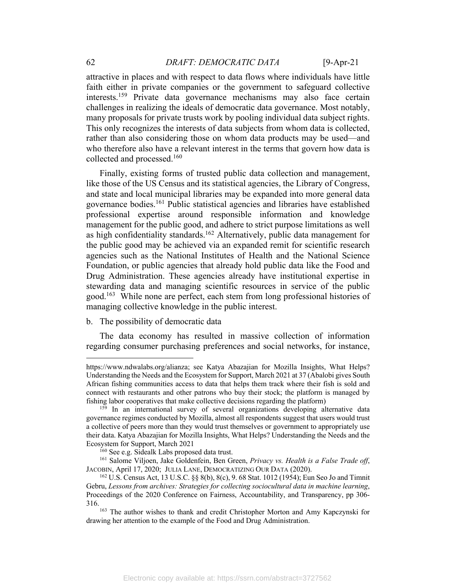attractive in places and with respect to data flows where individuals have little faith either in private companies or the government to safeguard collective interests.159 Private data governance mechanisms may also face certain challenges in realizing the ideals of democratic data governance. Most notably, many proposals for private trusts work by pooling individual data subject rights. This only recognizes the interests of data subjects from whom data is collected, rather than also considering those on whom data products may be used—and who therefore also have a relevant interest in the terms that govern how data is collected and processed.160

Finally, existing forms of trusted public data collection and management, like those of the US Census and its statistical agencies, the Library of Congress, and state and local municipal libraries may be expanded into more general data governance bodies.161 Public statistical agencies and libraries have established professional expertise around responsible information and knowledge management for the public good, and adhere to strict purpose limitations as well as high confidentiality standards.<sup>162</sup> Alternatively, public data management for the public good may be achieved via an expanded remit for scientific research agencies such as the National Institutes of Health and the National Science Foundation, or public agencies that already hold public data like the Food and Drug Administration. These agencies already have institutional expertise in stewarding data and managing scientific resources in service of the public good.<sup>163</sup> While none are perfect, each stem from long professional histories of managing collective knowledge in the public interest.

#### b. The possibility of democratic data

The data economy has resulted in massive collection of information regarding consumer purchasing preferences and social networks, for instance,

https://www.ndwalabs.org/alianza; see Katya Abazajian for Mozilla Insights, What Helps? Understanding the Needs and the Ecosystem for Support, March 2021 at 37 (Abalobi gives South African fishing communities access to data that helps them track where their fish is sold and connect with restaurants and other patrons who buy their stock; the platform is managed by fishing labor cooperatives that make collective decisions regarding the platform)

 $159$  In an international survey of several organizations developing alternative data governance regimes conducted by Mozilla, almost all respondents suggest that users would trust a collective of peers more than they would trust themselves or government to appropriately use their data. Katya Abazajian for Mozilla Insights, What Helps? Understanding the Needs and the Ecosystem for Support, March 2021

<sup>&</sup>lt;sup>160</sup> See e.g. Sidealk Labs proposed data trust.<br><sup>161</sup> Salome Viljoen, Jake Goldenfein, Ben Green, *Privacy vs. Health is a False Trade off*, JACOBIN, April 17, 2020; JULIA LANE, DEMOCRATIZING OUR DATA (2020).

<sup>162</sup> U.S. Census Act, 13 U.S.C. §§ 8(b), 8(c), 9. 68 Stat. 1012 (1954); Eun Seo Jo and Timnit Gebru, *Lessons from archives: Strategies for collecting sociocultural data in machine learning*, Proceedings of the 2020 Conference on Fairness, Accountability, and Transparency, pp 306- 316. 163 The author wishes to thank and credit Christopher Morton and Amy Kapczynski for

drawing her attention to the example of the Food and Drug Administration.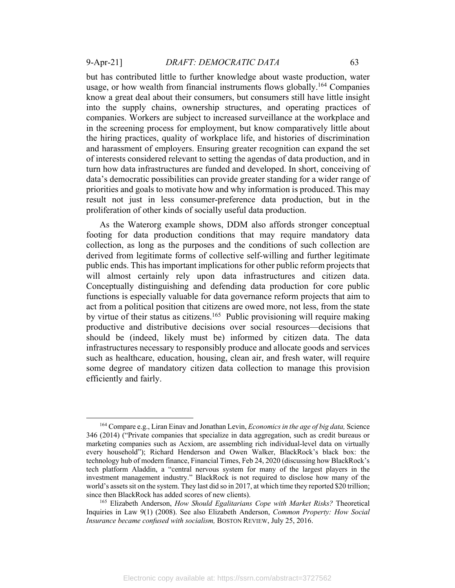but has contributed little to further knowledge about waste production, water usage, or how wealth from financial instruments flows globally.<sup>164</sup> Companies

know a great deal about their consumers, but consumers still have little insight into the supply chains, ownership structures, and operating practices of companies. Workers are subject to increased surveillance at the workplace and in the screening process for employment, but know comparatively little about the hiring practices, quality of workplace life, and histories of discrimination and harassment of employers. Ensuring greater recognition can expand the set of interests considered relevant to setting the agendas of data production, and in turn how data infrastructures are funded and developed. In short, conceiving of data's democratic possibilities can provide greater standing for a wider range of priorities and goals to motivate how and why information is produced.This may result not just in less consumer-preference data production, but in the proliferation of other kinds of socially useful data production.

As the Waterorg example shows, DDM also affords stronger conceptual footing for data production conditions that may require mandatory data collection, as long as the purposes and the conditions of such collection are derived from legitimate forms of collective self-willing and further legitimate public ends. This has important implications for other public reform projects that will almost certainly rely upon data infrastructures and citizen data. Conceptually distinguishing and defending data production for core public functions is especially valuable for data governance reform projects that aim to act from a political position that citizens are owed more, not less, from the state by virtue of their status as citizens.<sup>165</sup> Public provisioning will require making productive and distributive decisions over social resources—decisions that should be (indeed, likely must be) informed by citizen data. The data infrastructures necessary to responsibly produce and allocate goods and services such as healthcare, education, housing, clean air, and fresh water, will require some degree of mandatory citizen data collection to manage this provision efficiently and fairly.

<sup>164</sup> Compare e.g., Liran Einav and Jonathan Levin, *Economics in the age of big data,* Science 346 (2014) ("Private companies that specialize in data aggregation, such as credit bureaus or marketing companies such as Acxiom, are assembling rich individual-level data on virtually every household"); Richard Henderson and Owen Walker, BlackRock's black box: the technology hub of modern finance, Financial Times, Feb 24, 2020 (discussing how BlackRock's tech platform Aladdin, a "central nervous system for many of the largest players in the investment management industry." BlackRock is not required to disclose how many of the world's assets sit on the system. They last did so in 2017, at which time they reported \$20 trillion; since then BlackRock has added scores of new clients). 165 Elizabeth Anderson, *How Should Egalitarians Cope with Market Risks?* Theoretical

Inquiries in Law 9(1) (2008). See also Elizabeth Anderson, *Common Property: How Social Insurance became confused with socialism, BOSTON REVIEW, July 25, 2016.*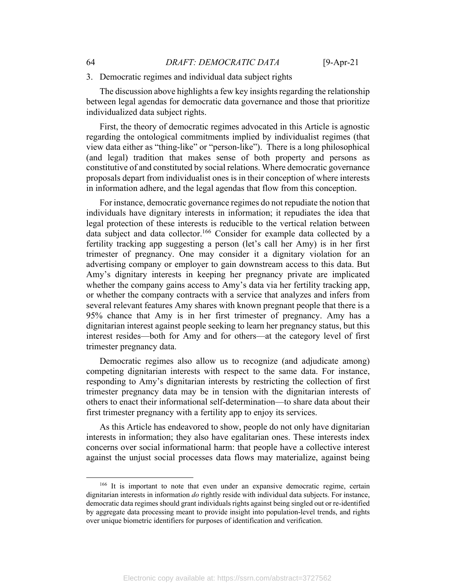### 3. Democratic regimes and individual data subject rights

The discussion above highlights a few key insights regarding the relationship between legal agendas for democratic data governance and those that prioritize individualized data subject rights.

First, the theory of democratic regimes advocated in this Article is agnostic regarding the ontological commitments implied by individualist regimes (that view data either as "thing-like" or "person-like"). There is a long philosophical (and legal) tradition that makes sense of both property and persons as constitutive of and constituted by social relations. Where democratic governance proposals depart from individualist ones is in their conception of where interests in information adhere, and the legal agendas that flow from this conception.

For instance, democratic governance regimes do not repudiate the notion that individuals have dignitary interests in information; it repudiates the idea that legal protection of these interests is reducible to the vertical relation between data subject and data collector.<sup>166</sup> Consider for example data collected by a fertility tracking app suggesting a person (let's call her Amy) is in her first trimester of pregnancy. One may consider it a dignitary violation for an advertising company or employer to gain downstream access to this data. But Amy's dignitary interests in keeping her pregnancy private are implicated whether the company gains access to Amy's data via her fertility tracking app, or whether the company contracts with a service that analyzes and infers from several relevant features Amy shares with known pregnant people that there is a 95% chance that Amy is in her first trimester of pregnancy. Amy has a dignitarian interest against people seeking to learn her pregnancy status, but this interest resides—both for Amy and for others—at the category level of first trimester pregnancy data.

Democratic regimes also allow us to recognize (and adjudicate among) competing dignitarian interests with respect to the same data. For instance, responding to Amy's dignitarian interests by restricting the collection of first trimester pregnancy data may be in tension with the dignitarian interests of others to enact their informational self-determination—to share data about their first trimester pregnancy with a fertility app to enjoy its services.

As this Article has endeavored to show, people do not only have dignitarian interests in information; they also have egalitarian ones. These interests index concerns over social informational harm: that people have a collective interest against the unjust social processes data flows may materialize, against being

<sup>&</sup>lt;sup>166</sup> It is important to note that even under an expansive democratic regime, certain dignitarian interests in information *do* rightly reside with individual data subjects. For instance, democratic data regimes should grant individuals rights against being singled out or re-identified by aggregate data processing meant to provide insight into population-level trends, and rights over unique biometric identifiers for purposes of identification and verification.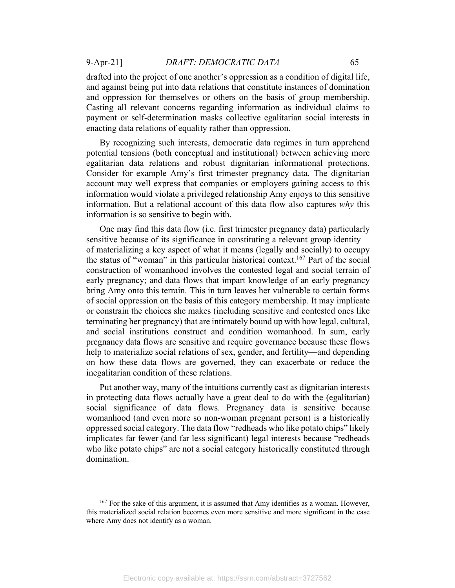drafted into the project of one another's oppression as a condition of digital life, and against being put into data relations that constitute instances of domination and oppression for themselves or others on the basis of group membership. Casting all relevant concerns regarding information as individual claims to payment or self-determination masks collective egalitarian social interests in enacting data relations of equality rather than oppression.

By recognizing such interests, democratic data regimes in turn apprehend potential tensions (both conceptual and institutional) between achieving more egalitarian data relations and robust dignitarian informational protections. Consider for example Amy's first trimester pregnancy data. The dignitarian account may well express that companies or employers gaining access to this information would violate a privileged relationship Amy enjoys to this sensitive information. But a relational account of this data flow also captures *why* this information is so sensitive to begin with.

One may find this data flow (i.e. first trimester pregnancy data) particularly sensitive because of its significance in constituting a relevant group identity of materializing a key aspect of what it means (legally and socially) to occupy the status of "woman" in this particular historical context. <sup>167</sup> Part of the social construction of womanhood involves the contested legal and social terrain of early pregnancy; and data flows that impart knowledge of an early pregnancy bring Amy onto this terrain. This in turn leaves her vulnerable to certain forms of social oppression on the basis of this category membership. It may implicate or constrain the choices she makes (including sensitive and contested ones like terminating her pregnancy) that are intimately bound up with how legal, cultural, and social institutions construct and condition womanhood. In sum, early pregnancy data flows are sensitive and require governance because these flows help to materialize social relations of sex, gender, and fertility—and depending on how these data flows are governed, they can exacerbate or reduce the inegalitarian condition of these relations.

Put another way, many of the intuitions currently cast as dignitarian interests in protecting data flows actually have a great deal to do with the (egalitarian) social significance of data flows. Pregnancy data is sensitive because womanhood (and even more so non-woman pregnant person) is a historically oppressed social category. The data flow "redheads who like potato chips" likely implicates far fewer (and far less significant) legal interests because "redheads who like potato chips" are not a social category historically constituted through domination.

 $167$  For the sake of this argument, it is assumed that Amy identifies as a woman. However, this materialized social relation becomes even more sensitive and more significant in the case where Amy does not identify as a woman.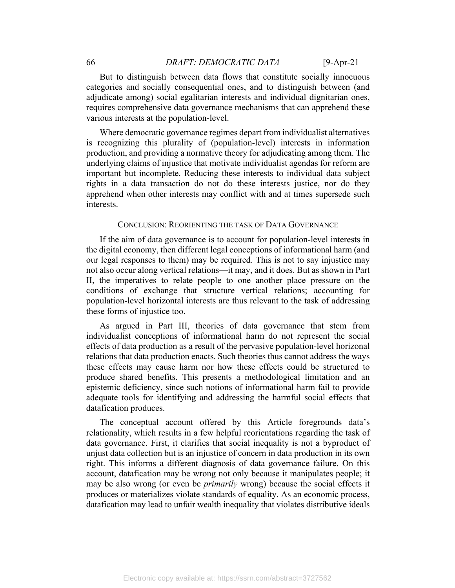But to distinguish between data flows that constitute socially innocuous categories and socially consequential ones, and to distinguish between (and adjudicate among) social egalitarian interests and individual dignitarian ones, requires comprehensive data governance mechanisms that can apprehend these various interests at the population-level.

Where democratic governance regimes depart from individualist alternatives is recognizing this plurality of (population-level) interests in information production, and providing a normative theory for adjudicating among them. The underlying claims of injustice that motivate individualist agendas for reform are important but incomplete. Reducing these interests to individual data subject rights in a data transaction do not do these interests justice, nor do they apprehend when other interests may conflict with and at times supersede such interests.

#### CONCLUSION: REORIENTING THE TASK OF DATA GOVERNANCE

If the aim of data governance is to account for population-level interests in the digital economy, then different legal conceptions of informational harm (and our legal responses to them) may be required. This is not to say injustice may not also occur along vertical relations—it may, and it does. But as shown in Part II, the imperatives to relate people to one another place pressure on the conditions of exchange that structure vertical relations; accounting for population-level horizontal interests are thus relevant to the task of addressing these forms of injustice too.

As argued in Part III, theories of data governance that stem from individualist conceptions of informational harm do not represent the social effects of data production as a result of the pervasive population-level horizonal relations that data production enacts. Such theories thus cannot address the ways these effects may cause harm nor how these effects could be structured to produce shared benefits. This presents a methodological limitation and an epistemic deficiency, since such notions of informational harm fail to provide adequate tools for identifying and addressing the harmful social effects that datafication produces.

The conceptual account offered by this Article foregrounds data's relationality, which results in a few helpful reorientations regarding the task of data governance. First, it clarifies that social inequality is not a byproduct of unjust data collection but is an injustice of concern in data production in its own right. This informs a different diagnosis of data governance failure. On this account, datafication may be wrong not only because it manipulates people; it may be also wrong (or even be *primarily* wrong) because the social effects it produces or materializes violate standards of equality. As an economic process, datafication may lead to unfair wealth inequality that violates distributive ideals